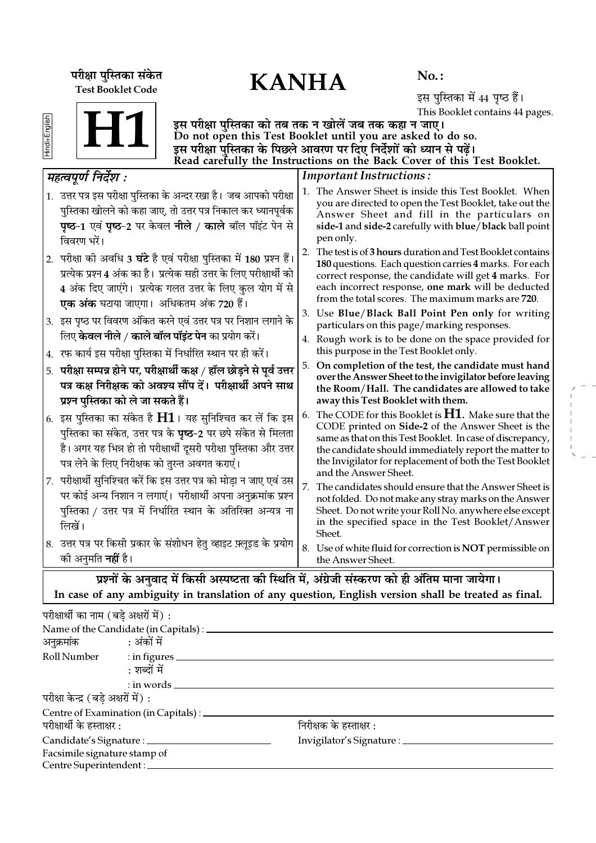KANHA **¬⁄ˡÊÊ ¬ÈÁSÃ∑§Ê '¥∑§Ã** Test Booklet Code

No. :

इस पुस्तिका में 44 पृष्ठ हैं। This Booklet contains 44 pages.

Hindi+English

इस परीक्षा पुस्तिका को तब तक न खोलें जब तक कहा न जाए। Do not open this Test Booklet until you are asked to do so. इस परीक्षा पुस्तिका के पिछले आवरण पर दिए निर्देशों को ध्यान से पढ़ें। H1

|    |                                                                                                                                                                                                                                                                             |    | Read carefully the Instructions on the Back Cover of this Test Booklet.                                                                                                                                                                                                                                                 |
|----|-----------------------------------------------------------------------------------------------------------------------------------------------------------------------------------------------------------------------------------------------------------------------------|----|-------------------------------------------------------------------------------------------------------------------------------------------------------------------------------------------------------------------------------------------------------------------------------------------------------------------------|
|    | महत्वपूर्ण निर्देश :                                                                                                                                                                                                                                                        |    | <b>Important Instructions:</b>                                                                                                                                                                                                                                                                                          |
|    | 1. उत्तर पत्र इस परीक्षा पुस्तिका के अन्दर रखा है। जब आपको परीक्षा<br>पुस्तिका खोलने को कहा जाए, तो उत्तर पत्र निकाल कर ध्यानपूर्वक<br><b>पृष्ठ-1</b> एवं <b>पृष्ठ-2</b> पर केवल <b>नीले / काले</b> बॉल पॉइंट पेन से<br>विवरण भरें।                                         |    | 1. The Answer Sheet is inside this Test Booklet. When<br>you are directed to open the Test Booklet, take out the<br>Answer Sheet and fill in the particulars on<br>side-1 and side-2 carefully with blue/black ball point<br>pen only.                                                                                  |
|    | 2. परीक्षा की अवधि 3 घंटे है एवं परीक्षा पुस्तिका में 180 प्रश्न हैं।<br>प्रत्येक प्रश्न 4 अंक का है। प्रत्येक सही उत्तर के लिए परीक्षार्थी को<br>4 अंक दिए जाएंगे। प्रत्येक गलत उत्तर के लिए कुल योग में से<br><b>एक अंक</b> घटाया जाएगा।  अधिकतम अंक 720 हैं।             | 2. | The test is of 3 hours duration and Test Booklet contains<br>180 questions. Each question carries 4 marks. For each<br>correct response, the candidate will get 4 marks. For<br>each incorrect response, one mark will be deducted<br>from the total scores. The maximum marks are 720.                                 |
|    | 3. इस पृष्ठ पर विवरण अंकित करने एवं उत्तर पत्र पर निशान लगाने के<br>लिए <b>केवल नीले / काले बॉल पॉइंट पेन</b> का प्रयोग करें।                                                                                                                                               |    | 3. Use Blue/Black Ball Point Pen only for writing<br>particulars on this page/marking responses.<br>4. Rough work is to be done on the space provided for                                                                                                                                                               |
|    | 4.   रफ कार्य इस परीक्षा पुस्तिका में निर्धारित स्थान पर ही करें।                                                                                                                                                                                                           |    | this purpose in the Test Booklet only.                                                                                                                                                                                                                                                                                  |
| 5. | परीक्षा सम्पन्न होने पर, परीक्षार्थी कक्ष / हॉल छोड़ने से पूर्व उत्तर<br>पत्र कक्ष निरीक्षक को अवश्य सौंप दें। परीक्षार्थी अपने साथ<br>प्रश्न पुस्तिका को ले जा सकते हैं।                                                                                                   | 5. | On completion of the test, the candidate must hand<br>over the Answer Sheet to the invigilator before leaving<br>the Room/Hall. The candidates are allowed to take<br>away this Test Booklet with them.                                                                                                                 |
|    | $\vert$ 6.  इस पुस्तिका का संकेत है $\bf H1$ । यह सुनिश्चित कर लें कि इस<br>पुस्तिका का संकेत, उत्तर पत्र के <b>पृष्ठ</b> -2 पर छपे संकेत से मिलता<br>है। अगर यह भिन्न हो तो परीक्षार्थी दूसरी परीक्षा पुस्तिका और उत्तर<br>पत्र लेने के लिए निरीक्षक को तुरन्त अवगत कराएं। | 6. | The CODE for this Booklet is $H1$ . Make sure that the<br>CODE printed on Side-2 of the Answer Sheet is the<br>same as that on this Test Booklet. In case of discrepancy,<br>the candidate should immediately report the matter to<br>the Invigilator for replacement of both the Test Booklet<br>and the Answer Sheet. |
| 7. | परीक्षार्थी सुनिश्चित करें कि इस उत्तर पत्र को मोड़ा न जाए एवं उस<br>पर कोई अन्य निशान न लगाएं। परीक्षार्थी अपना अनुक्रमांक प्रश्न<br>पुस्तिका / उत्तर पत्र में निर्धारित स्थान के अतिरिक्त अन्यत्र ना<br>लिखें।                                                            | 7. | The candidates should ensure that the Answer Sheet is<br>not folded. Do not make any stray marks on the Answer<br>Sheet. Do not write your Roll No. anywhere else except<br>in the specified space in the Test Booklet/Answer<br>Sheet.                                                                                 |
|    | 8. उत्तर पत्र पर किसी प्रकार के संशोधन हेतु व्हाइट फ़्लूइड के प्रयोग<br>को अनुमति <b>नहीं</b> है।                                                                                                                                                                           |    | 8. Use of white fluid for correction is NOT permissible on<br>the Answer Sheet.                                                                                                                                                                                                                                         |
|    | प्रश्नों के अनुवाद में किसी अस्पष्टता की स्थिति में, अंग्रेजी संस्करण को ही अंतिम माना जायेगा।                                                                                                                                                                              |    |                                                                                                                                                                                                                                                                                                                         |
|    | In case of any ambiguity in translation of any question, English version shall be treated as final.                                                                                                                                                                         |    |                                                                                                                                                                                                                                                                                                                         |

परीक्षार्थी का नाम (बड़े अक्षरों में) : Name of the Candidate (in Capitals) : •ŸÈ∑˝§◊Ê¥∑§ — •¥∑§Ê¥ ◊¥ Roll Number : in figures  $\equiv$ : शब्दों में : in words परीक्षा केन्द्र (बड़े अक्षरों में) : Centre of Examination (in Capitals) :  $\overline{a}$ परीक्षार्थी के हस्ताक्षर :  $\overline{a}$ Candidate's Signature : Invigilator's Signature : Facsimile signature stamp of Centre Superintendent :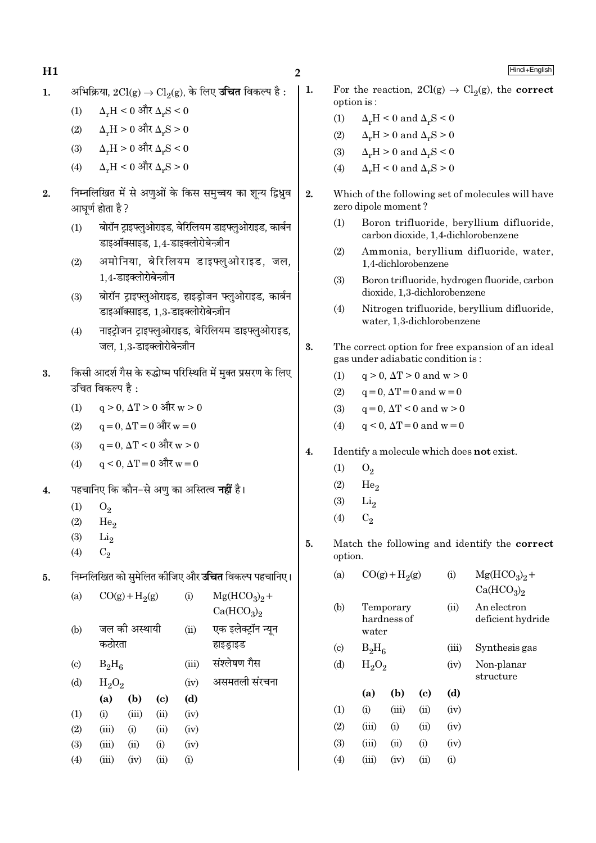$H1$  2

 $1.$  • अभिक्रिया,  $2Cl(g) \rightarrow Cl_2(g)$ , के लिए **उचित** विकल्प है :

- (1)  $\Delta_v H < 0$  और  $\Delta_v S < 0$
- (2)  $\Delta_x H > 0$  और  $\Delta_x S > 0$
- $(3)$   $Δ<sub>r</sub>H > 0$  और  $Δ<sub>r</sub>S < 0$
- (4)  $\Delta_r$ H < 0 और  $\Delta_r$ S > 0
- 2. निम्नलिखित में से अणुओं के किस समुच्चय का शून्य द्विध्नुव आघूर्ण होता है ?
	- (1) बोरॉन टाइफ्लुओराइड, बेरिलियम डाइफ्लुओराइड, कार्बन डाइऑक्साइड, 1,4-डाइक्लोरोबेन्ज़ीन
	- (2) अमोनिया, बेरिलियम डाइफ्लुओराइड, जल,  $1.4$ -डाइक्लोरोबेन्ज़ीन
	- (3) बोरॉन टाइफ्लुओराइड, हाइडोजन फ्लुओराइड, कार्बन डाइऑक्साइड, 1,3-डाइक्लोरोबेन्ज़ीन
	- (4) नाइट्रोजन ट्राइफ्लुओराइड, बेरिलियम डाइफ्लुओराइड, जल,  $1.3$ -डाइक्लोरोबेन्ज़ीन
- 3. किसी आदर्श गैस के रुद्धोष्म परिस्थिति में मुक्त प्रसरण के लिए उचित विकल्प है:
	- $(1)$  q > 0, ΔT > 0 और w > 0
	- $(2)$  q = 0, ΔT = 0 और w = 0
	- $(3)$  q = 0, ΔT < 0 और w > 0
	- $(4)$  a < 0, ΔT = 0 और w = 0
- 4. <sup>→</sup> पहचानिए कि कौन−से अण का अस्तित्व **नहीं** है।
	- $(1)$   $O_2$
	- $(2)$  He<sub>2</sub>
	- $(3)$   $Li<sub>2</sub>$
	- (4)  $C_2$
- 5. निम्नलिखित को सुमेलित कीजिए और **उचित** विकल्प पहचानिए।

| (a)                       | $CO(g) + H2(g)$ |               |      | (i)  | $Mg(HCO3)2 +$<br>Ca(HCO <sub>3</sub> ) <sub>2</sub> |
|---------------------------|-----------------|---------------|------|------|-----------------------------------------------------|
| (b)                       |                 | जल की अस्थायी |      |      | एक इलेक्ट्रॉन न्यून                                 |
|                           | कठोरता          |               |      |      | हाइड्राइड                                           |
| $\left( \text{c} \right)$ |                 | $B_2H_6$      |      |      | संश्लेषण गैस                                        |
| (d)                       |                 | $H_2O_2$      |      |      | असमतली संरचना                                       |
|                           | (a)             | (b)           | (c)  | (d)  |                                                     |
| (1)                       | (i)             | (iii)         | (ii) | (iv) |                                                     |
| (2)                       | (iii)           | (i)           | (ii) | (iv) |                                                     |
| (3)                       | (iii)           | (ii)          | (i)  | (iv) |                                                     |
| (4)                       | (iii)           | (iv)          | (ii) | (i)  |                                                     |
|                           |                 |               |      |      |                                                     |

- 
- 1. For the reaction,  $2Cl(g) \rightarrow Cl_2(g)$ , the **correct** option is :
	- (1)  $\Delta_r H \leq 0$  and  $\Delta_r S \leq 0$
	- (2)  $\Delta_r H > 0$  and  $\Delta_r S > 0$ (3)  $\Delta_r H > 0$  and  $\Delta_r S < 0$
	- (4)  $\Delta_r H \leq 0$  and  $\Delta_r S \geq 0$
- 2. Which of the following set of molecules will have zero dipole moment ?
	- (1) Boron trifluoride, beryllium difluoride, carbon dioxide, 1,4-dichlorobenzene
	- (2) Ammonia, beryllium difluoride, water, 1,4-dichlorobenzene
	- (3) Boron trifluoride, hydrogen fluoride, carbon dioxide, 1,3-dichlorobenzene
	- (4) Nitrogen trifluoride, beryllium difluoride, water, 1,3-dichlorobenzene
- 3. The correct option for free expansion of an ideal gas under adiabatic condition is :
	- (1)  $q > 0$ ,  $\Delta T > 0$  and  $w > 0$
	- (2)  $q = 0, \Delta T = 0 \text{ and } w = 0$
	- (3)  $q = 0, \Delta T < 0 \text{ and } w > 0$
	- (4)  $q < 0$ ,  $\Delta T = 0$  and  $w = 0$

### 4. Identify a molecule which does not exist.

- $(1)$   $O_2$
- $(2)$  He<sub>2</sub>
- $(3)$  Li<sub>2</sub>
- (4)  $C_2$
- 5. Match the following and identify the correct option.

| (a)                        |       | $CO(g) + H2(g)$                   |            |           | $Mg(HCO3)2 +$<br>Ca(HCO <sub>3</sub> ) <sub>2</sub> |
|----------------------------|-------|-----------------------------------|------------|-----------|-----------------------------------------------------|
| (b)                        |       | Temporary<br>hardness of<br>water |            |           | An electron<br>deficient hydride                    |
| $\left( \mathrm{c}\right)$ |       | $B_2H_6$                          |            |           | Synthesis gas                                       |
| (d)                        |       | $H_2O_2$                          |            |           | Non-planar<br>structure                             |
|                            | (a)   | (b)                               | (c)        | (d)       |                                                     |
| (1)                        | (i)   | (iii)                             | (ii)       | (iv)      |                                                     |
| (2)                        | (iii) | $\rm(i)$                          | (ii)       | (iv)      |                                                     |
| (3)                        | (iii) | (ii)                              | (i)        | (iv)      |                                                     |
| (4)                        | (iii) | (iv)                              | $\rm (ii)$ | $\rm (i)$ |                                                     |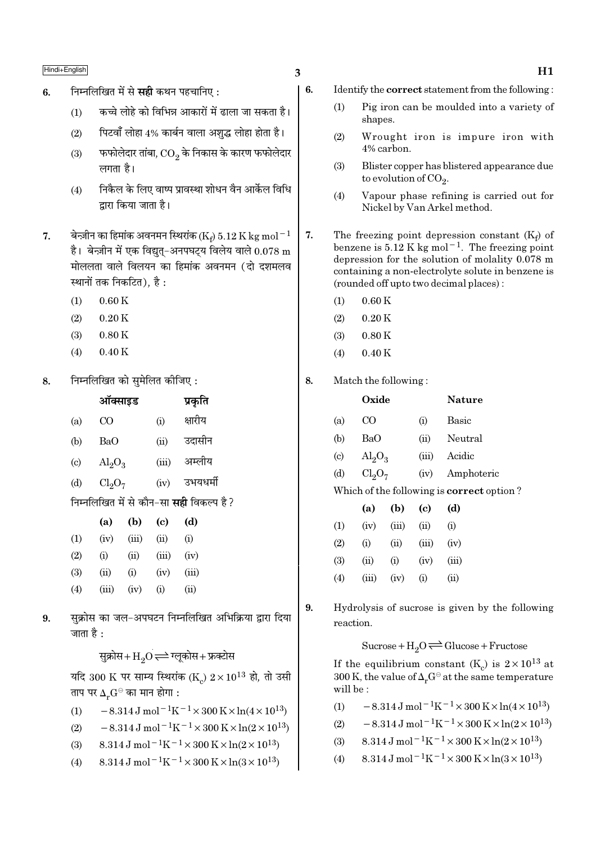# $\frac{\text{Hindi} + \text{English}}{\text{H1}}$

- 6. Fमिलिखित में से सही कथन पहचानिए:
	- $(1)$   $\,$  कच्चे लोहे को विभिन्न आकारों में ढाला जा सकता है।
	- (2) Fuza ँलोहा 4% कार्बन वाला अशुद्ध लोहा होता है।
	- $\left( 3\right)$   $\equiv$  फफोलेदार तांबा,  $\overline{\text{CO}_{2}}$  के निकास के कारण फफोलेदार लगता है।
	- (4) निकैल के लिए वाष्प प्रावस्था शोधन वैन आर्केल विधि द्वारा किया जाता है।
- 7. बेन्ज़ीन का हिमांक अवनमन स्थिरांक ( $\mathrm{K_{f}}$ )  $5.12\,\mathrm{K\,kg\,mol^{-1}}$ है। बेन्ज़ीन में एक विद्युत्-अनपघट्य विलेय वाले  $0.078 \text{ m}$ मोललता वाले विलयन का हिमांक अवनमन (दो दशमलव स्थानों तक निकटित), है $\cdot$ 
	- $(1)$  0.60 K
	- $(2)$  0.20 K
	- $(3)$  0.80 K
	- $(4)$  0.40 K
- $8.$  निम्नलिखित को समेलित कीजिए:

|                             | ऑक्साइड                 |           |       | प्रकृति                                         |
|-----------------------------|-------------------------|-----------|-------|-------------------------------------------------|
| (a)                         | CO                      |           | (i)   | क्षारीय                                         |
| (b)                         | BaO                     |           | (ii)  | उदासीन                                          |
| $\left( \mathrm{c} \right)$ | $\text{Al}_2\text{O}_3$ |           | (iii) | अम्लीय                                          |
| (d)                         | $Cl_2O_7$               |           | (iv)  | उभयधर्मी                                        |
|                             |                         |           |       | निम्नलिखित में से कौन–सा <b>सही</b> विकल्प है ? |
|                             | (a)                     | $(b)$ (c) |       | (d)                                             |
| $\left(1\right)$            | (iv)                    | (iii)     | (ii)  | (i)                                             |

| $\rm(1)$ | (iv)  | (iii) | $\overline{u}$ | $\rm (i)$ |
|----------|-------|-------|----------------|-----------|
| (2)      | (i)   | (ii)  | (iii)          | (iv)      |
| (3)      | (ii)  | (i)   | (iv)           | (iii)     |
| (4)      | (iii) | (iv)  | $\rm (i)$      | (ii)      |

9. सुक्रोस का जल-अपघटन निम्नलिखित अभिक्रिया द्वारा दिया जाता है $\cdot$ 

सुक्रोस+ $H_2O \rightleftharpoons H_3$ कोस+फ्रक्टोस

यदि 300 K पर साम्य स्थिरांक (K $_{\rm c}$ )  $2\!\times\!10^{13}$  हो, तो उसी ताप पर  $\Delta_r G^\ominus$  का मान होगा :

(1)  $-8.314 \,\mathrm{J} \,\mathrm{mol}^{-1} \mathrm{K}^{-1} \times 300 \,\mathrm{K} \times \ln(4 \times 10^{13})$ 

- (2)  $-8.314 \,\mathrm{J} \,\mathrm{mol}^{-1} \mathrm{K}^{-1} \times 300 \,\mathrm{K} \times \ln(2 \times 10^{13})$
- (3)  $8.314 \text{ J} \text{ mol}^{-1} \text{K}^{-1} \times 300 \text{ K} \times \ln(2 \times 10^{13})$
- (4)  $8.314 \text{ J mol}^{-1}\text{K}^{-1} \times 300 \text{ K} \times \ln(3 \times 10^{13})$
- 6. Identify the correct statement from the following :
	- (1) Pig iron can be moulded into a variety of shapes.
	- (2) Wrought iron is impure iron with 4% carbon.
	- (3) Blister copper has blistered appearance due to evolution of CO<sub>2</sub>.
	- (4) Vapour phase refining is carried out for Nickel by Van Arkel method.
- 7. The freezing point depression constant  $(K_f)$  of benzene is 5.12 K kg mol−1. The freezing point depression for the solution of molality 0.078 m containing a non-electrolyte solute in benzene is (rounded off upto two decimal places) :
	- $(1)$  0.60 K
	- $(2)$  0.20 K
	- $(3)$  0.80 K
	- (4) 0.40 K
- 8. Match the following :

|                             | Oxide                   |           | <b>Nature</b>                                    |
|-----------------------------|-------------------------|-----------|--------------------------------------------------|
| (a)                         | CO.                     | $\rm (i)$ | Basic                                            |
| (b)                         | BaO                     | (ii)      | Neutral                                          |
| $\left( \mathrm{c} \right)$ | $\text{Al}_2\text{O}_3$ | (iii)     | Acidic                                           |
| (d)                         | $Cl_2O_7$               | (iv)      | Amphoteric                                       |
|                             |                         |           | Which of the following is <b>correct</b> option? |

|     | (a)   | (b)    | (c)       | (d)   |
|-----|-------|--------|-----------|-------|
| (1) | (iv)  | (iii)  | (ii)      | (i)   |
| (2) | (i)   | $\sin$ | (iii)     | (iv)  |
| (3) | (ii)  | (i)    | (iv)      | (iii) |
| (4) | (iii) | (iv)   | $\rm (i)$ | (ii)  |

9. Hydrolysis of sucrose is given by the following reaction.

 $Sucrose+H_2O \rightleftharpoons Glucose+Fructose$ 

If the equilibrium constant (K<sub>c</sub>) is  $2 \times 10^{13}$  at 300 K, the value of  $\Delta_r G^\ominus$  at the same temperature will be :

- (1)  $-8.314 \,\mathrm{J} \,\mathrm{mol}^{-1} \mathrm{K}^{-1} \times 300 \,\mathrm{K} \times \ln(4 \times 10^{13})$
- (2)  $-8.314 \text{ J mol}^{-1} \text{K}^{-1} \times 300 \text{ K} \times \ln(2 \times 10^{13})$
- (3)  $8.314 \text{ J} \text{ mol}^{-1} \text{K}^{-1} \times 300 \text{ K} \times \ln(2 \times 10^{13})$
- (4)  $8.314 \text{ J mol}^{-1}\text{K}^{-1} \times 300 \text{ K} \times \ln(3 \times 10^{13})$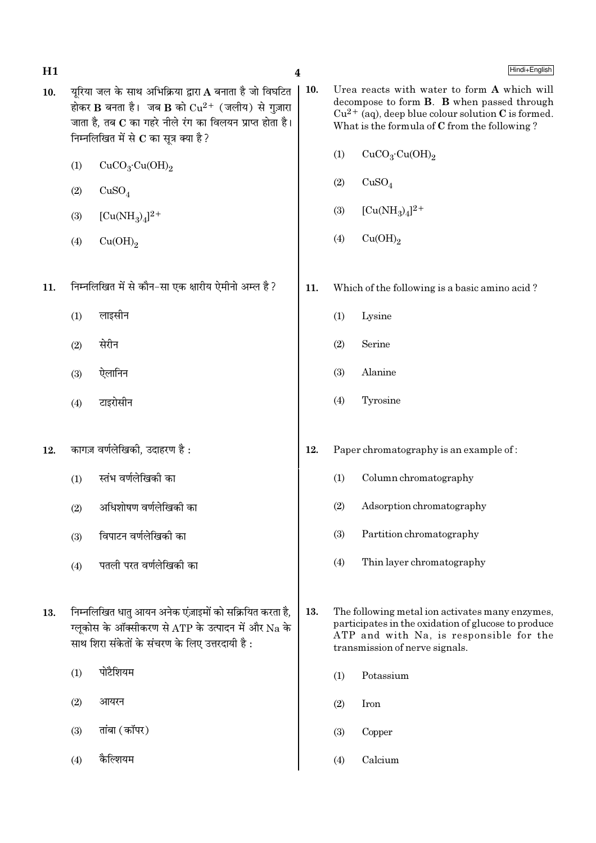| H1  |                                                                                                                                                                                                                      |                                                                                                                                                                 | $\boldsymbol{4}$ |                                                                                                                                                                                                     | Hindi+English                                                                                                                                                                       |  |
|-----|----------------------------------------------------------------------------------------------------------------------------------------------------------------------------------------------------------------------|-----------------------------------------------------------------------------------------------------------------------------------------------------------------|------------------|-----------------------------------------------------------------------------------------------------------------------------------------------------------------------------------------------------|-------------------------------------------------------------------------------------------------------------------------------------------------------------------------------------|--|
| 10. | यूरिया जल के साथ अभिक्रिया द्वारा A बनाता है जो विघटित<br>होकर B बनता है। जब B को $Cu^{2+}$ (जलीय) से गुज़ारा<br>जाता है, तब C का गहरे नीले रंग का विलयन प्राप्त होता है।<br>निम्नलिखित में से $C$ का सूत्र क्या है? |                                                                                                                                                                 |                  | Urea reacts with water to form A which will<br>decompose to form B. B when passed through<br>$Cu^{2+}$ (aq), deep blue colour solution C is formed.<br>What is the formula of C from the following? |                                                                                                                                                                                     |  |
|     | (1)                                                                                                                                                                                                                  | CuCO <sub>3</sub> ·Cu(OH) <sub>2</sub>                                                                                                                          |                  | (1)                                                                                                                                                                                                 | CuCO <sub>3</sub> ·Cu(OH) <sub>2</sub>                                                                                                                                              |  |
|     | (2)                                                                                                                                                                                                                  | CuSO <sub>4</sub>                                                                                                                                               |                  | (2)                                                                                                                                                                                                 | CuSO <sub>4</sub>                                                                                                                                                                   |  |
|     | (3)                                                                                                                                                                                                                  | $[Cu(NH_3)_4]^{2+}$                                                                                                                                             |                  | (3)                                                                                                                                                                                                 | $[Cu(NH_3)_4]^{2+}$                                                                                                                                                                 |  |
|     | (4)                                                                                                                                                                                                                  | Cu(OH) <sub>2</sub>                                                                                                                                             |                  | (4)                                                                                                                                                                                                 | Cu(OH) <sub>2</sub>                                                                                                                                                                 |  |
| 11. |                                                                                                                                                                                                                      | निम्नलिखित में से कौन–सा एक क्षारीय ऐमीनो अम्ल है ?                                                                                                             | 11.              |                                                                                                                                                                                                     | Which of the following is a basic amino acid?                                                                                                                                       |  |
|     | (1)                                                                                                                                                                                                                  | लाइसीन                                                                                                                                                          |                  | (1)                                                                                                                                                                                                 | Lysine                                                                                                                                                                              |  |
|     | (2)                                                                                                                                                                                                                  | सेरीन                                                                                                                                                           |                  | (2)                                                                                                                                                                                                 | Serine                                                                                                                                                                              |  |
|     | (3)                                                                                                                                                                                                                  | ऐलानिन                                                                                                                                                          |                  | (3)                                                                                                                                                                                                 | Alanine                                                                                                                                                                             |  |
|     | (4)                                                                                                                                                                                                                  | टाइरोसीन                                                                                                                                                        |                  | (4)                                                                                                                                                                                                 | Tyrosine                                                                                                                                                                            |  |
| 12. |                                                                                                                                                                                                                      | कागज़ वर्णलेखिकी, उदाहरण है :                                                                                                                                   | 12.              |                                                                                                                                                                                                     | Paper chromatography is an example of:                                                                                                                                              |  |
|     | (1)                                                                                                                                                                                                                  | स्तंभ वर्णलेखिकी का                                                                                                                                             |                  | (1)                                                                                                                                                                                                 | Column chromatography                                                                                                                                                               |  |
|     | (2)                                                                                                                                                                                                                  | अधिशोषण वर्णलेखिकी का                                                                                                                                           |                  | (2)                                                                                                                                                                                                 | Adsorption chromatography                                                                                                                                                           |  |
|     | (3)                                                                                                                                                                                                                  | विपाटन वर्णलेखिकी का                                                                                                                                            |                  | (3)                                                                                                                                                                                                 | Partition chromatography                                                                                                                                                            |  |
|     | (4)                                                                                                                                                                                                                  | पतली परत वर्णलेखिकी का                                                                                                                                          |                  | (4)                                                                                                                                                                                                 | Thin layer chromatography                                                                                                                                                           |  |
| 13. |                                                                                                                                                                                                                      | निम्नलिखित धातु आयन अनेक एंज़ाइमों को सक्रियित करता है,<br>ग्लूकोस के ऑक्सीकरण से ATP के उत्पादन में और Na के<br>साथ शिरा संकेतों के संचरण के लिए उत्तरदायी है: | 13.              |                                                                                                                                                                                                     | The following metal ion activates many enzymes,<br>participates in the oxidation of glucose to produce<br>ATP and with Na, is responsible for the<br>transmission of nerve signals. |  |
|     | (1)                                                                                                                                                                                                                  | पोटैशियम                                                                                                                                                        |                  | (1)                                                                                                                                                                                                 | Potassium                                                                                                                                                                           |  |
|     | (2)                                                                                                                                                                                                                  | आयरन                                                                                                                                                            |                  | (2)                                                                                                                                                                                                 | Iron                                                                                                                                                                                |  |
|     | (3)                                                                                                                                                                                                                  | तांबा (कॉपर)                                                                                                                                                    |                  | (3)                                                                                                                                                                                                 | Copper                                                                                                                                                                              |  |
|     | (4)                                                                                                                                                                                                                  | कैल्शियम                                                                                                                                                        |                  | (4)                                                                                                                                                                                                 | Calcium                                                                                                                                                                             |  |
|     |                                                                                                                                                                                                                      |                                                                                                                                                                 |                  |                                                                                                                                                                                                     |                                                                                                                                                                                     |  |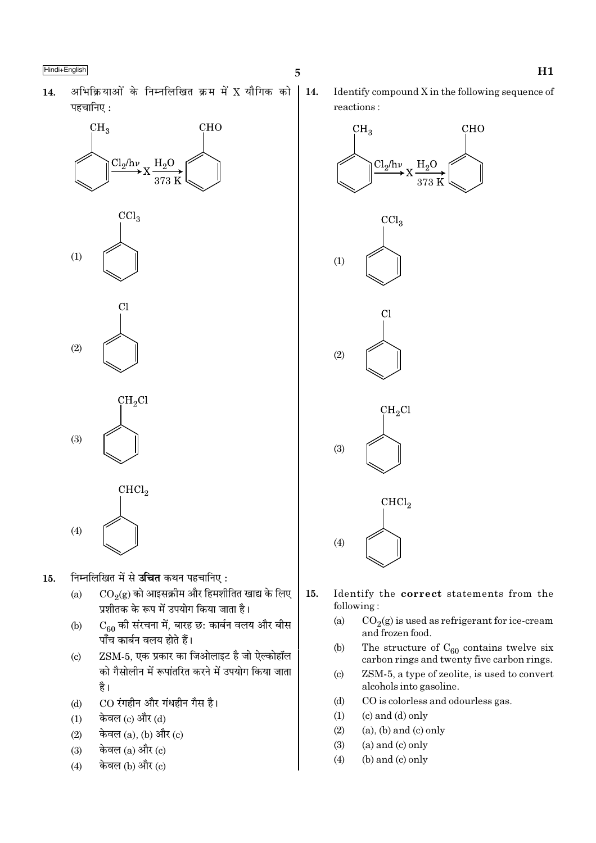अभिक्रियाओं के निम्नलिखित क्रम में X यौगिक को 14. पहचानिए :







 $(4)$ 

- निम्नलिखित में से **उचित** कथन पहचानिए:  $15.$ 
	- $CO<sub>9</sub>(g)$  को आइसक्रीम और हिमशीतित खाद्य के लिए  $(a)$ प्रशीतक के रूप में उपयोग किया जाता है।
	- $\mathrm{C}_{60}$  की संरचना में, बारह छ: कार्बन वलय और बीस  $(b)$ पाँच कार्बन वलय होते हैं।
	- ZSM-5, एक प्रकार का जिओलाइट है जो ऐल्कोहॉल  $\left( \mathrm{c}\right)$ को गैसोलीन में रूपांतरित करने में उपयोग किया जाता है।
	- CO रंगहीन और गंधहीन गैस है।  $(d)$
	- केवल (c) और (d)  $(1)$
	- केवल  $(a)$ ,  $(b)$  और  $(c)$  $(2)$
	- केवल (a) और (c)  $(3)$
	- केवल (b) और (c)  $(4)$

14. Identify compound X in the following sequence of reactions:



- 15. Identify the correct statements from the following:
	- $(a)$  $CO<sub>2</sub>(g)$  is used as refrigerant for ice-cream and frozen food.
	- The structure of  $C_{60}$  contains twelve six  $(b)$ carbon rings and twenty five carbon rings.
	- ZSM-5, a type of zeolite, is used to convert  $(c)$ alcohols into gasoline.
	- $(d)$ CO is colorless and odourless gas.
	- $(1)$  $(c)$  and  $(d)$  only
	- $(2)$  $(a)$ ,  $(b)$  and  $(c)$  only
	- $(3)$  $(a)$  and  $(c)$  only
	- $(4)$ (b) and (c) only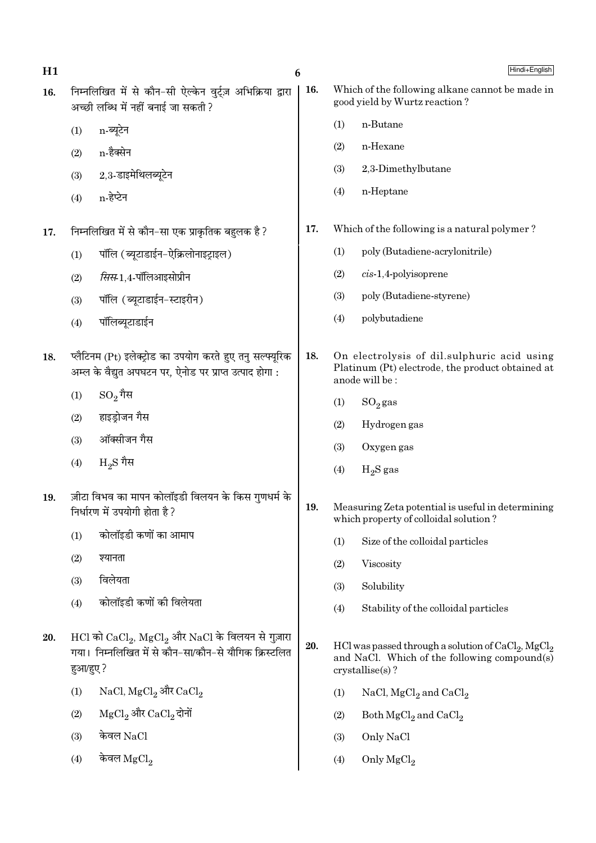| H1  |                                                                                                  | 6                                                                                                                    |     |                                                                                  | Hindi+English                                                                                                                         |  |
|-----|--------------------------------------------------------------------------------------------------|----------------------------------------------------------------------------------------------------------------------|-----|----------------------------------------------------------------------------------|---------------------------------------------------------------------------------------------------------------------------------------|--|
| 16. | निम्नलिखित में से कौन-सी ऐल्केन वुर्ट्ज़ अभिक्रिया द्वारा<br>अच्छी लब्धि में नहीं बनाई जा सकती ? |                                                                                                                      | 16. | Which of the following alkane cannot be made in<br>good yield by Wurtz reaction? |                                                                                                                                       |  |
|     | (1)                                                                                              | n-ब्यूटेन                                                                                                            |     | (1)                                                                              | n-Butane                                                                                                                              |  |
|     | (2)                                                                                              | n-हैक्सेन                                                                                                            |     | (2)                                                                              | n-Hexane                                                                                                                              |  |
|     | (3)                                                                                              | 2,3-डाइमेथिलब्यूटेन                                                                                                  |     | (3)                                                                              | 2,3-Dimethylbutane                                                                                                                    |  |
|     | (4)                                                                                              | n-हेप्टेन                                                                                                            |     | (4)                                                                              | n-Heptane                                                                                                                             |  |
| 17. |                                                                                                  | निम्नलिखित में से कौन–सा एक प्राकृतिक बहुलक है ?                                                                     | 17. |                                                                                  | Which of the following is a natural polymer?                                                                                          |  |
|     | (1)                                                                                              | पॉलि (ब्यूटाडाईन-ऐक्रिलोनाइट्राइल)                                                                                   |     | (1)                                                                              | poly (Butadiene-acrylonitrile)                                                                                                        |  |
|     | (2)                                                                                              | <i>सिस</i> -1,4-पॉलिआइसोप्रीन                                                                                        |     | (2)                                                                              | $cis-1,4$ -polyisoprene                                                                                                               |  |
|     | (3)                                                                                              | पॉलि (ब्यूटाडाईन-स्टाइरीन)                                                                                           |     | (3)                                                                              | poly (Butadiene-styrene)                                                                                                              |  |
|     | (4)                                                                                              | पॉलिब्यूटाडाईन                                                                                                       |     | (4)                                                                              | polybutadiene                                                                                                                         |  |
| 18. |                                                                                                  | प्लैटिनम (Pt) इलेक्ट्रोड का उपयोग करते हुए तनु सल्फ्यूरिक<br>अम्ल के वैद्युत अपघटन पर, ऐनोड पर प्राप्त उत्पाद होगा : | 18. |                                                                                  | On electrolysis of dil.sulphuric acid using<br>Platinum (Pt) electrode, the product obtained at<br>anode will be:                     |  |
|     | (1)                                                                                              | $\mathrm{SO}_2$ गैस                                                                                                  |     | (1)                                                                              | $SO_2$ gas                                                                                                                            |  |
|     | (2)                                                                                              | हाइड्रोजन गैस                                                                                                        |     | (2)                                                                              | Hydrogen gas                                                                                                                          |  |
|     | (3)                                                                                              | ऑक्सीजन गैस                                                                                                          |     | (3)                                                                              | Oxygen gas                                                                                                                            |  |
|     | (4)                                                                                              | $_{\rm H_2}$ $\rm S$ गैस                                                                                             |     | (4)                                                                              | $H_2S$ gas                                                                                                                            |  |
| 19. |                                                                                                  | ज़ीटा विभव का मापन कोलॉइडी विलयन के किस गुणधर्म के<br>निर्धारण में उपयोगी होता है?                                   | 19. |                                                                                  | Measuring Zeta potential is useful in determining<br>which property of colloidal solution?                                            |  |
|     | (1)                                                                                              | कोलॉइडी कणों का आमाप                                                                                                 |     | (1)                                                                              | Size of the colloidal particles                                                                                                       |  |
|     | (2)                                                                                              | श्यानता                                                                                                              |     | (2)                                                                              | Viscosity                                                                                                                             |  |
|     | (3)                                                                                              | विलेयता                                                                                                              |     | (3)                                                                              | Solubility                                                                                                                            |  |
|     | (4)                                                                                              | कोलॉइडी कणों की विलेयता                                                                                              |     | (4)                                                                              | Stability of the colloidal particles                                                                                                  |  |
| 20. | हुआ/हुए ?                                                                                        | $HCl$ को $CaCl2$ , $MgCl2$ और NaCl के विलयन से गुज़ारा<br>गया। निम्नलिखित में से कौन-सा/कौन-से यौगिक क्रिस्टलित      | 20. |                                                                                  | HCl was passed through a solution of $CaCl2$ , MgCl <sub>2</sub><br>and NaCl. Which of the following compound(s)<br>$crystalise(s)$ ? |  |
|     | (1)                                                                                              | NaCl, MgCl <sub>2</sub> और CaCl <sub>2</sub>                                                                         |     | (1)                                                                              | NaCl, $MgCl2$ and $CaCl2$                                                                                                             |  |
|     | (2)                                                                                              | ${ {\rm MgCl}_2}$ और ${ {\rm CaCl}_2}$ दोनों                                                                         |     | (2)                                                                              | Both $MgCl2$ and $CaCl2$                                                                                                              |  |
|     | (3)                                                                                              | केवल NaCl                                                                                                            |     | (3)                                                                              | Only NaCl                                                                                                                             |  |
|     | (4)                                                                                              | केवल $\rm{MgCl}_2$                                                                                                   |     | (4)                                                                              | Only $MgCl2$                                                                                                                          |  |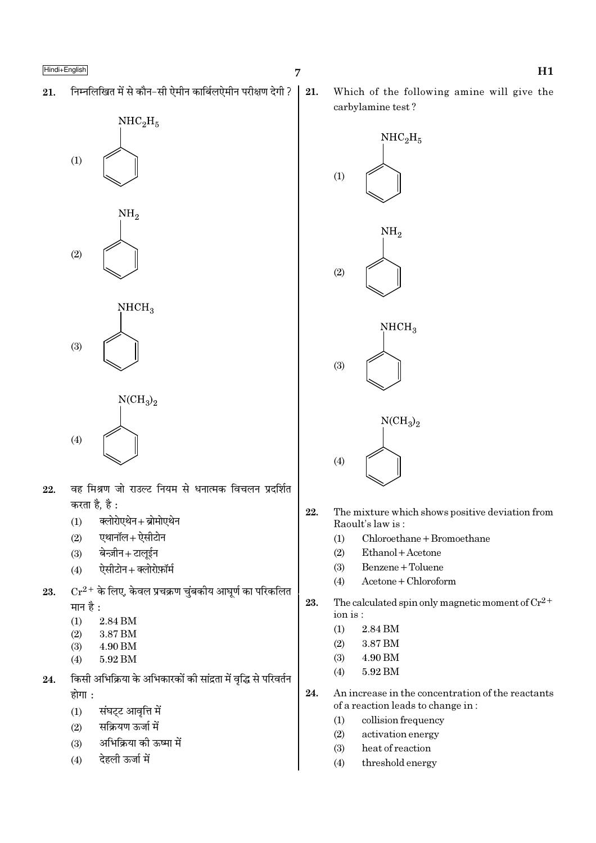निम्नलिखित में से कौन-सी ऐमीन कार्बिलऐमीन परीक्षण देगी ? 21.



- वह मिश्रण जो राउल्ट नियम से धनात्मक विचलन प्रदर्शित 22. करता है. है :
	- क्लोरोएथेन+ब्रोमोएथेन  $(1)$
	- एथानॉल+ ऐसीटोन  $(2)$
	- बेन्ज़ीन+टालूईन  $(3)$
	- ऐसीटोन + क्लोरोफ़ॉर्म  $(4)$
- $Cr^{2+}$  के लिए, केवल प्रचक्रण चुंबकीय आघूर्ण का परिकलित 23. मान है:
	- $(1)$ 2.84 BM
	- $(2)$ 3.87 BM
	- 4.90 BM  $(3)$
	- 5.92 BM  $(4)$
- किसी अभिक्रिया के अभिकारकों की सांद्रता में वृद्धि से परिवर्तन 24. होगा :
	- संघट्ट आवृत्ति में  $(1)$
	- सक्रियण ऊर्जा में  $(2)$
	- अभिक्रिया की ऊष्मा में  $(3)$
	- देहली ऊर्जा में  $(4)$

21.

Which of the following amine will give the carbylamine test?



- 22. The mixture which shows positive deviation from Raoult's law is:
	- $Chloroethane + Bromoethane$  $(1)$
	- $(2)$ Ethanol + Acetone
	- Benzene + Toluene  $(3)$
	- Acetone + Chloroform  $(4)$
- 23. The calculated spin only magnetic moment of  $Cr^{2+}$ ion is:
	- 2.84 BM  $(1)$
	- 3.87 BM  $(2)$
	- $(3)$ 4.90 BM
	- $(4)$ 5.92 BM
- 24. An increase in the concentration of the reactants of a reaction leads to change in:
	- $(1)$ collision frequency
	- $(2)$ activation energy
	- $(3)$ heat of reaction
	- threshold energy  $(4)$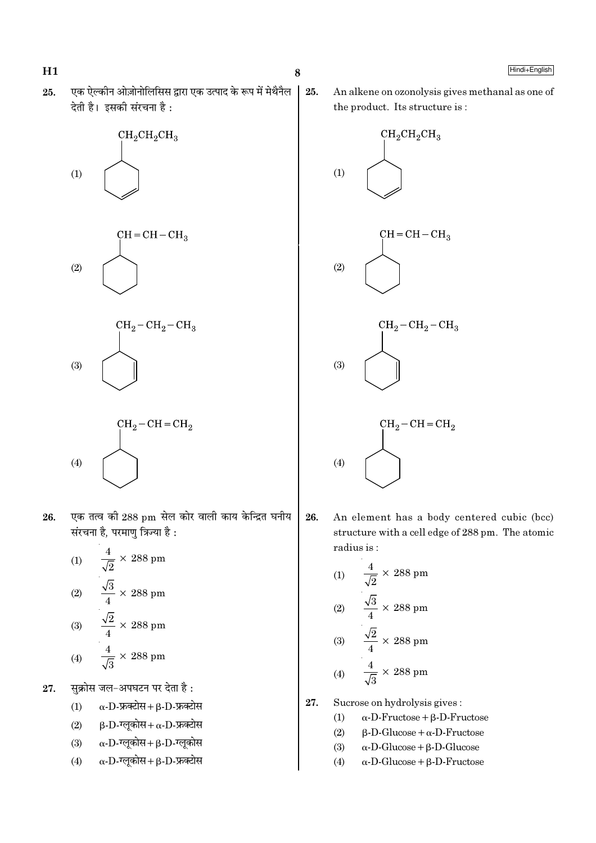एक ऐल्कीन ओज़ोनोलिसिस द्वारा एक उत्पाद के रूप में मेथैनैल 25. देती है। इसकी संरचना है:









- एक तत्व की 288 pm सेल कोर वाली काय केन्द्रित घनीय 26. संरचना है. परमाण त्रिज्या है :
	- $\frac{4}{\sqrt{2}} \times 288$  pm  $(1)$  $\frac{\sqrt{3}}{4} \times 288$  pm  $(2)$ (3)  $\frac{\sqrt{2}}{4} \times 288 \text{ pm}$  $\frac{4}{\sqrt{3}} \times 288$  pm  $(4)$
- सुक्रोस जल-अपघटन पर देता है: 27.
	- $(1)$  $\alpha$ -D-फ्रक्टोस+  $\beta$ -D-फ्रक्टोस
	- $\beta$ -D-ग्लूकोस+  $\alpha$ -D-फ्रक्टोस  $(2)$
	- $\alpha$ -D-ग्लूकोस+β-D-ग्लूकोस  $(3)$
	- $\alpha$ -D-ग्लुकोस + B-D-फ्रक्टोस  $(4)$

25. An alkene on ozonolysis gives methanal as one of the product. Its structure is:



26. An element has a body centered cubic (bcc) structure with a cell edge of 288 pm. The atomic radius is:

(1) 
$$
\frac{4}{\sqrt{2}} \times 288 \text{ pm}
$$
  
\n(2) 
$$
\frac{\sqrt{3}}{4} \times 288 \text{ pm}
$$
  
\n(3) 
$$
\frac{\sqrt{2}}{4} \times 288 \text{ pm}
$$
  
\n(4) 
$$
\frac{4}{\sqrt{3}} \times 288 \text{ pm}
$$

- 27. Sucrose on hydrolysis gives:
	- $(1)$  $\alpha$ -D-Fructose +  $\beta$ -D-Fructose
	- $(2)$  $\beta$ -D-Glucose +  $\alpha$ -D-Fructose
	- $(3)$  $\alpha$ -D-Glucose +  $\beta$ -D-Glucose
	- $(4)$  $\alpha$ -D-Glucose +  $\beta$ -D-Fructose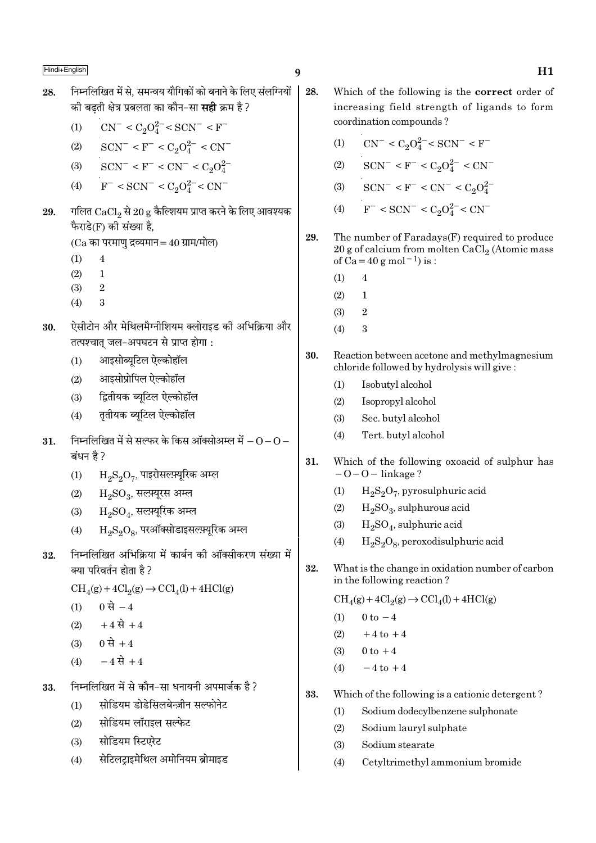28.

- निम्नलिखित में से. समन्वय यौगिकों को बनाने के लिए संलग्नियों 28. की बढती क्षेत्र प्रबलता का कौन–सा **सही** क्रम है ?
	- $CN^- < C_2O_4^{2-} < SCN^- < F^ (1)$

(2) 
$$
SCN^{-} < F^{-} < C_2O_4^{2-} < CN
$$

- $SCN^- < F^- < CN^- < C_2O_4^{2-}$  $(3)$
- $F^{-} < SCN^{-} < C_{2}O_{4}^{2-} < CN^{-}$  $(4)$
- गलित  $CaCl_2$  से  $20 g$  कैल्शियम प्राप्त करने के लिए आवश्यक 29. फैराडे(F) की संख्या है.

 $(Ca$  का परमाण द्रव्यमान = 40 ग्राम/मोल)

- $(1)$  $\overline{4}$
- $(2)$  $\mathbf{1}$
- $(3)$  $\mathfrak{D}$
- $(4)$ 3
- ऐसीटोन और मेथिलमैग्नीशियम क्लोराइड की अभिक्रिया और 30. तत्पश्चात जल-अपघटन से प्राप्त होगा:
	- आइसोब्यूटिल ऐल्कोहॉल  $(1)$
	- आइसोप्रोपिल ऐल्कोहॉल  $(2)$
	- द्वितीयक ब्यटिल ऐल्कोहॉल  $(3)$
	- ततीयक ब्यटिल ऐल्कोहॉल  $(4)$
- निम्नलिखित में से सल्फर के किस ऑक्सोअम्ल में  $0$   $0$   $-$ 31. ਕਂधन है ?
	- $\mathrm{H_{2}S_{2}O_{7}}$ , पाइरोसल्फ़्यूरिक अम्ल  $(1)$
	- $H_9SO_3$ , सलम्यूरस अम्ल  $(2)$
	- $\rm H_2SO_4$ , सल्फ़्यूरिक अम्ल  $(3)$
	- $\rm H_2S_2O_8$ , परऑक्सोडाइसल्फ़्यूरिक अम्ल  $(4)$
- निम्नलिखित अभिक्रिया में कार्बन की ऑक्सीकरण संख्या में 32. क्या परिवर्तन होता है ?
	- $CH<sub>4</sub>(g) + 4Cl<sub>2</sub>(g) \rightarrow CCl<sub>4</sub>(l) + 4HCl(g)$
	- 0 से  $-4$  $(1)$
	- $+4 \vec{R}$  + 4  $(2)$
	- 0 से +4  $(3)$
	- $-4 \vec{R} + 4$  $(4)$
- निम्नलिखित में से कौन-सा धनायनी अपमार्जक है ? 33.
	- सोडियम डोडेसिलबेन्ज़ीन सल्फोनेट  $(1)$
	- सोडियम लॉराइल सल्फेट  $(2)$
	- सोडियम स्टिएरेट  $(3)$
	- सेटिलटाइमेथिल अमोनियम ब्रोमाइड  $(4)$
- Which of the following is the correct order of increasing field strength of ligands to form coordination compounds?
	- $CN^{-} < C_2O_4^{2-} < SCN^{-} < F^{-}$  $(1)$
	- $SCN^- < F^- < C_2O_4^{2-} < CN^ (2)$
	- (3)  $SCN^- < F^- < CN^- < C_2O_4^{2-}$
	- $F^-$  < SCN<sup>-</sup> < C<sub>2</sub>O<sub>4</sub><sup>2-</sup> < CN<sup>-</sup>  $(4)$
- 29. The number of Faradays(F) required to produce 20 g of calcium from molten CaCl<sub>2</sub> (Atomic mass of  $Ca = 40 g$  mol<sup>-1</sup>) is :
	- $(1)$  $\overline{4}$
	- $(2)$  $\mathbf{1}$
	- $(3)$  $\overline{2}$
	- $(4)$ 3
- 30. Reaction between acetone and methylmagnesium chloride followed by hydrolysis will give:
	- Isobutyl alcohol  $(1)$
	- $(2)$ Isopropyl alcohol
	- Sec. butyl alcohol  $(3)$
	- $(4)$ Tert. butyl alcohol
- 31. Which of the following oxoacid of sulphur has  $-O-O$  - linkage?
	- $H_2S_2O_7$ , pyrosulphuric acid  $(1)$
	- $(2)$  $H_2SO_3$ , sulphurous acid
	- $H<sub>2</sub>SO<sub>4</sub>$ , sulphuric acid  $(3)$
	- $H_2S_2O_8$ , peroxodisulphuric acid  $(4)$
- 32 What is the change in oxidation number of carbon in the following reaction?

 $\text{CH}_4(g) + 4\text{Cl}_2(g) \rightarrow \text{CCl}_4(l) + 4\text{HCl}(g)$ 

- $(1)$  $0 \text{ to } -4$
- $(2)$  $+4$  to  $+4$
- $0$  to  $+4$  $(3)$
- $-4$  to  $+4$  $(4)$
- 33. Which of the following is a cationic detergent?
	- Sodium dodecylbenzene sulphonate  $(1)$
	- $(2)$ Sodium lauryl sulphate
	- $(3)$ Sodium stearate
	- $(4)$ Cetyltrimethyl ammonium bromide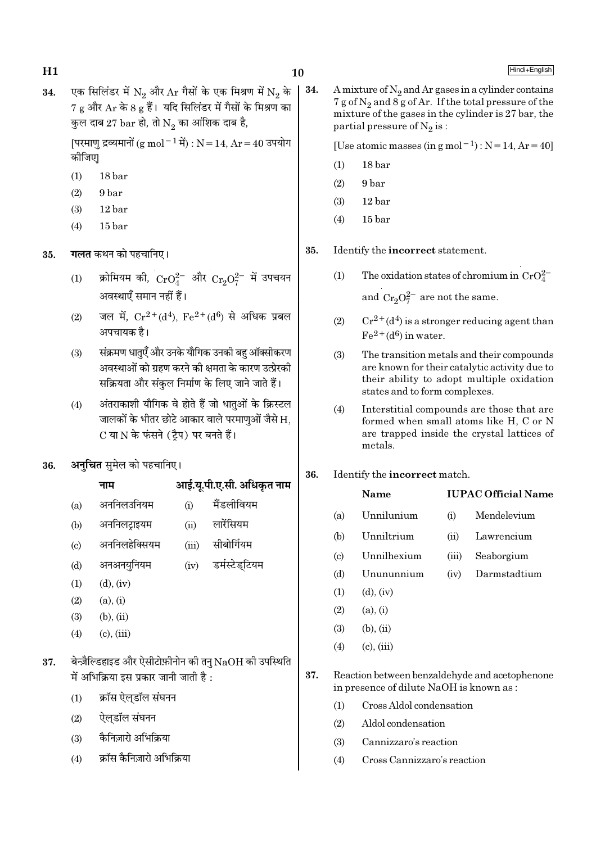एक सिलिंडर में N<sub>2</sub> और Ar गैसों के एक मिश्रण में N<sub>2</sub> के | 34. 34. 7 g और Ar के 8 g हैं। यदि सिलिंडर में गैसों के मिश्रण का कुल दाब 27  $bar$  हो, तो  $N_2$  का आंशिक दाब है,

> [परमाणु द्रव्यमानों (g mol - 1 में) : N = 14, Ar = 40 उपयोग कोजिए।

- $(1)$ 18 bar
- 9<sub>bar</sub>  $(2)$
- $(3)$ 12 bar
- $15<sub>bar</sub>$  $(4)$
- **गलत** कथन को पहचानिए। 35.
	- क्रोमियम की,  $CrO_4^{2-}$  और  $Cr_2O_7^{2-}$  में उपचयन  $(1)$ अवस्थाएँ समान नहीं हैं।
	- जल में.  $Cr^{2+}(d^4)$ .  $Fe^{2+}(d^6)$  से अधिक प्रबल  $(2)$ अपचायक है।
	- संक्रमण धातुएँ और उनके यौगिक उनकी बह ऑक्सीकरण  $(3)$ अवस्थाओं को ग्रहण करने की क्षमता के कारण उत्प्रेरकी सक्रियता और संकुल निर्माण के लिए जाने जाते हैं।
	- अंतराकाशी यौगिक वे होते हैं जो धातुओं के क्रिस्टल  $(4)$ जालकों के भीतर छोटे आकार वाले परमाणओं जैसे H. C या N के फंसने (टैप) पर बनते हैं।
- अनुचित सुमेल को पहचानिए। 36.

### आई.यू.पी.ए.सी. अधिकृत नाम नाम

- मैंडलीवियम अननिलउनियम  $(i)$  $(a)$
- अननिलट्राइयम लारेंसियम  $(b)$  $(ii)$
- अननिलहेक्सियम सीबोर्गियम  $(c)$  $(iii)$
- अनअनयनियम डर्मस्टेडटियम  $(iv)$  $(d)$
- $(d)$ ,  $(iv)$  $(1)$
- $(2)$  $(a), (i)$
- $(3)$  $(b)$ ,  $(ii)$
- $(4)$  $(c)$ ,  $(iii)$

### बेन्ज़ैल्डिहाइड और ऐसीटोफ़ीनोन की तनु  $NaOH$  की उपस्थिति 37. में अभिक्रिया इस प्रकार जानी जाती है:

- क्रॉस ऐलडॉल संघनन  $(1)$
- ऐलडॉल संघनन  $(2)$
- कैनिज़ारो अभिक्रिया  $(3)$
- क्रॉस कैनिज़ारो अभिक्रिया  $(4)$

A mixture of  $N_2$  and Ar gases in a cylinder contains 7 g of  $N_2$  and  $8g$  of Ar. If the total pressure of the mixture of the gases in the cylinder is 27 bar, the partial pressure of  $N_2$  is:

[Use atomic masses (in g mol<sup>-1</sup>) :  $N = 14$ ,  $Ar = 40$ ]

- $(1)$  $18<sub>bar</sub>$
- 9<sub>bar</sub>  $(2)$
- $(3)$ 12 bar
- $15<sub>bar</sub>$  $(4)$

35. Identify the incorrect statement.

> The oxidation states of chromium in  $CrO_4^{2-}$  $(1)$

> > and  $Cr_2O_7^{2-}$  are not the same.

- $Cr^{2+}(d^4)$  is a stronger reducing agent than  $(2)$  $Fe<sup>2+</sup>(d<sup>6</sup>)$  in water.
- $(3)$ The transition metals and their compounds are known for their catalytic activity due to their ability to adopt multiple oxidation states and to form complexes.
- $(4)$ Interstitial compounds are those that are formed when small atoms like H, C or N are trapped inside the crystal lattices of metals.

### 36. Identify the incorrect match.

**Name** 

# **IUPAC Official Name**

- Unnilunium Mendelevium  $(a)$  $(i)$
- $(b)$ Unniltrium  $(ii)$ Lawrencium
- Unnilhexium Seaborgium  $\left( \mathrm{c}\right)$  $(iii)$
- $(d)$ Unununnium  $(iv)$ Darmstadtium
- $(1)$  $(d)$ ,  $(iv)$
- $(a)$ .  $(i)$  $(2)$
- $(3)$  $(b)$ ,  $(ii)$
- $(c)$ ,  $(iii)$  $(4)$

### 37. Reaction between benzaldehyde and acetophenone in presence of dilute NaOH is known as:

- $(1)$ Cross Aldol condensation
- $(2)$ Aldol condensation
- $(3)$ Cannizzaro's reaction
- $(4)$ Cross Cannizzaro's reaction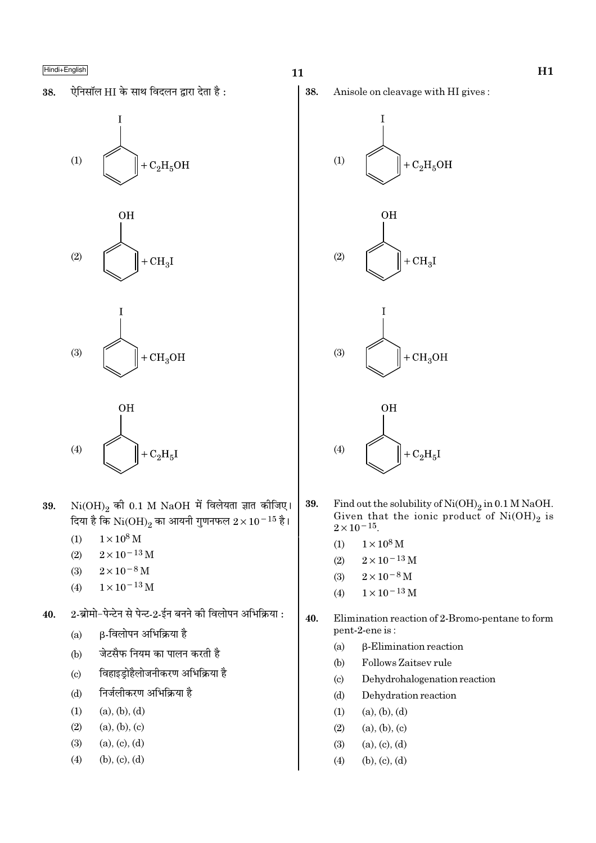ऐनिसॉल HI के साथ विदलन द्वारा देता है: 38.









- $Ni(OH)_{2}$  की 0.1 M NaOH में विलेयता ज्ञात कीजिए। 39. दिया है कि  $\rm Ni(OH)_2$  का आयनी गुणनफल  $2 \times 10^{-15}$  है।
	- $1 \times 10^8$  M  $(1)$
	- $(2)$  $2 \times 10^{-13}$  M
	- $(3)$  $2\times10^{-8}\,\mathrm{M}$
	- $1\times10^{-13}\,\mathrm{M}$  $(4)$
- 2-ब्रोमो-पेन्टेन से पेन्ट-2-ईन बनने की विलोपन अभिक्रिया : 40.
	- β-विलोपन अभिक्रिया है  $(a)$
	- जेटसैफ नियम का पालन करती है  $(b)$
	- विहाइड़ोहैलोजनीकरण अभिक्रिया है  $\left( \mathrm{c}\right)$
	- निर्जलीकरण अभिक्रिया है  $(d)$
	- $(1)$  $(a), (b), (d)$
	- $(2)$  $(a), (b), (c)$
	- $(a), (c), (d)$  $(3)$
	- $(b), (c), (d)$  $(4)$

38. Anisole on cleavage with HI gives:









- Find out the solubility of  $Ni(OH)_2$  in 0.1 M NaOH.<br>Given that the ionic product of  $Ni(OH)_2$  is  $2 \times 10^{-15}$ . 39.
	- $1\times10^8\,\rm M$  $(1)$
	- $2\times10^{-13}\,\mathrm{M}$  $(2)$
	- $2 \times 10^{-8}$  M  $(3)$
	- $1\times10^{-13}\,\mathrm{M}$  $(4)$
- 40. Elimination reaction of 2-Bromo-pentane to form pent-2-ene is:
	- $(a)$ β-Elimination reaction
	- Follows Zaitsev rule  $(b)$
	- $(c)$ Dehydrohalogenation reaction
	- $(d)$ Dehydration reaction
	- $(1)$  $(a), (b), (d)$
	- $(2)$  $(a), (b), (c)$
	- $(a), (c), (d)$  $(3)$
	- $(4)$  $(b), (c), (d)$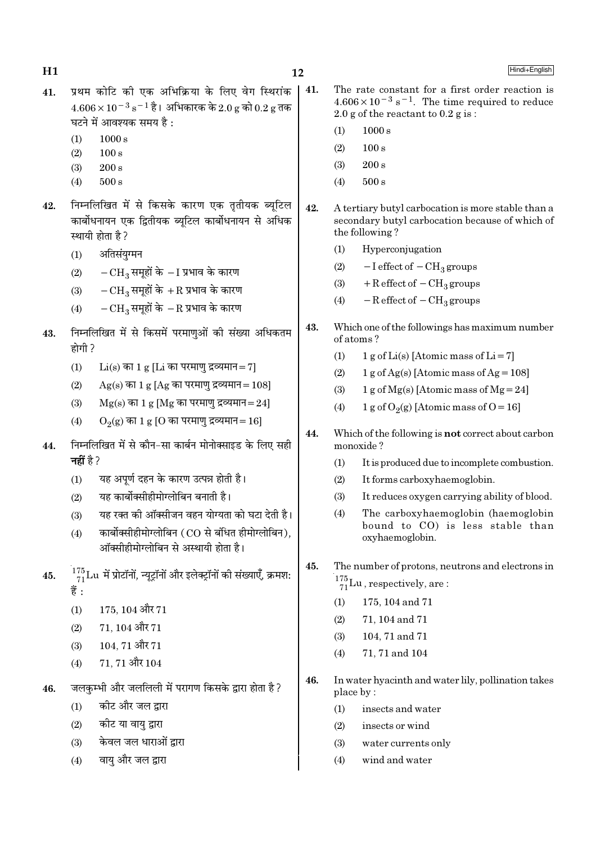- प्रथम कोटि की एक अभिक्रिया के लिए वेग स्थिरांक  $41.$  $4.606 \times 10^{-3}$  s<sup>-1</sup> है। अभिकारक के 2.0 g को 0.2 g तक घटने में आवश्यक समय है:
	- $(1)$  $1000 s$

- $(2)$  $100 s$
- $200 s$  $(3)$
- $(4)$  $500 s$
- निम्नलिखित में से किसके कारण एक तृतीयक ब्यूटिल 42. कार्बोधनायन एक द्वितीयक ब्यूटिल कार्बोधनायन से अधिक स्थायी होता है?
	- अतिसंयग्मन  $(1)$
	- $-CH_3$  समूहों के  $-I$  प्रभाव के कारण  $(2)$
	- $-{\rm CH}_2$  समुहों के  $+{\rm R}$  प्रभाव के कारण  $(3)$
	- $-CH_3$  समूहों के  $-R$  प्रभाव के कारण  $(4)$
- निम्नलिखित में से किसमें परमाणुओं की संख्या अधिकतम 43. होगी ?
	- $(1)$  $Li(s)$  का 1 g [Li का परमाण द्रव्यमान= 7]
	- $(2)$  $Ag(s)$  का 1 g [Ag का परमाणु द्रव्यमान = 108]
	- $Mg(s)$  का 1 g [Mg का परमाणु द्रव्यमान=24]  $(3)$
	- $(4)$  $O<sub>2</sub>(g)$  का 1 g [O का परमाणु द्रव्यमान = 16]
- निम्नलिखित में से कौन-सा कार्बन मोनोक्साइड के लिए सही 44. नहीं है ?
	- यह अपर्ण दहन के कारण उत्पन्न होती है।  $(1)$
	- यह कार्बोक्सीहीमोग्लोबिन बनाती है।  $(2)$
	- यह रक्त की ऑक्सीजन वहन योग्यता को घटा देती है।  $(3)$
	- कार्बोक्सीहीमोग्लोबिन (CO से बंधित हीमोग्लोबिन).  $(4)$ ऑक्सीहीमोग्लोबिन से अस्थायी होता है।
- $\frac{175}{71}$ Lu में प्रोटॉनों, न्यूट्रॉनों और इलेक्ट्रॉनों की संख्याएँ, क्रमश: 45. हैं :
	- 175, 104 और 71  $(1)$
	- $(2)$  $71, 104$  और  $71$
	- 104.71 और 71  $(3)$
	- 71, 71 और 104  $(4)$
- जलकम्भी और जललिली में परागण किसके द्वारा होता है? 46.
	- $(1)$ कीट और जल द्वारा
	- कीट या वायु द्वारा  $(2)$
	- केवल जल धाराओं द्रारा  $(3)$
	- वाय और जल द्वारा  $(4)$
- 41. The rate constant for a first order reaction is  $4.606 \times 10^{-3}$  s<sup>-1</sup>. The time required to reduce 2.0 g of the reactant to  $0.2$  g is:
	- $(1)$  $1000 s$
	- $100 s$  $(2)$
	- $(3)$  $200 s$
	- $500 s$  $(4)$
- $42.$ A tertiary butyl carbocation is more stable than a secondary butyl carbocation because of which of the following?
	- Hyperconjugation  $(1)$
	- $-I$  effect of  $-CH<sub>3</sub>$  groups  $(2)$
	- $+R$  effect of  $-CH_3$  groups  $(3)$
	- $(4)$  $-R$  effect of  $-CH<sub>3</sub>$  groups
- 43. Which one of the followings has maximum number of atoms?
	- $(1)$ 1 g of Li(s) [Atomic mass of Li = 7]
	- 1 g of Ag(s) [Atomic mass of Ag =  $108$ ]  $(2)$
	- $(3)$  $1 g$  of Mg(s) [Atomic mass of Mg = 24]
	- 1 g of  $O_2(g)$  [Atomic mass of  $O = 16$ ]  $(4)$
- $44.$ Which of the following is **not** correct about carbon monoxide?
	- $(1)$ It is produced due to incomplete combustion.
	- $(2)$ It forms carboxyhaemoglobin.
	- $(3)$ It reduces oxygen carrying ability of blood.
	- $(4)$ The carboxyhaemoglobin (haemoglobin bound to CO) is less stable than oxyhaemoglobin.
- The number of protons, neutrons and electrons in 45.  $^{175}_{71}$ Lu, respectively, are:
	- 175, 104 and 71  $(1)$
	- $(2)$ 71, 104 and 71
	- 104, 71 and 71  $(3)$
	- 71, 71 and 104  $(4)$
- 46. In water hyacinth and water lily, pollination takes place by:
	- $(1)$ insects and water
	- insects or wind  $(2)$
	- $(3)$ water currents only
	- $(4)$ wind and water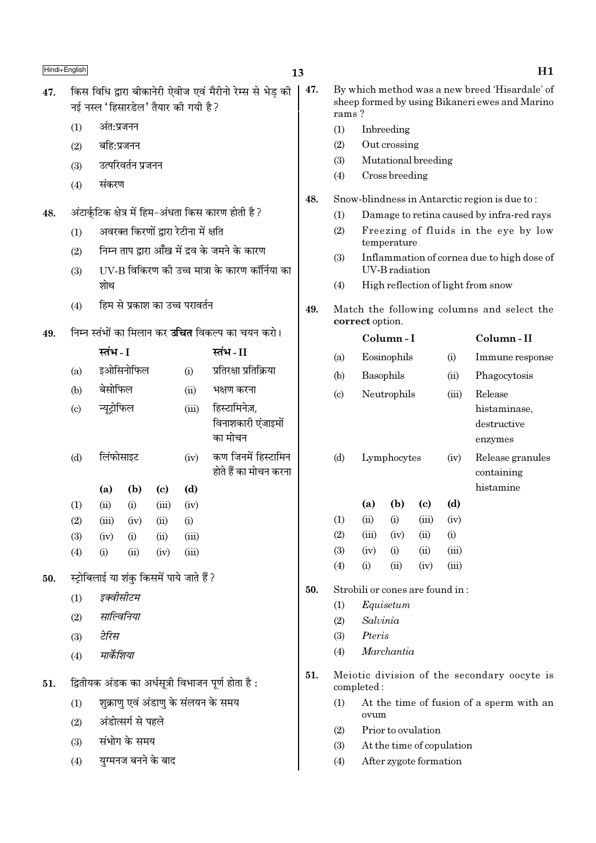- किस विधि द्वारा बीकानेरी ऐवीज एवं मैरीनो रेम्स से भेड की 47. नई नस्ल 'हिसारडेल' तैयार की गयी है ?
	- अंत:प्रजनन  $(1)$
	- $(2)$ बहि:प्रजनन
	- उत्परिवर्तन प्रजनन  $(3)$
	- संकरण  $(4)$
- अंटार्कुटिक क्षेत्र में हिम-अंधता किस कारण होती है ? 48.
	- अवरक्त किरणों द्वारा रेटीना में क्षति  $(1)$
	- निम्न ताप द्वारा आँख में द्रव के जमने के कारण  $(2)$
	- IIV-B विकिरण की उच्च मात्रा के कारण कॉर्निया का  $(3)$ शोथ
	- हिम से प्रकाश का उच्च परावर्तन  $(4)$
- निम्न स्तंभों का मिलान कर **उचित** विकल्प का चयन करो। 49.

|                            | स्तंभ - I   |      |                                           |       | स्तंभ - II                                     |
|----------------------------|-------------|------|-------------------------------------------|-------|------------------------------------------------|
| (a)                        | इओसिनोफिल   |      |                                           | (i)   | प्रतिरक्षा प्रतिक्रिया                         |
| (b)                        | बेसोफिल     |      |                                           | (ii)  | भक्षण करना                                     |
| $\left( \mathrm{c}\right)$ | न्यूट्रोफिल |      |                                           | (iii) | हिस्टामिनेज़,<br>विनाशकारी एंजाइमों<br>का मोचन |
| (d)                        | लिंफोसाइट   |      |                                           | (iv)  | कण जिनमें हिस्टामिन<br>होते हैं का मोचन करना   |
|                            | (a)         | (b)  | (c)                                       | (d)   |                                                |
| (1)                        | (ii)        | (i)  | (iii)                                     | (iv)  |                                                |
| (2)                        | (iii)       | (iv) | (ii)                                      | (i)   |                                                |
| (3)                        | (iv)        | (i)  | (ii)                                      | (iii) |                                                |
| (4)                        | (i)         | (ii) | (iv)                                      | (iii) |                                                |
|                            |             |      | स्ट्रोबिलाई या शंकु किसमें पाये जाते हैं? |       |                                                |
| (1)                        | इक्वीसीटम   |      |                                           |       |                                                |
| (2)                        | साल्विनिया  |      |                                           |       |                                                |
| (3)                        | टेरिस       |      |                                           |       |                                                |
| (4)                        | मार्केशिया  |      |                                           |       |                                                |
|                            |             |      |                                           |       |                                                |

- द्वितीयक अंडक का अर्धसूत्री विभाजन पूर्ण होता है: 51.
	- शुक्राणु एवं अंडाण के संलयन के समय  $(1)$
	- अंडोत्सर्ग से पहले  $(2)$
	- संभोग के समय  $(3)$

50.

युग्मनज बनने के बाद  $(4)$ 

- 47. By which method was a new breed 'Hisardale' of sheep formed by using Bikaneri ewes and Marino rams?
	- $(1)$ Inbreeding
	- $(2)$ Out crossing
	- Mutational breeding  $(3)$
	- $(4)$ Cross breeding
- 48. Snow-blindness in Antarctic region is due to:
	- Damage to retina caused by infra-red rays  $(1)$
	- $(2)$ Freezing of fluids in the eye by low temperature
	- Inflammation of cornea due to high dose of  $(3)$ **UV-B** radiation
	- High reflection of light from snow  $(4)$
- 49. Match the following columns and select the correct option.

|     | Column - I                       |             |       |       | Column - II                                       |
|-----|----------------------------------|-------------|-------|-------|---------------------------------------------------|
| (a) |                                  | Eosinophils |       | (i)   | Immune response                                   |
| (b) |                                  | Basophils   |       | (ii)  | Phagocytosis                                      |
| (c) |                                  | Neutrophils |       |       | Release<br>histaminase,<br>destructive<br>enzymes |
| (d) |                                  | Lymphocytes |       | (iv)  | Release granules<br>containing<br>histamine       |
|     | (a)                              | (b)         | (c)   | (d)   |                                                   |
| (1) | (ii)                             | (i)         | (iii) | (iv)  |                                                   |
| (2) | (iii)                            | (iv)        | (ii)  | (i)   |                                                   |
| (3) | (iv)                             | (i)         | (ii)  | (iii) |                                                   |
| (4) | (i)                              | (ii)        | (iv)  | (iii) |                                                   |
|     | Strobili or cones are found in : |             |       |       |                                                   |

- $(1)$ Equisetum
- Salvinia  $(2)$
- Pteris  $(3)$

50.

- Marchantia  $(4)$
- 51. Meiotic division of the secondary oocyte is completed:
	- At the time of fusion of a sperm with an  $(1)$ ovum
	- $(2)$ Prior to ovulation
	- $(3)$ At the time of copulation
	- After zygote formation  $(4)$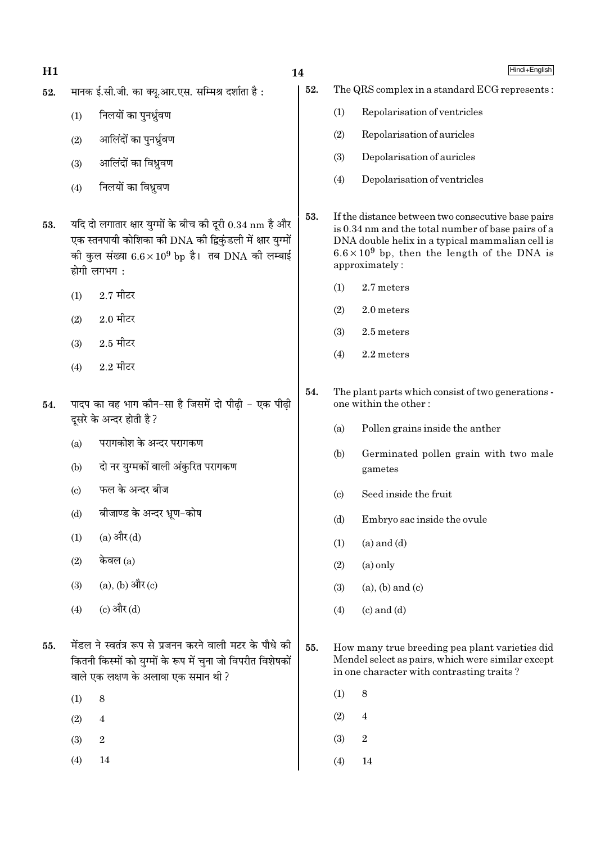### मानक ई.सी.जी. का क्यू.आर.एस. सम्मिश्र दर्शाता है: 52.

- निलयों का पनर्ध्रवण  $(1)$
- आलिंदों का पुनर्ध्रुवण  $(2)$
- आलिंदों का विध्रवण  $(3)$
- निलयों का विध्रवण  $(4)$
- यदि दो लगातार क्षार युग्मों के बीच की दूरी  $0.34 \text{ nm}$  है और 53. एक स्तनपायी कोशिका की DNA की द्विकंडली में क्षार युग्मों की कुल संख्या  $6.6 \times 10^9$  bp है। तब DNA की लम्बाई होगी लगभग:
	- $2.7$  मीटर  $(1)$
	- $2.0$  मीटर  $(2)$
	- $2.5$  मीटर  $(3)$
	- $2.2$  मीटर  $(4)$
- पादप का वह भाग कौन-सा है जिसमें दो पीढ़ी एक पीढ़ी 54. दसरे के अन्दर होती है ?
	- $(a)$ परागकोश के अन्दर परागकण
	- दो नर युग्मकों वाली अंकुरित परागकण  $(b)$
	- फल के अन्दर बीज  $\left( \mathrm{c}\right)$
	- बीजाण्ड के अन्दर भ्रण-कोष  $(d)$
	- (a) और  $(d)$  $(1)$
	- केवल $(a)$  $(2)$
	- $(a)$ ,  $(b)$  और  $(c)$  $(3)$
	- (c) और (d)  $(4)$
- मेंडल ने स्वतंत्र रूप से प्रजनन करने वाली मटर के पौधे की 55. कितनी किस्मों को युग्मों के रूप में चुना जो विपरीत विशेषकों वाले एक लक्षण के अलावा एक समान थी ?
	- $(1)$ 8
	- $(2)$  $\overline{4}$
	- $(3)$  $\overline{2}$
	- $(4)$  $14$
- 52. The QRS complex in a standard ECG represents:
	- $(1)$ Repolarisation of ventricles
	- Repolarisation of auricles  $(2)$
	- Depolarisation of auricles  $(3)$
	- Depolarisation of ventricles  $(4)$
- 53. If the distance between two consecutive base pairs is 0.34 nm and the total number of base pairs of a DNA double helix in a typical mammalian cell is  $6.6 \times 10^9$  bp, then the length of the DNA is approximately:
	- 2.7 meters  $(1)$

14

- 2.0 meters  $(2)$
- 2.5 meters  $(3)$
- $(4)$  $2.2$  meters
- 54. The plant parts which consist of two generations one within the other:
	- Pollen grains inside the anther  $(a)$
	- $(b)$ Germinated pollen grain with two male gametes
	- Seed inside the fruit  $(c)$
	- $(d)$ Embryo sac inside the ovule
	- $(a)$  and  $(d)$  $(1)$
	- $(2)$  $(a)$  only
	- $(3)$  $(a)$ ,  $(b)$  and  $(c)$
	- $(4)$  $(c)$  and  $(d)$
- 55. How many true breeding pea plant varieties did Mendel select as pairs, which were similar except in one character with contrasting traits?
	- $(1)$ 8
	- $(2)$  $\overline{4}$
	- $(3)$  $\overline{2}$
	- $(4)$ 14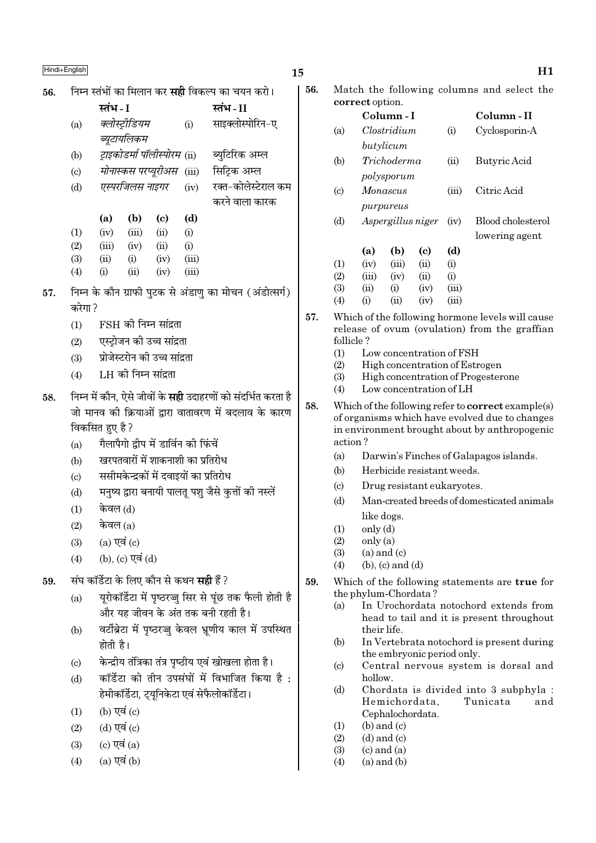| ۰. | ٦<br>. .<br>۰.<br>۰,<br>$\sim$ |  |
|----|--------------------------------|--|
|    |                                |  |

# $\frac{\text{Hindi} + \text{English}}{\text{H1}}$ 56. निम्न स्तंभों का मिलान कर **सही** विकल्प का चयन करो। **SÃ¥÷** - I **SÃ¥÷** - II (a) *क्लोस्ट्रीडियम* (i) साइक्लोस्पोरिन-ए *ब्यटायलिकम* (b) *ट्राइकोडर्मा पॉलीस्पोरम (*ii) ब्युटिरिक अम्ल (c) *मोनास्कस परप्यरीअस* (iii) सिटिक अम्ल (d) *एस्परजिलस नाइगर* (iv) रक्त−कोलेस्टेराल कम करने वाला कारक (a) (b) (c) (d)  $(1)$   $(iv)$   $(iii)$   $(ii)$   $(i)$ (2) (iii) (iv) (ii) (i)  $(3)$   $(ii)$   $(i)$   $(iv)$   $(iii)$ (4) (i) (ii) (iv) (iii) 57. निम्न के कौन ग्राफी पुटक से अंडाणु का मोचन (अंडोत्सर्ग) करेगा ?  $(1)$  FSH की निम्न सांद्रता (2) एस्ट्रोजन की उच्च सांद्रता (3) प्रोजेस्टरोन की उच्च सांद्रता  $(4)$  LH की निम्न सांद्रता 58. निम्न में कौन, ऐसे जीवों के **सही** उदाहरणों को संदर्भित करता है जो मानव की क्रियाओं द्वारा वातावरण में बदलाव के कारण विकसित हुए है ? (a) गैलापैगो द्वीप में डार्विन की फिंचें (b) ग्वरपतवारों में शाकनाशी का प्रतिरोध (c) ससीमकेन्द्रकों में दवाइयों का प्रतिरोध (d) मनुष्य द्वारा बनायी पालतू पशु जैसे कुत्तों की नस्लें

- $(1)$  केवल  $(d)$
- $(2)$  केवल  $(a)$
- $(3)$   $(a)$   $\nabla \overrightarrow{q}$   $(c)$
- $(4)$  (b),  $(c)$   $\nabla \vec{a}$   $(d)$
- 59. संघ कॉर्डेटा के लिए कौन से कथन **सही** हैं ?
	- (a) यरोकॉर्डेटा में पष्ठरज्ज सिर से पंछ तक फैली होती है और यह जीवन के अंत तक बनी रहती है।
	- (b) वर्टीब्रेटा में पष्ठरज्ज केवल भ्रणीय काल में उपस्थित होती है।
	- (c) हेि केन्द्रीय तंत्रिका तंत्र पृष्ठीय एवं खोखला होता है।
	- $(d)$   $\overline{a}$ कॉर्डेटा को तीन उपसंघों में विभाजित किया है : हेमीकॉर्डेटा, टयनिकेटा एवं सेफैलोकॉर्डेटा।
	- $(1)$   $(b)$   $\nabla \vec{a}$   $(c)$
	- $(2)$   $(d)$  एवं  $(c)$
	- $(3)$   $(c)$  एवं  $(a)$
	- $(4)$   $(a)$  एवं  $(b)$

| 56. |                        | Match the following columns and select the |  |  |
|-----|------------------------|--------------------------------------------|--|--|
|     | <b>correct</b> option. |                                            |  |  |

|                            | correct option. |                   |      |       |                   |
|----------------------------|-----------------|-------------------|------|-------|-------------------|
|                            |                 | Column - I        |      |       | Column - II       |
| (a)                        |                 | Clostridium       |      | (i)   | Cyclosporin-A     |
|                            |                 | butylicum         |      |       |                   |
| (b)                        |                 | Trichoderma       |      | (ii)  | Butyric Acid      |
|                            |                 | polysporum        |      |       |                   |
| $\left( \mathrm{c}\right)$ |                 | Monascus          |      | (iii) | Citric Acid       |
|                            |                 | purpureus         |      |       |                   |
| (d)                        |                 | Aspergillus niger |      | (iv)  | Blood cholesterol |
|                            |                 |                   |      |       | lowering agent    |
|                            | (a)             | (b)               | (c)  | (d)   |                   |
| (1)                        | (iv)            | (iii)             | (ii) | (i)   |                   |
| (2)                        | (iii)           | (iv)              | (ii) | (i)   |                   |
| (3)                        | (ii)            | (i)               | (iv) | (iii) |                   |
| (4)                        | $\rm (i)$       | $\rm (ii)$        | (iv) | (iii) |                   |
|                            |                 |                   |      |       |                   |

- 57. Which of the following hormone levels will cause release of ovum (ovulation) from the graffian follicle ?
	- (1) Low concentration of FSH
	- (2) High concentration of Estrogen
	- (3) High concentration of Progesterone
	- (4) Low concentration of LH
- 58. Which of the following refer to correct example(s) of organisms which have evolved due to changes in environment brought about by anthropogenic action ?
	- (a) Darwin's Finches of Galapagos islands.
	- (b) Herbicide resistant weeds.
	- (c) Drug resistant eukaryotes.
	- (d) Man-created breeds of domesticated animals like dogs.
	- $(1)$  only  $(d)$
	- $(2)$  only  $(a)$
	- $(3)$   $(a)$  and  $(c)$
	- $(4)$  (b), (c) and (d)
- 59. Which of the following statements are true for the phylum-Chordata ?
	- (a) In Urochordata notochord extends from head to tail and it is present throughout their life.
	- (b) In Vertebrata notochord is present during the embryonic period only.
	- (c) Central nervous system is dorsal and hollow.
	- (d) Chordata is divided into 3 subphyla : Hemichordata, Tunicata and Cephalochordata.
	- $(1)$  (b) and  $(c)$
	- $(2)$   $(d)$  and  $(c)$
	- $(3)$   $(c)$  and  $(a)$
	- $(4)$  (a) and  $(b)$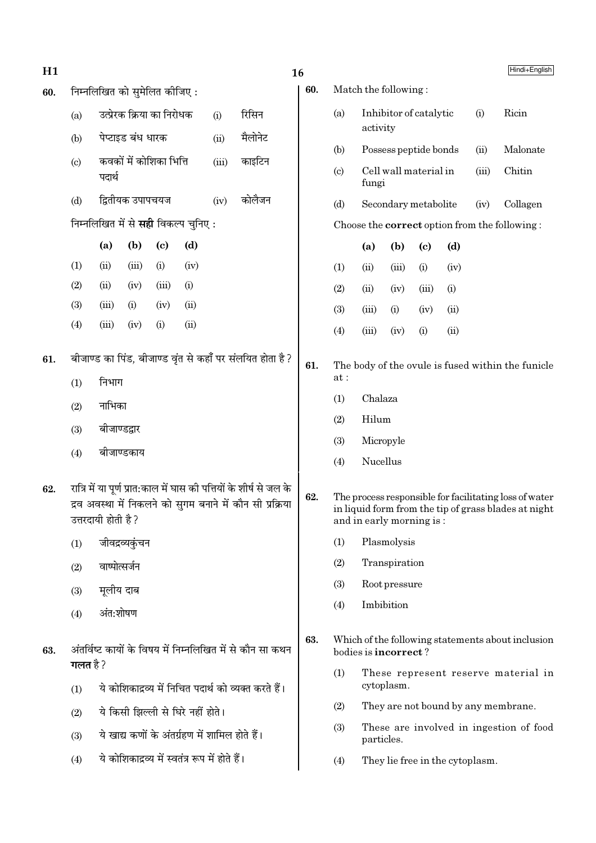| H1  |                                                           |                                                                                      |                  |                             |                                                 |         |                                                                                                                                  | 16  |                                                          |                          |                      |                             |                                 |          | Hindi+English                                                                                                  |
|-----|-----------------------------------------------------------|--------------------------------------------------------------------------------------|------------------|-----------------------------|-------------------------------------------------|---------|----------------------------------------------------------------------------------------------------------------------------------|-----|----------------------------------------------------------|--------------------------|----------------------|-----------------------------|---------------------------------|----------|----------------------------------------------------------------------------------------------------------------|
| 60. |                                                           | निम्नलिखित को सुमेलित कीजिए:                                                         |                  |                             |                                                 |         |                                                                                                                                  |     |                                                          | Match the following:     |                      |                             |                                 |          |                                                                                                                |
|     | (a)                                                       | उत्प्रेरक क्रिया का निरोधक<br>पेप्टाइड बंध धारक<br>कवकों में कोशिका भित्ति<br>पदार्थ |                  |                             | (i)                                             | रिसिन   |                                                                                                                                  | (a) | activity                                                 | Inhibitor of catalytic   |                      |                             | (i)                             | Ricin    |                                                                                                                |
|     | (b)                                                       |                                                                                      |                  |                             | (ii)                                            | मैलोनेट |                                                                                                                                  | (b) |                                                          | Possess peptide bonds    |                      |                             | (ii)                            | Malonate |                                                                                                                |
|     | (c)                                                       |                                                                                      |                  |                             | (iii)                                           | काइटिन  |                                                                                                                                  | (c) | fungi                                                    | Cell wall material in    |                      |                             | (iii)                           | Chitin   |                                                                                                                |
|     | (d)                                                       |                                                                                      | द्वितीयक उपापचयज |                             |                                                 | (iv)    | कोलैजन                                                                                                                           |     | (d)                                                      |                          | Secondary metabolite |                             |                                 | (iv)     | Collagen                                                                                                       |
|     |                                                           |                                                                                      |                  |                             | निम्नलिखित में से <b>सही</b> विकल्प चुनिए:      |         |                                                                                                                                  |     |                                                          |                          |                      |                             |                                 |          | Choose the <b>correct</b> option from the following:                                                           |
|     |                                                           | (a)                                                                                  | (b)              | $\left( \mathbf{c} \right)$ | (d)                                             |         |                                                                                                                                  |     |                                                          | (a)                      | (b)                  | $\left( \mathbf{c} \right)$ | (d)                             |          |                                                                                                                |
|     | (1)                                                       | (ii)                                                                                 | (iii)            | (i)                         | (iv)                                            |         |                                                                                                                                  |     | (1)                                                      | (ii)                     | (iii)                | (i)                         | (iv)                            |          |                                                                                                                |
|     | (2)                                                       | (ii)                                                                                 | (iv)             | (iii)                       | (i)                                             |         |                                                                                                                                  |     | (2)                                                      | (ii)                     | (iv)                 | (iii)                       | (i)                             |          |                                                                                                                |
|     | (3)                                                       | (iii)                                                                                | (i)              | (iv)                        | (ii)                                            |         |                                                                                                                                  |     | (3)                                                      | (iii)                    | (i)                  | (iv)                        | (ii)                            |          |                                                                                                                |
|     | (4)                                                       | (iii)                                                                                | (iv)             | (i)                         | (ii)                                            |         |                                                                                                                                  |     | (4)                                                      | (iii)                    | (iv)                 | (i)                         | (ii)                            |          |                                                                                                                |
| 61. |                                                           |                                                                                      |                  |                             |                                                 |         | बीजाण्ड का पिंड, बीजाण्ड वृंत से कहाँ पर संलयित होता है?                                                                         | 61. | The body of the ovule is fused within the funicle<br>at: |                          |                      |                             |                                 |          |                                                                                                                |
|     | (1)                                                       | निभाग                                                                                |                  |                             |                                                 |         |                                                                                                                                  |     | Chalaza<br>(1)                                           |                          |                      |                             |                                 |          |                                                                                                                |
|     | (2)                                                       | नाभिका                                                                               |                  |                             |                                                 |         |                                                                                                                                  |     | Hilum<br>(2)                                             |                          |                      |                             |                                 |          |                                                                                                                |
|     | (3)                                                       | बीजाण्डद्वार                                                                         |                  |                             |                                                 |         |                                                                                                                                  |     | (3)<br>Micropyle                                         |                          |                      |                             |                                 |          |                                                                                                                |
|     | (4)                                                       | बीजाण्डकाय                                                                           |                  |                             |                                                 |         |                                                                                                                                  |     | (4)                                                      | Nucellus                 |                      |                             |                                 |          |                                                                                                                |
| 62. |                                                           | उत्तरदायी होती है ?                                                                  |                  |                             |                                                 |         | रात्रि में या पूर्ण प्रात:काल में घास की पत्तियों के शीर्ष से जल के<br>द्रव अवस्था में निकलने को सुगम बनाने में कौन सी प्रक्रिया | 62. |                                                          | and in early morning is: |                      |                             |                                 |          | The process responsible for facilitating loss of water<br>in liquid form from the tip of grass blades at night |
|     | (1)                                                       |                                                                                      | जीवद्रव्यकुंचन   |                             |                                                 |         |                                                                                                                                  |     | Plasmolysis<br>(1)                                       |                          |                      |                             |                                 |          |                                                                                                                |
|     | (2)                                                       | वाष्पोत्सर्जन                                                                        |                  |                             |                                                 |         |                                                                                                                                  |     | (2)                                                      |                          | Transpiration        |                             |                                 |          |                                                                                                                |
|     | (3)                                                       | मूलीय दाब                                                                            |                  |                             |                                                 |         |                                                                                                                                  |     | (3)                                                      |                          | Root pressure        |                             |                                 |          |                                                                                                                |
|     | (4)                                                       | अंत:शोषण                                                                             |                  |                             |                                                 |         |                                                                                                                                  |     | (4)                                                      |                          | Imbibition           |                             |                                 |          |                                                                                                                |
| 63. | अंतर्विष्ट कायों के विषय में निम्नलिखित में से कौन सा कथन |                                                                                      |                  |                             |                                                 |         |                                                                                                                                  | 63. |                                                          | bodies is incorrect?     |                      |                             |                                 |          | Which of the following statements about inclusion                                                              |
|     | गलत है ?<br>(1)                                           |                                                                                      |                  |                             |                                                 |         | ये कोशिकाद्रव्य में निचित पदार्थ को व्यक्त करते हैं।                                                                             |     | (1)                                                      |                          | cytoplasm.           |                             |                                 |          | These represent reserve material in                                                                            |
|     | (2)                                                       |                                                                                      |                  |                             | ये किसी झिल्ली से घिरे नहीं होते।               |         |                                                                                                                                  |     | (2)                                                      |                          |                      |                             |                                 |          | They are not bound by any membrane.                                                                            |
|     | (3)                                                       |                                                                                      |                  |                             | ये खाद्य कणों के अंतर्ग्रहण में शामिल होते हैं। |         |                                                                                                                                  |     | (3)                                                      | particles.               |                      |                             |                                 |          | These are involved in ingestion of food                                                                        |
|     | (4)                                                       |                                                                                      |                  |                             | ये कोशिकाद्रव्य में स्वतंत्र रूप में होते हैं।  |         |                                                                                                                                  |     | (4)                                                      |                          |                      |                             | They lie free in the cytoplasm. |          |                                                                                                                |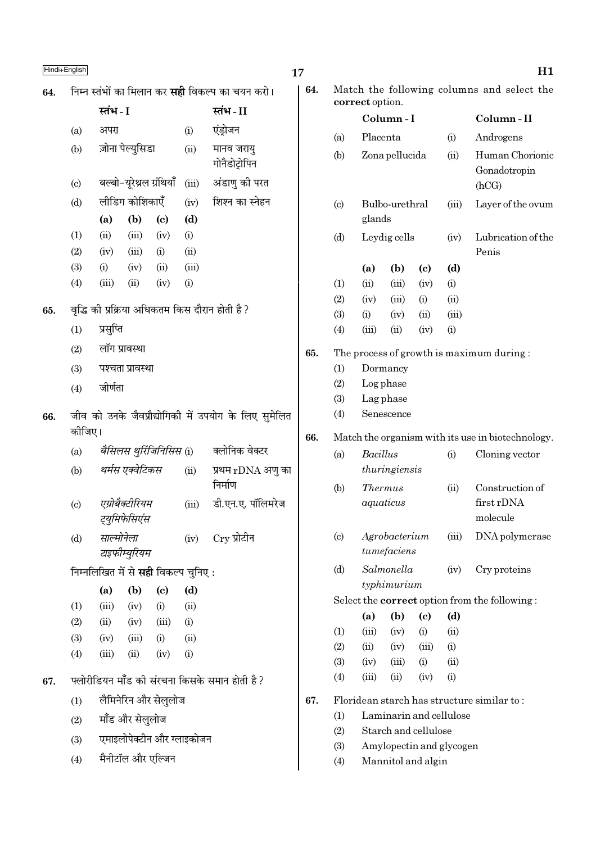| Hindi+Enalish |  |
|---------------|--|

| Hindi+English |                                                         |                                             |                                  |                             |                            |                                                      |  |  |  |  |  |
|---------------|---------------------------------------------------------|---------------------------------------------|----------------------------------|-----------------------------|----------------------------|------------------------------------------------------|--|--|--|--|--|
| 64.           | निम्न स्तंभों का मिलान कर <b>सही</b> विकल्प का चयन करो। |                                             |                                  |                             |                            |                                                      |  |  |  |  |  |
|               |                                                         | स्तंभ - I                                   |                                  |                             |                            | स्तंभ-II                                             |  |  |  |  |  |
|               | (a)                                                     | अपरा                                        |                                  |                             | (i)                        | एंड्रोजन                                             |  |  |  |  |  |
|               | (b)                                                     |                                             | ज़ोना पेल्युसिडा                 |                             | (ii)                       | मानव जरायु<br>गोनैडोट्रोपिन                          |  |  |  |  |  |
|               | $\left( \mathrm{c}\right)$                              |                                             | बल्बो-यूरेथ्रल ग्रंथियाँ         |                             | (iii)                      | अंडाणु की परत                                        |  |  |  |  |  |
|               | (d)                                                     |                                             | लीडिंग कोशिकाएँ                  |                             | (iv)                       | शिश्न का स्नेहन                                      |  |  |  |  |  |
|               |                                                         | (a)                                         | (b)                              | (c)                         | (d)                        |                                                      |  |  |  |  |  |
|               | (1)                                                     | (ii)                                        | (iii)                            | (iv)                        | (i)                        |                                                      |  |  |  |  |  |
|               | (2)                                                     | (iv)                                        | (iii)                            | (i)                         | (ii)                       |                                                      |  |  |  |  |  |
|               | (3)                                                     | (i)                                         | (iv)                             | (ii)                        | (iii)                      |                                                      |  |  |  |  |  |
|               | (4)                                                     | (iii)                                       | (ii)                             | (iv)                        | (i)                        |                                                      |  |  |  |  |  |
| 65.           |                                                         |                                             |                                  |                             |                            | वृद्धि की प्रक्रिया अधिकतम किस दौरान होती है ?       |  |  |  |  |  |
|               | (1)                                                     | प्रसुप्ति                                   |                                  |                             |                            |                                                      |  |  |  |  |  |
|               | (2)                                                     | लॉग प्रावस्था                               |                                  |                             |                            |                                                      |  |  |  |  |  |
|               | (3)                                                     |                                             | पश्चता प्रावस्था                 |                             |                            |                                                      |  |  |  |  |  |
|               | (4)                                                     | जीर्णता                                     |                                  |                             |                            |                                                      |  |  |  |  |  |
| 66.           | कीजिए।                                                  |                                             |                                  |                             |                            | जीव को उनके जैवप्रौद्योगिकी में उपयोग के लिए सुमेलित |  |  |  |  |  |
|               | (a)                                                     |                                             |                                  | बैसिलस थुर्रिजिनिसिस (i)    |                            | क्लोनिक वेक्टर                                       |  |  |  |  |  |
|               | (b)                                                     |                                             | थर्मस एक्वेटिकस                  |                             | (ii)                       | प्रथम rDNA अणु का<br>निर्माण                         |  |  |  |  |  |
|               | $\left( \mathrm{c}\right)$                              |                                             | एग्रोबैक्टीरियम<br>ट्युमिफेसिएंस |                             | (iii)                      | डी.एन.ए. पॉलिमरेज                                    |  |  |  |  |  |
|               | (d)                                                     | साल्मोनेला                                  | टाइफीम्युरियम                    |                             |                            | (iv) Cry प्रोटीन                                     |  |  |  |  |  |
|               |                                                         | निम्नलिखित में से <b>सही</b> विकल्प चुनिए : |                                  |                             |                            |                                                      |  |  |  |  |  |
|               |                                                         | (a)                                         | (b)                              | $\left( \mathrm{c}\right)$  | (d)                        |                                                      |  |  |  |  |  |
|               | (1)                                                     |                                             | $(iii)$ $(iv)$                   | (i)                         | (ii)                       |                                                      |  |  |  |  |  |
|               | (2)                                                     |                                             |                                  | $(ii)$ $(iv)$ $(iii)$       | (i)                        |                                                      |  |  |  |  |  |
|               | (3)                                                     |                                             |                                  | $(iv)$ $(iii)$ $(i)$ $(ii)$ |                            |                                                      |  |  |  |  |  |
|               | (4)                                                     |                                             |                                  | $(iii)$ $(ii)$ $(iv)$ $(i)$ |                            |                                                      |  |  |  |  |  |
| 67.           |                                                         |                                             |                                  |                             |                            | फ्लोरीडियन मॉॅंड की संरचना किसके समान होती है ?      |  |  |  |  |  |
|               | (1)                                                     |                                             |                                  | लैमिनेरिन और सेलुलोज        |                            |                                                      |  |  |  |  |  |
|               | (2)                                                     |                                             | मॉंड और सेलुलोज                  |                             |                            |                                                      |  |  |  |  |  |
|               | (3)                                                     |                                             |                                  |                             | एमाइलोपेक्टीन और ग्लाइकोजन |                                                      |  |  |  |  |  |

मैनीटॉल और एल्जिन  $(4)$ 

| 64. |                             | Match the following columns and select the<br>correct option. |                                                  |                          |       |                                                      |  |  |  |
|-----|-----------------------------|---------------------------------------------------------------|--------------------------------------------------|--------------------------|-------|------------------------------------------------------|--|--|--|
|     |                             |                                                               | Column-I                                         |                          |       | Column-II                                            |  |  |  |
|     | (a)                         | Placenta                                                      |                                                  |                          | (i)   | Androgens                                            |  |  |  |
|     | (b)                         |                                                               | Zona pellucida                                   |                          |       | Human Chorionic<br>Gonadotropin<br>(hCG)             |  |  |  |
|     | $\left( \mathrm{c} \right)$ |                                                               | Bulbo-urethral<br>glands                         |                          |       | Layer of the ovum                                    |  |  |  |
|     | (d)                         |                                                               | Leydig cells                                     |                          |       | Lubrication of the<br>Penis                          |  |  |  |
|     |                             | (a)                                                           | (b)                                              | (c)                      | (d)   |                                                      |  |  |  |
|     | (1)                         | (ii)                                                          | (iii)                                            | (iv)                     | (i)   |                                                      |  |  |  |
|     | (2)                         | (iv)                                                          | (iii)                                            | (i)                      | (ii)  |                                                      |  |  |  |
|     | (3)                         | (i)                                                           | (iv)                                             | (ii)                     | (iii) |                                                      |  |  |  |
|     | (4)                         | (iii)                                                         | (ii)                                             | (iv)                     | (i)   |                                                      |  |  |  |
| 65. | (1)<br>(2)<br>(3)<br>(4)    |                                                               | Dormancy<br>Log phase<br>Lag phase<br>Senescence |                          |       | The process of growth is maximum during:             |  |  |  |
| 66. |                             |                                                               |                                                  |                          |       | Match the organism with its use in biotechnology.    |  |  |  |
|     |                             |                                                               |                                                  |                          |       |                                                      |  |  |  |
|     |                             |                                                               |                                                  |                          |       |                                                      |  |  |  |
|     | (a)                         | Bacillus                                                      | thuringiensis                                    |                          | (i)   | Cloning vector                                       |  |  |  |
|     | (b)                         |                                                               | <i>Thermus</i><br>aquaticus                      |                          | (ii)  | Construction of<br>first rDNA<br>molecule            |  |  |  |
|     | $\left( \mathrm{c} \right)$ |                                                               | Agrobacterium<br>tumefaciens                     |                          | (iii) | DNA polymerase                                       |  |  |  |
|     | (d)                         |                                                               | Salmonella<br>typhimurium                        |                          | (iv)  | Cry proteins                                         |  |  |  |
|     |                             |                                                               |                                                  |                          |       | Select the <b>correct</b> option from the following: |  |  |  |
|     |                             | (a)                                                           | (b)                                              | (c)                      | (d)   |                                                      |  |  |  |
|     | (1)                         | (iii)                                                         | (iv)                                             | (i)                      | (ii)  |                                                      |  |  |  |
|     | (2)                         | (ii)                                                          | (iv)                                             | (iii)                    | (i)   |                                                      |  |  |  |
|     | (3)                         | (iv)                                                          | (iii)                                            | (i)                      | (ii)  |                                                      |  |  |  |
|     | (4)                         | (iii)                                                         | (ii)                                             | (iv)                     | (i)   |                                                      |  |  |  |
| 67. |                             |                                                               |                                                  |                          |       | Floridean starch has structure similar to:           |  |  |  |
|     | (1)                         |                                                               |                                                  | Laminarin and cellulose  |       |                                                      |  |  |  |
|     | (2)                         |                                                               |                                                  | Starch and cellulose     |       |                                                      |  |  |  |
|     | (3)                         |                                                               |                                                  | Amylopectin and glycogen |       |                                                      |  |  |  |

Mannitol and algin  $(4)$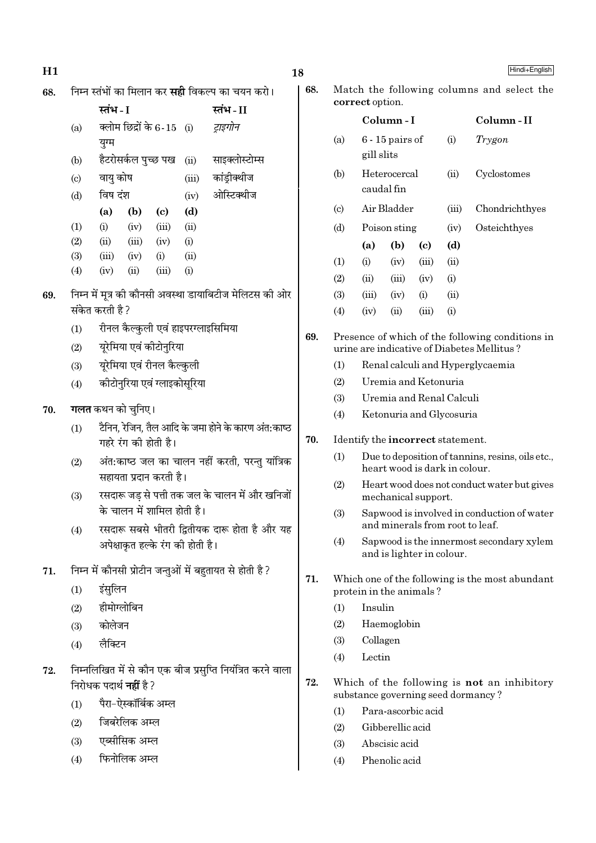निम्न स्तंभों का मिलान कर **सद्दी** विकल्प का चयन करो। 68.

|     | स्तंभ - I |                     |                            |       | स्तंभ - II     |
|-----|-----------|---------------------|----------------------------|-------|----------------|
| (a) |           |                     | क्लोम छिद्रों के 6-15 (i)  |       | ट्राइगोन       |
|     | युग्म     |                     |                            |       |                |
| (b) |           | हैटरोसर्कल पुच्छ पख |                            | (ii)  | साइक्लोस्टोम्स |
| (c) | वायु कोष  |                     |                            | (iii) | कांड्रीक्थीज   |
| (d) | विष दंश   |                     |                            | (iv)  | ओस्टिक्थीज     |
|     | (a)       | (b)                 | $\left( \mathrm{e}\right)$ | (d)   |                |
| (1) | (i)       | (iv)                | (iii)                      | (ii)  |                |
| (2) | (ii)      | (iii)               | (iv)                       | (i)   |                |
| (3) | (iii)     | (iv)                | (i)                        | (ii)  |                |
| (4) | (iv)      | (ii)                | (iii)                      | (i)   |                |

- निम्न में मृत्र की कौनसी अवस्था डायाबिटीज मेलिटस की ओर 69. संकेत करती है ?
	- रीनल कैल्कुली एवं हाइपरग्लाइसिमिया  $(1)$
	- यूरेमिया एवं कीटोनुरिया  $(2)$
	- यूरेमिया एवं रीनल कैल्कुली  $(3)$
	- कीटोनरिया एवं ग्लाइकोसरिया  $(4)$
- **गलत** कथन को चनिए। 70.
	- टैनिन. रेजिन. तैल आदि के जमा होने के कारण अंत:काष्ठ  $(1)$ गहरे रंग की होती है।
	- अंत:काष्ठ जल का चालन नहीं करती, परन्तु यांत्रिक  $(2)$ सहायता प्रदान करती है।
	- रसदारू जड़ से पत्ती तक जल के चालन में और खनिजों  $(3)$ के चालन में शामिल होती है।
	- रसदारू सबसे भीतरी द्वितीयक दारू होता है और यह  $(4)$ अपेक्षाकत हल्के रंग की होती है।
- निम्न में कौनसी प्रोटीन जन्तुओं में बहुतायत से होती है ? 71.
	- इंसलिन  $(1)$
	- हीमोग्लोबिन  $(2)$
	- कोलेजन  $(3)$
	- लैक्टिन  $(4)$
- निम्नलिखित में से कौन एक बीज प्रसुप्ति नियंत्रित करने वाला 72. निरोधक पदार्थ **नहीं** है ?
	- पैरा-ऐस्कॉर्बिक अम्ल  $(1)$
	- जिबरेलिक अम्ल  $(2)$
	- एब्सीसिक अम्ल  $(3)$
	- फिनोलिक अम्ल  $(4)$

68. Match the following columns and select the correct option.

|                             |            | Column - I                 |       | Column-II |                |
|-----------------------------|------------|----------------------------|-------|-----------|----------------|
| (a)                         | gill slits | $6 - 15$ pairs of          |       | (i)       | Trygon         |
| (b)                         |            | Heterocercal<br>caudal fin |       | (ii)      | Cyclostomes    |
| $\left( \mathrm{c} \right)$ |            | Air Bladder                |       | (iii)     | Chondrichthyes |
| (d)                         |            | Poison sting               |       | (iv)      | Osteichthyes   |
|                             | (a)        | (b)                        | (c)   | (d)       |                |
| (1)                         | (i)        | (iv)                       | (iii) | (ii)      |                |
| (2)                         | (ii)       | (iii)                      | (iv)  | (i)       |                |
| (3)                         | (iii)      | (iv)                       | (i)   | (ii)      |                |
| $\left( 4\right)$           | (iv)       | (ii)                       | (iii) | (i)       |                |
|                             |            |                            |       |           |                |

- 69. Presence of which of the following conditions in urine are indicative of Diabetes Mellitus?
	- Renal calculi and Hyperglycaemia  $(1)$
	- $(2)$ Uremia and Ketonuria
	- $(3)$ Uremia and Renal Calculi
	- Ketonuria and Glycosuria  $(4)$
- 70. Identify the incorrect statement.
	- $(1)$ Due to deposition of tannins, resins, oils etc., heart wood is dark in colour.
	- $(2)$ Heart wood does not conduct water but gives mechanical support.
	- Sapwood is involved in conduction of water  $(3)$ and minerals from root to leaf.
	- Sapwood is the innermost secondary xylem  $(4)$ and is lighter in colour.
- 71. Which one of the following is the most abundant protein in the animals?
	- Insulin  $(1)$
	- $(2)$ Haemoglobin
	- $(3)$ Collagen
	- $(4)$ Lectin
- 72. Which of the following is not an inhibitory substance governing seed dormancy?
	- Para-ascorbic acid  $(1)$
	- Gibberellic acid  $(2)$
	- Abscisic acid  $(3)$
	- $(4)$ Phenolic acid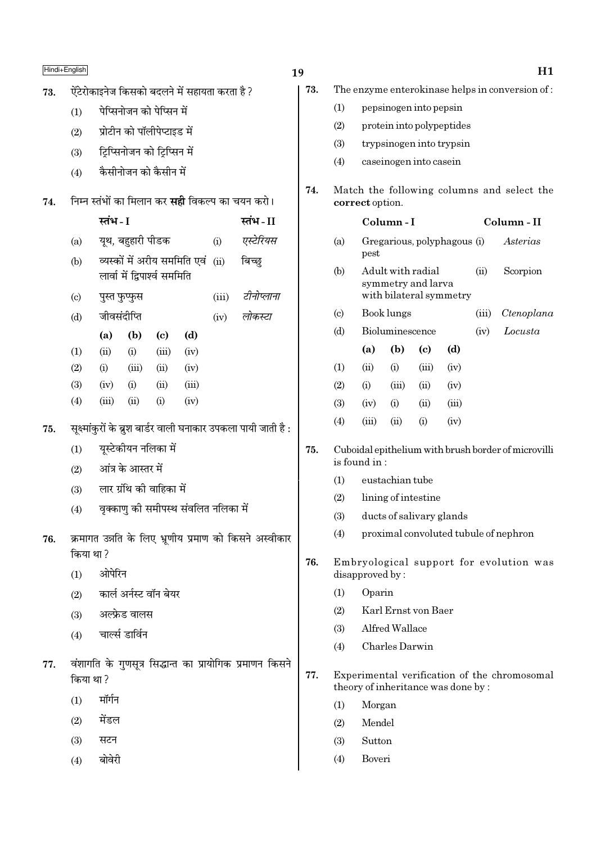# $\frac{\text{Hindi} + \text{English}}{\text{H1}}$

| ऐंटेरोकाइनेज किसको बदलने में सहायता करता है ?<br>73. |  |  |
|------------------------------------------------------|--|--|
|------------------------------------------------------|--|--|

- $(1)$  पेप्सिनोजन को पेप्सिन में
- $(2)$  प्रोटीन को पॉलीपेप्टाइड में
- (3) ट्रिप्सिनोजन को टिप्सिन में
- $(4)$  कैसीनोजन को कैसीन में

## 74. निम्न स्तंभों का मिलान कर **सद्दी** विकल्प का चयन करो।

| स्तंभ - I | स्तंभ-II |
|-----------|----------|
|           |          |

- (a) यथ, बहहारी पीडक (i) *एस्टेरियस*
- (b) व्यस्कों में अरीय सममिति एवं (ii) बिच्छ लार्वा में द्विपार्श्व सममिति
- (c) ¬ÈSà »È§å»È§' (iii) *≈UËŸÊå‹ÊŸÊ*
- (d) जीवसंदीप्ति (iv) *लोकस्टा*

|            | (a)  | (b)   | (c)   | (d)   |
|------------|------|-------|-------|-------|
| (1)        | (ii) | (i)   | (iii) | (iv)  |
| (2)        | (i)  | (iii) | (i)   | (iv)  |
| <b>(3)</b> | (iv) | (i)   | (ii)  | (iii) |

- (4) (iii) (ii) (i) (iv)
- $75.$  सुक्ष्मांकुरों के ब्रुश बार्डर वाली घनाकार उपकला पायी जाती है :
	- $(1)$  युस्टेकीयन नलिका में
	- $(2)$  आंत्र के आस्तर में
	- $(3)$  लार ग्रंथि की वाहिका में
	- $(4)$  विक्काण की समीपस्थ संवलित नलिका में
- 76. क्रमागत उन्नति के लिए भ्रूणीय प्रमाण को किसने अस्वीकार किया था?
	- $(1)$  औपेरिन
	- $(2)$  कार्ल अर्नस्ट वॉन बेयर
	- $(3)$  अल्फ्रेड वालस
	- $(4)$  चार्ल्स डार्विन
- 77. वंशागति के गुणसूत्र सिद्धान्त का प्रायोगिक प्रमाणन किसने किया था ?
	- $(1)$  मॉर्गन
	- $(2)$  मेंडल
	- $(3)$  सटन
	- $(4)$  बोवेरी
- - 73. The enzyme enterokinase helps in conversion of :
		- (1) pepsinogen into pepsin
		- (2) protein into polypeptides
		- (3) trypsinogen into trypsin
		- (4) caseinogen into casein
	- 74. Match the following columns and select the correct option.

## Column - I Column - II

- (a) Gregarious, polyphagous (i) Asterias pest
- (b) Adult with radial (ii) Scorpion symmetry and larva with bilateral symmetry
- (c) Book lungs (iii) Ctenoplana
- (d) Bioluminescence (iv) Locusta
- (a) (b) (c) (d)  $(1)$   $(ii)$   $(i)$   $(iii)$   $(iv)$  $(2)$  (i) (iii) (ii) (iv) (3) (iv) (i) (ii) (iii) (4)  $(iii)$   $(ii)$   $(i)$   $(iv)$
- 75. Cuboidal epithelium with brush border of microvilli is found in :
	- (1) eustachian tube
	- (2) lining of intestine
	- (3) ducts of salivary glands
	- (4) proximal convoluted tubule of nephron
- 76. Embryological support for evolution was disapproved by :
	- (1) Oparin
	- (2) Karl Ernst von Baer
	- (3) Alfred Wallace
	- (4) Charles Darwin
- 77. Experimental verification of the chromosomal theory of inheritance was done by :
	- (1) Morgan
	- (2) Mendel
	- (3) Sutton
	- (4) Boveri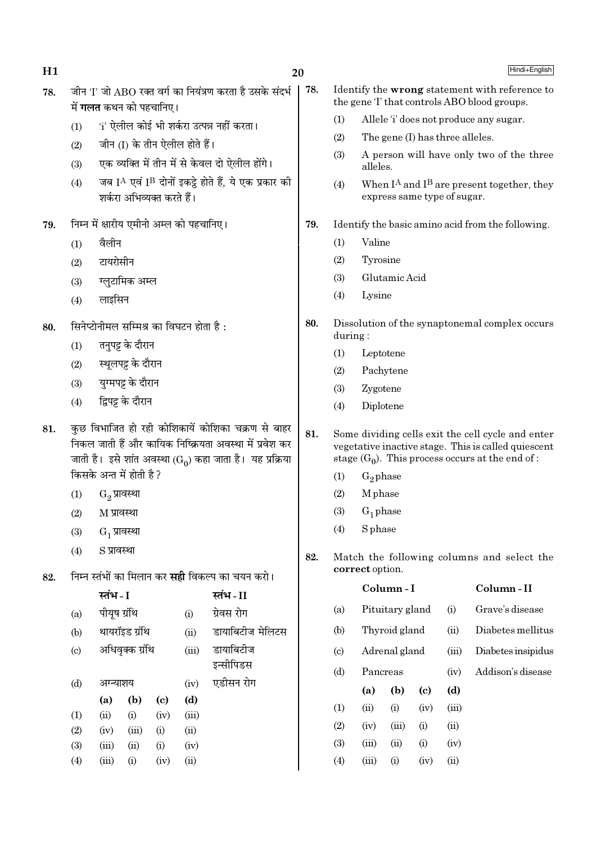| H1  |                                                                                                                                                                                      |                                |                    |                            |                                          |                                                           | 20  |                                                   |                    |                 |                                                                                                                                                                 |       | Hindi+English                                                                                |
|-----|--------------------------------------------------------------------------------------------------------------------------------------------------------------------------------------|--------------------------------|--------------------|----------------------------|------------------------------------------|-----------------------------------------------------------|-----|---------------------------------------------------|--------------------|-----------------|-----------------------------------------------------------------------------------------------------------------------------------------------------------------|-------|----------------------------------------------------------------------------------------------|
| 78. |                                                                                                                                                                                      | में <b>गलत</b> कथन को पहचानिए। |                    |                            |                                          | जीन 'I' जो ABO रक्त वर्ग का नियंत्रण करता है उसके संदर्भ  | 78. |                                                   |                    |                 |                                                                                                                                                                 |       | Identify the wrong statement with reference to<br>the gene T that controls ABO blood groups. |
|     | (1)                                                                                                                                                                                  |                                |                    |                            |                                          | 'i' ऐलील कोई भी शर्करा उत्पन्न नहीं करता।                 |     | (1)                                               |                    |                 |                                                                                                                                                                 |       | Allele 'i' does not produce any sugar.                                                       |
|     | (2)                                                                                                                                                                                  |                                |                    |                            | जीन (I) के तीन ऐलील होते हैं।            |                                                           |     | (2)                                               |                    |                 | The gene (I) has three alleles.                                                                                                                                 |       |                                                                                              |
|     | (3)                                                                                                                                                                                  |                                |                    |                            |                                          | एक व्यक्ति में तीन में से केवल दो ऐलील होंगे।             |     | (3)                                               | alleles.           |                 |                                                                                                                                                                 |       | A person will have only two of the three                                                     |
|     | (4)                                                                                                                                                                                  |                                |                    | शर्करा अभिव्यक्त करते हैं। |                                          | जब IA एवं IB दोनों इकट्ठे होते हैं, ये एक प्रकार की       |     | (4)                                               |                    |                 | express same type of sugar.                                                                                                                                     |       | When $I^A$ and $I^B$ are present together, they                                              |
| 79. |                                                                                                                                                                                      |                                |                    |                            | निम्न में क्षारीय एमीनो अम्ल को पहचानिए। |                                                           | 79. | Identify the basic amino acid from the following. |                    |                 |                                                                                                                                                                 |       |                                                                                              |
|     | (1)                                                                                                                                                                                  | वैलीन                          |                    |                            |                                          |                                                           |     | (1)                                               | Valine             |                 |                                                                                                                                                                 |       |                                                                                              |
|     | (2)                                                                                                                                                                                  | टायरोसीन                       |                    |                            |                                          |                                                           |     | (2)                                               | Tyrosine           |                 |                                                                                                                                                                 |       |                                                                                              |
|     | (3)                                                                                                                                                                                  |                                | ग्लुटामिक अम्ल     |                            |                                          |                                                           |     | (3)                                               |                    | Glutamic Acid   |                                                                                                                                                                 |       |                                                                                              |
|     | (4)                                                                                                                                                                                  | लाइसिन                         |                    |                            |                                          |                                                           |     | (4)                                               | Lysine             |                 |                                                                                                                                                                 |       |                                                                                              |
| 80. | सिनेप्टोनीमल सम्मिश्र का विघटन होता है:                                                                                                                                              |                                |                    |                            | 80.                                      | Dissolution of the synaptonemal complex occurs<br>during: |     |                                                   |                    |                 |                                                                                                                                                                 |       |                                                                                              |
|     | तनुपट्ट के दौरान<br>(1)                                                                                                                                                              |                                |                    | (1)                        | Leptotene                                |                                                           |     |                                                   |                    |                 |                                                                                                                                                                 |       |                                                                                              |
|     | (2)                                                                                                                                                                                  |                                | स्थूलपट्ट के दौरान |                            |                                          |                                                           |     | (2)                                               |                    | Pachytene       |                                                                                                                                                                 |       |                                                                                              |
|     | (3)                                                                                                                                                                                  |                                | युग्मपट्ट के दौरान |                            |                                          |                                                           |     | (3)                                               | Zygotene           |                 |                                                                                                                                                                 |       |                                                                                              |
|     | (4)                                                                                                                                                                                  |                                | द्विपट्ट के दौरान  |                            |                                          |                                                           |     | (4)                                               | Diplotene          |                 |                                                                                                                                                                 |       |                                                                                              |
| 81. | कुछ विभाजित हो रही कोशिकायें कोशिका चक्रण से बाहर<br>निकल जाती हैं और कायिक निष्क्रियता अवस्था में प्रवेश कर<br>जाती है। इसे शांत अवस्था (G <sub>0</sub> ) कहा जाता है। यह प्रक्रिया |                                |                    |                            | 81.                                      |                                                           |     |                                                   |                    |                 | Some dividing cells exit the cell cycle and enter<br>vegetative inactive stage. This is called quiescent<br>stage $(G_0)$ . This process occurs at the end of : |       |                                                                                              |
|     |                                                                                                                                                                                      | किसके अन्त में होती है ?       |                    |                            |                                          |                                                           |     | (1)                                               | $G_2$ phase        |                 |                                                                                                                                                                 |       |                                                                                              |
|     | (1)                                                                                                                                                                                  |                                | $G_2$ प्रावस्था    |                            |                                          |                                                           |     | (2)                                               | M <sub>phase</sub> |                 |                                                                                                                                                                 |       |                                                                                              |
|     | (2)                                                                                                                                                                                  | M प्रावस्था                    |                    |                            |                                          |                                                           |     | (3)                                               | $G_1$ phase        |                 |                                                                                                                                                                 |       |                                                                                              |
|     | (3)                                                                                                                                                                                  |                                | $G_1$ प्रावस्था    |                            |                                          |                                                           |     | (4)                                               | <b>S</b> phase     |                 |                                                                                                                                                                 |       |                                                                                              |
| 82. | (4)                                                                                                                                                                                  | S प्रावस्था                    |                    |                            |                                          | निम्न स्तंभों का मिलान कर <b>सही</b> विकल्प का चयन करो।   | 82. |                                                   | correct option.    |                 |                                                                                                                                                                 |       | Match the following columns and select the                                                   |
|     |                                                                                                                                                                                      | स्तंभ - I                      |                    |                            |                                          | स्तंभ-II                                                  |     |                                                   |                    | Column-I        |                                                                                                                                                                 |       | Column-II                                                                                    |
|     | (a)                                                                                                                                                                                  | पीयूष ग्रंथि                   |                    |                            | (i)                                      | ग्रेवस रोग                                                |     | (a)                                               |                    | Pituitary gland |                                                                                                                                                                 | (i)   | Grave's disease                                                                              |
|     | (b)                                                                                                                                                                                  |                                | थायरॉइड ग्रंथि     |                            | (ii)                                     | डायाबिटीज मेलिटस                                          |     | (b)                                               |                    | Thyroid gland   |                                                                                                                                                                 | (ii)  | Diabetes mellitus                                                                            |
|     | (c)                                                                                                                                                                                  |                                | अधिवृक्क ग्रंथि    |                            | (iii)                                    | डायाबिटीज                                                 |     | $\left( \mathrm{c}\right)$                        |                    | Adrenal gland   |                                                                                                                                                                 | (iii) | Diabetes insipidus                                                                           |
|     |                                                                                                                                                                                      |                                |                    |                            |                                          | इन्सीपिडस                                                 |     | (d)                                               | Pancreas           |                 |                                                                                                                                                                 | (iv)  | Addison's disease                                                                            |
|     | (d)                                                                                                                                                                                  | अग्न्याशय                      |                    |                            | (iv)                                     | एडीसन रोग                                                 |     |                                                   | (a)                | (b)             | $\left( \mathbf{c} \right)$                                                                                                                                     | (d)   |                                                                                              |
|     |                                                                                                                                                                                      | (a)                            | (b)                | (c)                        | (d)                                      |                                                           |     | (1)                                               | (ii)               | (i)             | (iv)                                                                                                                                                            | (iii) |                                                                                              |
|     | (1)                                                                                                                                                                                  | (ii)                           | (i)                | (iv)                       | (iii)                                    |                                                           |     | (2)                                               | (iv)               | (iii)           | (i)                                                                                                                                                             | (ii)  |                                                                                              |
|     | (2)<br>(3)                                                                                                                                                                           | (iv)<br>(iii)                  | (iii)<br>(ii)      | (i)<br>(i)                 | (ii)<br>(iv)                             |                                                           |     | (3)                                               | (iii)              | (ii)            | (i)                                                                                                                                                             | (iv)  |                                                                                              |
|     | (4)                                                                                                                                                                                  | (iii)                          | (i)                | (iv)                       | (ii)                                     |                                                           |     | (4)                                               | (iii)              | (i)             | (iv)                                                                                                                                                            | (ii)  |                                                                                              |
|     |                                                                                                                                                                                      |                                |                    |                            |                                          |                                                           |     |                                                   |                    |                 |                                                                                                                                                                 |       |                                                                                              |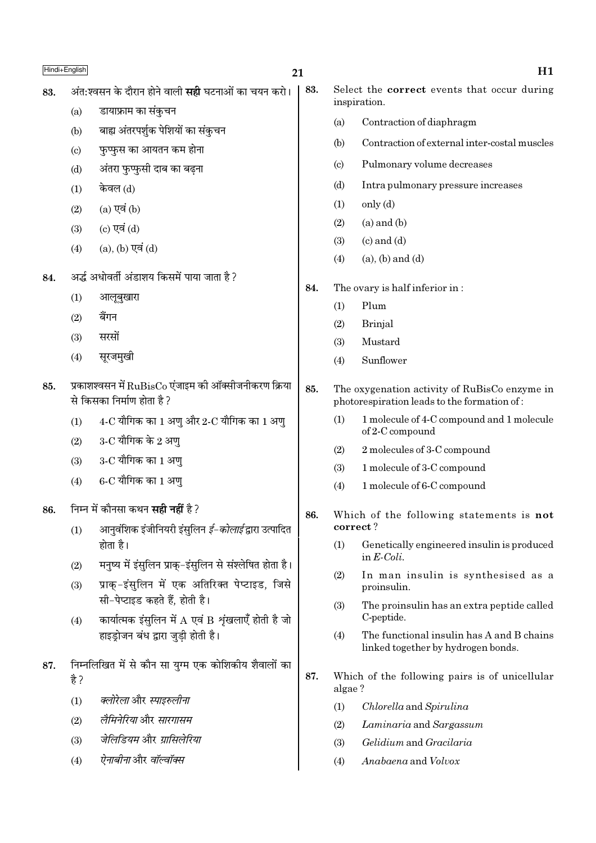### $21$

83.

- अंत:श्वसन के दौरान होने वाली **सही** घटनाओं का चयन करो। 83.
	- डायाफ्राम का संकचन  $(a)$
	- बाह्य अंतरपर्शक पेशियों का संकुचन  $(b)$
	- फुप्फुस का आयतन कम होना  $(c)$
	- अंतरा फुप्फुसी दाब का बढना  $(d)$
	- केवल (d)  $(1)$
	- $(a)$  एवं  $(b)$  $(2)$
	- (c) एवं (d)  $(3)$
	- (a), (b) एवं (d)  $(4)$
- अर्द्ध अधोवर्ती अंडाशय किसमें पाया जाता है ? 84.
	- आलूबुखारा  $(1)$
	- बैंगन  $(2)$
	- सरसों  $(3)$
	- सरजमखी  $(4)$
- प्रकाशश्वसन में  $\text{RuBisCo}$  एंजाइम की ऑक्सीजनीकरण क्रिया 85. से किसका निर्माण होता है?
	- $(1)$  $4$ -C यौगिक का 1 अणु और 2-C यौगिक का 1 अणु
	- $3$ -C यौगिक के 2 अण्  $(2)$
	- 3-C यौगिक का 1 अण  $(3)$
	- $6$ - $C$  यौगिक का  $1$  अण  $(4)$
- निम्न में कौनसा कथन **सही नहीं** है ? 86.
	- आनुवंशिक इंजीनियरी इंसुलिन *ई–कोलाई* द्वारा उत्पादित  $(1)$ होता है।
	- मनुष्य में इंसुलिन प्राक्-इंसुलिन से संश्लेषित होता है।  $(2)$
	- प्राक्-इंसुलिन में एक अतिरिक्त पेप्टाइड, जिसे  $(3)$ सी-पेप्टाइड कहते हैं होती है।
	- कार्यात्मक इंसुलिन में  $A$  एवं B शृंखलाएँ होती है जो  $(4)$ हाइडोजन बंध द्वारा जडी होती है।
- निम्नलिखित में से कौन सा युग्म एक कोशिकीय शैवालों का 87. है ?
	- क्लोरेला और स्पाइरुलीना  $(1)$
	- लैमिनेरिया और सारगासम  $(2)$
	- जेलिडियम और ग्रासिलेरिया  $(3)$
	- ऐनाबीना और वॉल्वॉक्स  $(4)$
- Select the **correct** events that occur during inspiration.
	- Contraction of diaphragm  $(a)$
	- Contraction of external inter-costal muscles  $(b)$
	- Pulmonary volume decreases  $\left( \mathrm{e}\right)$
	- Intra pulmonary pressure increases  $(d)$
	- $only (d)$  $(1)$
	- $(a)$  and  $(b)$  $(2)$
	- $(3)$  $(c)$  and  $(d)$
	- $(4)$  $(a)$ ,  $(b)$  and  $(d)$
- 84. The ovary is half inferior in:
	- Plum  $(1)$
	- **Brinial**  $(2)$
	- $(3)$ Mustard
	- $(4)$ Sunflower
- 85. The oxygenation activity of RuBisCo enzyme in photorespiration leads to the formation of:
	- 1 molecule of 4-C compound and 1 molecule  $(1)$ of 2-C compound
	- 2 molecules of 3-C compound  $(2)$
	- $(3)$ 1 molecule of 3-C compound
	- $(4)$ 1 molecule of 6-C compound
- 86. Which of the following statements is not correct?
	- $(1)$ Genetically engineered insulin is produced in  $E\text{-}Coli$ .
	- In man insulin is synthesised as a  $(2)$ proinsulin.
	- The proinsulin has an extra peptide called  $(3)$ C-peptide.
	- The functional insulin has A and B chains  $(4)$ linked together by hydrogen bonds.
- 87. Which of the following pairs is of unicellular algae?
	- Chlorella and Spirulina  $(1)$
	- $(2)$ Laminaria and Sargassum
	- Gelidium and Gracilaria  $(3)$
	- Anabaena and Volvox  $(4)$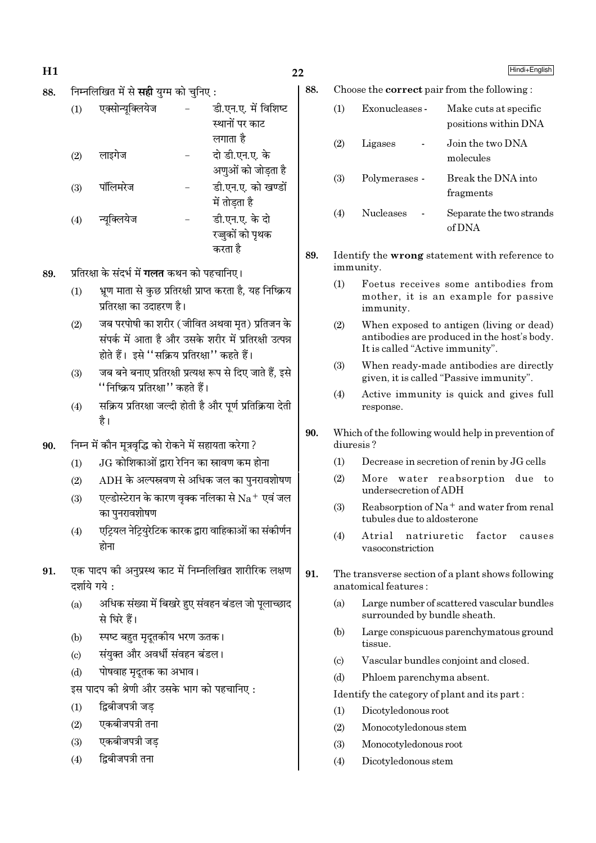- $H1$
- निम्नलिखित में से **सद्दी** याम को चनिए : 88.

| (1)               | एक्सोन्यूक्लियेज | डी.एन.ए. में विशिष्ट |
|-------------------|------------------|----------------------|
|                   |                  | स्थानों पर काट       |
|                   |                  | लगाता है             |
| (2)               | लाइगेज           | दो डी.एन.ए. के       |
|                   |                  | अणुओं को जोड़ता है   |
| (3)               | पॉलिमरेज         | डी.एन.ए. को खण्डों   |
|                   |                  | में तोडता है         |
| $\left( 4\right)$ | न्यूक्लियेज      | डी.एन.ए. के दो       |
|                   |                  | रज़ुकों को पृथक      |
|                   |                  | करता है              |

- प्रतिरक्षा के संदर्भ में **गलत** कथन को पहचानिए। 89
	- भ्रूण माता से कुछ प्रतिरक्षी प्राप्त करता है, यह निष्क्रिय  $(1)$ प्रतिरक्षा का उदाहरण है।
	- जब परपोषी का शरीर ( जीवित अथवा मत) प्रतिजन के  $(2)$ संपर्क में आता है और उसके शरीर में प्रतिरक्षी उत्पन्न होते हैं। इसे ''सक्रिय प्रतिरक्षा'' कहते हैं।
	- जब बने बनाए प्रतिरक्षी प्रत्यक्ष रूप से दिए जाते हैं, इसे  $(3)$ ''निष्क्रिय प्रतिरक्षा'' कहते हैं।
	- सक्रिय प्रतिरक्षा जल्दी होती है और पूर्ण प्रतिक्रिया देती  $(4)$ है।
- निम्न में कौन मूत्रवृद्धि को रोकने में सहायता करेगा ? 90.
	- JG कोशिकाओं द्वारा रेनिन का स्नावण कम होना  $(1)$
	- $ADH$  के अल्पस्रवण से अधिक जल का पनरावशोषण  $(2)$
	- एल्डोस्टेरान के कारण वृक्क नलिका से  $\mathrm{Na^+}$  एवं जल  $(3)$ का पनरावशोषण
	- एट्रियल नेट्रियुरेटिक कारक द्वारा वाहिकाओं का संकीर्णन  $(4)$ होना
- एक पादप की अनुप्रस्थ काट में निम्नलिखित शारीरिक लक्षण 91. दर्शाये गये:
	- अधिक संख्या में बिखरे हुए संवहन बंडल जो पूलाच्छाद  $(a)$ से घिरे हैं।
	- स्पष्ट बहुत मृदूतकीय भरण ऊतक।  $(b)$
	- संयुक्त और अवर्धी संवहन बंडल।  $\left( \mathrm{c} \right)$
	- पोषवाह मृदुतक का अभाव।  $(d)$
	- इस पादप की श्रेणी और उसके भाग को पहचानिए:
	- द्विबीजपत्री जड  $(1)$
	- एकबीजपत्री तना  $(2)$
	- एकबीजपत्री जड  $(3)$
	- द्विबीजपत्री तना  $(4)$
- 88. Choose the **correct** pair from the following:
	- $(1)$ Exonucleases -Make cuts at specific positions within DNA  $(2)$ Ligases Join the two DNA molecules Polymerases -Break the DNA into  $(3)$ fragments  $(4)$ **Nucleases** Separate the two strands  $of DNA$
- 89. Identify the wrong statement with reference to immunity.
	- $(1)$ Foetus receives some antibodies from mother, it is an example for passive immunity.
	- $(2)$ When exposed to antigen (living or dead) antibodies are produced in the host's body. It is called "Active immunity".
	- $(3)$ When ready-made antibodies are directly given, it is called "Passive immunity".
	- $(4)$ Active immunity is quick and gives full response.
- 90. Which of the following would help in prevention of diuresis?
	- $(1)$ Decrease in secretion of renin by JG cells
	- More water reabsorption due to  $(2)$ undersecretion of ADH
	- $(3)$ Reabsorption of  $Na<sup>+</sup>$  and water from renal tubules due to aldosterone
	- $(4)$ Atrial natriuretic factor causes vasoconstriction
- 91. The transverse section of a plant shows following anatomical features:
	- Large number of scattered vascular bundles  $(a)$ surrounded by bundle sheath.
	- Large conspicuous parenchymatous ground  $(h)$ tissue.
	- Vascular bundles conjoint and closed.  $(c)$
	- $(d)$ Phloem parenchyma absent.

### Identify the category of plant and its part:

- Dicotyledonous root  $(1)$
- $(2)$ Monocotyledonous stem
- $(3)$ Monocotyledonous root
- $(4)$ Dicotyledonous stem

Hindi+English

 $22$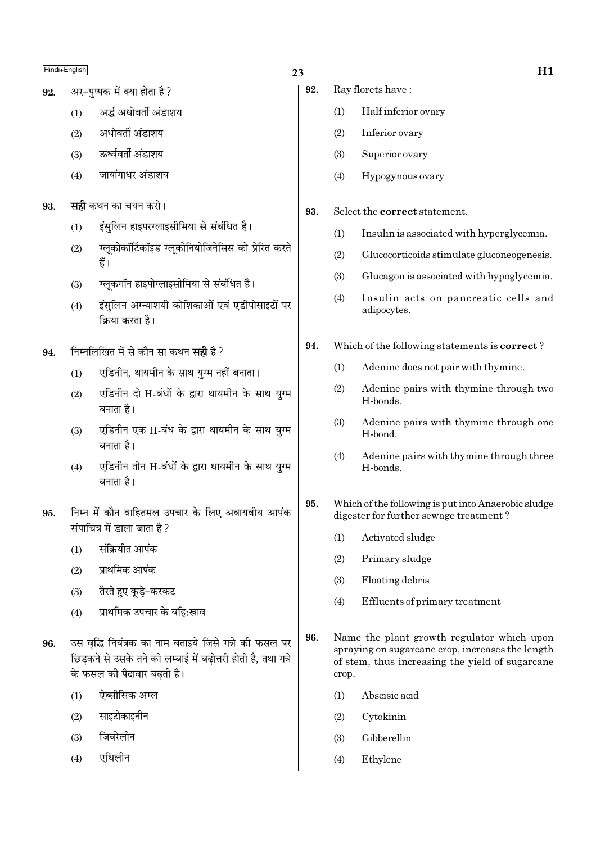अर-पष्पक में क्या होता है? 92.

- अर्द्ध अधोवर्ती अंडाशय  $(1)$
- अधोवर्ती अंडाशय  $(2)$
- ऊर्ध्ववर्ती अंडाशय  $(3)$
- जायांगाधर अंडाशय  $(4)$
- **सही** कथन का चयन करो। 93.
	- इंसलिन हाइपरग्लाइसीमिया से संबंधित है।  $(1)$
	- ग्लूकोकॉर्टिकॉइड ग्लूकोनियोजिनेसिस को प्रेरित करते  $(2)$ हैं।
	- ग्लुकगॉन हाइपोग्लाइसीमिया से संबंधित है।  $(3)$
	- इंसुलिन अग्न्याशयी कोशिकाओं एवं एडीपोसाइटों पर  $(4)$ क्रिया करता है।
- निम्नलिखित में से कौन सा कथन **सही** है ? 94.
	- एडिनीन, थायमीन के साथ युग्म नहीं बनाता।  $(1)$
	- एडिनीन दो H-बंधों के द्रारा थायमीन के साथ यग्म  $(2)$ बनाता है।
	- एडिनीन एक H-बंध के द्वारा थायमीन के साथ युग्म  $(3)$ बनाता है।
	- एडिनीन तीन H-बंधों के द्वारा थायमीन के साथ युग्म  $(4)$ बनाता है।
- निम्न में कौन वाहितमल उपचार के लिए अवायवीय आपंक 95. संपाचित्र में डाला जाता है?
	- संक्रियीत आपंक  $(1)$
	- प्राथमिक आपंक  $(2)$
	- तैरते हुए कुडे-करकट  $(3)$
	- प्राथमिक उपचार के बहि:स्राव  $(4)$
- उस वद्धि नियंत्रक का नाम बताइये जिसे गन्ने की फसल पर 96. छिड़कने से उसके तने की लम्बाई में बढ़ोत्तरी होती है, तथा गन्ने के फसल की पैदावार बढती है।
	- $(1)$ ऐब्सीसिक अम्ल
	- साइटोकाइनीन  $(2)$
	- जिबरेलीन  $(3)$
	- एथिलीन  $(4)$

# 23

- 92. Ray florets have:
	- Half inferior ovary  $(1)$
	- $(2)$ Inferior ovary
	- Superior ovary  $(3)$
	- $(4)$ Hypogynous ovary
- 93. Select the correct statement.
	- $(1)$ Insulin is associated with hyperglycemia.
	- $(2)$ Glucocorticoids stimulate gluconeogenesis.
	- $(3)$ Glucagon is associated with hypoglycemia.
	- Insulin acts on pancreatic cells and  $(4)$ adipocytes.
- 94. Which of the following statements is **correct**?
	- $(1)$ Adenine does not pair with thymine.
	- Adenine pairs with thymine through two  $(2)$ H-bonds.
	- Adenine pairs with thymine through one  $(3)$ H-bond.
	- Adenine pairs with thymine through three  $(4)$ H-bonds
- 95. Which of the following is put into Anaerobic sludge digester for further sewage treatment?
	- Activated sludge  $(1)$
	- $(2)$ Primary sludge
	- $(3)$ Floating debris
	- Effluents of primary treatment  $(4)$
- 96. Name the plant growth regulator which upon spraying on sugarcane crop, increases the length of stem, thus increasing the yield of sugarcane crop.
	- Abscisic acid  $(1)$
	- $(2)$ Cytokinin
	- $(3)$ Gibberellin
	- $(4)$ Ethylene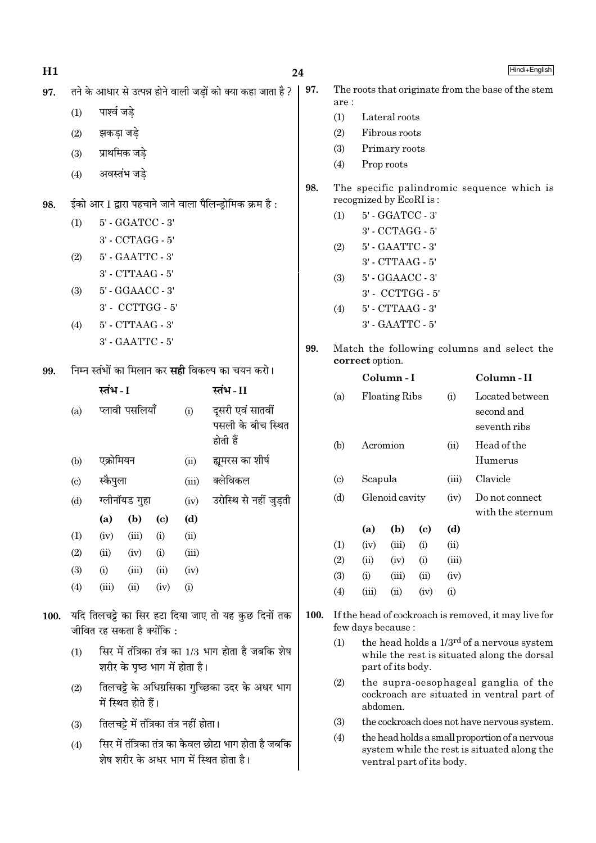| H1   |     |                                      |                      |      |                                        | 24                                                                                             |     |  |  |  |  |  |
|------|-----|--------------------------------------|----------------------|------|----------------------------------------|------------------------------------------------------------------------------------------------|-----|--|--|--|--|--|
| 97.  |     |                                      |                      |      |                                        | तने के आधार से उत्पन्न होने वाली जड़ों को क्या कहा जाता है ?                                   | 97. |  |  |  |  |  |
|      | (1) | पार्श्व जड़े                         |                      |      |                                        |                                                                                                |     |  |  |  |  |  |
|      | (2) | झकड़ा जड़े                           |                      |      |                                        |                                                                                                |     |  |  |  |  |  |
|      | (3) |                                      | प्राथमिक जड़े        |      |                                        |                                                                                                |     |  |  |  |  |  |
|      | (4) |                                      | अवस्तंभ जड़े         |      |                                        |                                                                                                |     |  |  |  |  |  |
|      |     |                                      |                      |      |                                        |                                                                                                | 98. |  |  |  |  |  |
| 98.  |     |                                      |                      |      |                                        | ईको आर I द्वारा पहचाने जाने वाला पैलिन्ड्रोमिक क्रम है:                                        |     |  |  |  |  |  |
|      | (1) |                                      | 5' - GGATCC - 3'     |      |                                        |                                                                                                |     |  |  |  |  |  |
|      |     |                                      | 3' - CCTAGG - 5'     |      |                                        |                                                                                                |     |  |  |  |  |  |
|      | (2) |                                      | 5' - GAATTC - 3'     |      |                                        |                                                                                                |     |  |  |  |  |  |
|      | (3) | 3' - CTTAAG - 5'<br>5' - GGAACC - 3' |                      |      |                                        |                                                                                                |     |  |  |  |  |  |
|      |     | 3' - CCTTGG - 5'                     |                      |      |                                        |                                                                                                |     |  |  |  |  |  |
|      | (4) |                                      | $5'$ - $CTTAAG - 3'$ |      |                                        |                                                                                                |     |  |  |  |  |  |
|      |     |                                      | 3' - GAATTC - 5'     |      |                                        |                                                                                                |     |  |  |  |  |  |
|      |     |                                      |                      |      |                                        |                                                                                                | 99. |  |  |  |  |  |
| 99.  |     |                                      |                      |      |                                        | निम्न स्तंभों का मिलान कर <b>सही</b> विकल्प का चयन करो।                                        |     |  |  |  |  |  |
|      |     | स्तंभ - I                            |                      |      |                                        | स्तंभ-II                                                                                       |     |  |  |  |  |  |
|      | (a) |                                      | प्लावी पसलियाँ       |      | (i)                                    | दूसरी एवं सातवीं<br>पसली के बीच स्थित<br>होती हैं                                              |     |  |  |  |  |  |
|      | (b) | एक्रोमियन                            |                      |      | (ii)                                   | ह्यमरस का शीर्ष                                                                                |     |  |  |  |  |  |
|      | (c) | स्कैपुला                             |                      |      |                                        | (iii) क्लेविकल                                                                                 |     |  |  |  |  |  |
|      | (d) |                                      | ग्लीनॉयड गुहा        |      | (iv)                                   | उरोस्थि से नहीं जुड़ती                                                                         |     |  |  |  |  |  |
|      |     | (a)                                  | (b)                  | (c)  | (d)                                    |                                                                                                |     |  |  |  |  |  |
|      | (1) | (iv)                                 | (iii)                | (i)  | (ii)                                   |                                                                                                |     |  |  |  |  |  |
|      | (2) | (ii)                                 | (iv)                 | (i)  | (iii)                                  |                                                                                                |     |  |  |  |  |  |
|      | (3) | (i)                                  | (iii)                | (ii) | (iv)                                   |                                                                                                |     |  |  |  |  |  |
|      | (4) | (iii)                                | (ii)                 | (iv) | (i)                                    |                                                                                                |     |  |  |  |  |  |
| 100. |     | जीवित रह सकता है क्योंकि :           |                      |      |                                        | यदि तिलचट्टे का सिर हटा दिया जाए तो यह कुछ दिनों तक                                            | 100 |  |  |  |  |  |
|      | (1) |                                      |                      |      | शरीर के पृष्ठ भाग में होता है।         | सिर में तंत्रिका तंत्र का 1/3 भाग होता है जबकि शेष                                             |     |  |  |  |  |  |
|      | (2) |                                      | में स्थित होते हैं।  |      |                                        | तिलचट्टे के अधिग्रसिका गुच्छिका उदर के अधर भाग                                                 |     |  |  |  |  |  |
|      | (3) |                                      |                      |      | तिलचट्टे में तंत्रिका तंत्र नहीं होता। |                                                                                                |     |  |  |  |  |  |
|      | (4) |                                      |                      |      |                                        | सिर में तंत्रिका तंत्र का केवल छोटा भाग होता है जबकि<br>शेष शरीर के अधर भाग में स्थित होता है। |     |  |  |  |  |  |
|      |     |                                      |                      |      |                                        |                                                                                                |     |  |  |  |  |  |

| (1) |                 | 5' - GGATCC - 3'     |                            |       |                                                         |  |  |  |  |  |  |  |
|-----|-----------------|----------------------|----------------------------|-------|---------------------------------------------------------|--|--|--|--|--|--|--|
|     |                 | 3' - CCTAGG - 5'     |                            |       |                                                         |  |  |  |  |  |  |  |
| (2) |                 | 5' - GAATTC - 3'     |                            |       |                                                         |  |  |  |  |  |  |  |
|     |                 | 3' - CTTAAG - 5'     |                            |       |                                                         |  |  |  |  |  |  |  |
| (3) |                 | 5' - GGAACC - 3'     |                            |       |                                                         |  |  |  |  |  |  |  |
|     |                 | 3' - CCTTGG - 5'     |                            |       |                                                         |  |  |  |  |  |  |  |
| (4) |                 | 5' - CTTAAG - 3'     |                            |       |                                                         |  |  |  |  |  |  |  |
|     |                 | 3' - GAATTC - 5'     |                            |       |                                                         |  |  |  |  |  |  |  |
|     | correct option. | Column-I             |                            |       | Match the following columns and select the<br>Column-II |  |  |  |  |  |  |  |
|     |                 |                      |                            |       |                                                         |  |  |  |  |  |  |  |
| (a) |                 | <b>Floating Ribs</b> |                            | (i)   | Located between                                         |  |  |  |  |  |  |  |
|     |                 |                      |                            |       | second and<br>seventh ribs                              |  |  |  |  |  |  |  |
|     |                 |                      |                            |       |                                                         |  |  |  |  |  |  |  |
| (b) |                 | Acromion             |                            | (ii)  | Head of the<br>Humerus                                  |  |  |  |  |  |  |  |
|     |                 |                      |                            |       |                                                         |  |  |  |  |  |  |  |
|     |                 |                      |                            |       |                                                         |  |  |  |  |  |  |  |
| (c) | Scapula         |                      |                            | (iii) | Clavicle                                                |  |  |  |  |  |  |  |
| (d) |                 | Glenoid cavity       |                            | (iv)  | Do not connect                                          |  |  |  |  |  |  |  |
|     |                 |                      |                            |       |                                                         |  |  |  |  |  |  |  |
|     | (a)             | (b)                  | $\left( \mathrm{c}\right)$ | (d)   |                                                         |  |  |  |  |  |  |  |
| (1) | (iv)            | (iii)                | (i)                        | (ii)  |                                                         |  |  |  |  |  |  |  |
| (2) | (ii)            | (iv)                 | (i)                        | (iii) |                                                         |  |  |  |  |  |  |  |
| (3) | (i)             | (iii)                | (ii)                       | (iv)  | with the sternum                                        |  |  |  |  |  |  |  |

The roots that originate from the base of the stem

 $are:$  $(1)$ 

 $(2)$ 

 $(3)$ 

 $(4)$ 

Lateral roots

Fibrous roots

Primary roots Prop roots

- the head holds a 1/3<sup>rd</sup> of a nervous system  $(1)$ while the rest is situated along the dorsal part of its body.
- $(2)$ the supra-oesophageal ganglia of the cockroach are situated in ventral part of abdomen.
- $(3)$ the cockroach does not have nervous system.
- the head holds a small proportion of a nervous  $(4)$ system while the rest is situated along the ventral part of its body.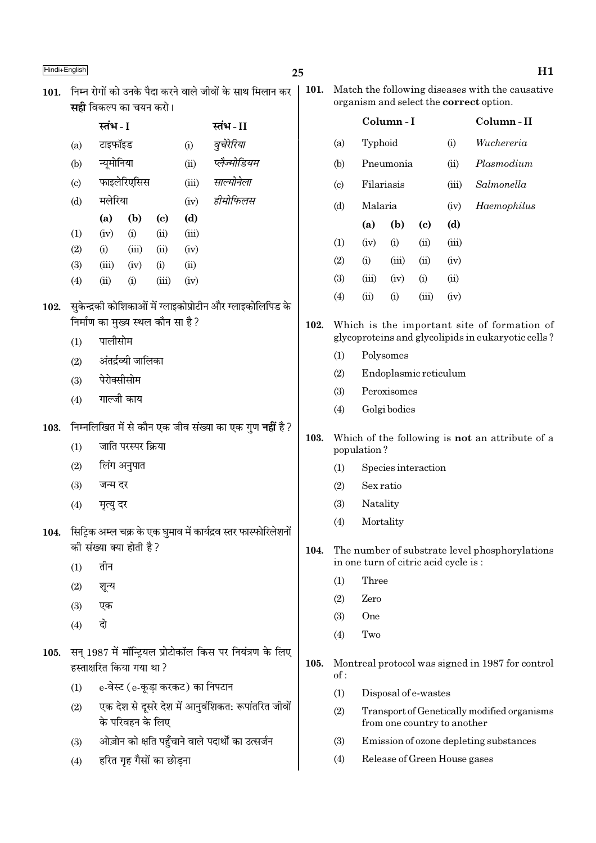102.

103.

104.

105.

Release of Green House gases

 $(4)$ 

 $\overline{\phantom{a}}$ 

|                            | सहा ।वकल्प का चयन करा।            |                     |                            |                                  |                                                                 |      |                                                                       |                                      |                      |       |                             |                                                    |  |
|----------------------------|-----------------------------------|---------------------|----------------------------|----------------------------------|-----------------------------------------------------------------|------|-----------------------------------------------------------------------|--------------------------------------|----------------------|-------|-----------------------------|----------------------------------------------------|--|
|                            | स्तंभ - I                         |                     |                            |                                  | स्तंभ - II                                                      |      |                                                                       |                                      | Column-I             |       |                             | Column-II                                          |  |
| (a)                        | टाइफॉइड                           |                     |                            | (i)                              | वूचेरेरिया                                                      |      | (a)                                                                   | Typhoid                              |                      |       | (i)                         | Wuchereria                                         |  |
| (b)                        | न्यूमोनिया                        |                     |                            | (ii)                             | प्लैज्मोडियम                                                    |      | (b)                                                                   |                                      | Pneumonia<br>(ii)    |       |                             | Plasmodium                                         |  |
| $\left( \mathrm{c}\right)$ |                                   | फाइलेरिएसिस         |                            | (iii)                            | साल्मोनेला                                                      |      | $\left( \mathrm{c}\right)$                                            |                                      | Filariasis           |       |                             | Salmonella                                         |  |
| (d)                        | मलेरिया                           |                     |                            | (iv)                             | हीमोफिलस                                                        |      | (d)                                                                   | Malaria                              |                      |       | (iv)                        | Haemophilus                                        |  |
|                            | (a)                               | (b)                 | $\left( \mathrm{c}\right)$ | (d)                              |                                                                 |      |                                                                       | (a)                                  | (b)                  | (c)   | (d)                         |                                                    |  |
| $\left(1\right)$           | (iv)                              | (i)                 | (ii)                       | (iii)                            |                                                                 |      | (1)                                                                   | (iv)                                 | (i)                  | (ii)  | (iii)                       |                                                    |  |
| (2)                        | (i)                               | (iii)               | (ii)                       | (iv)                             |                                                                 |      | (2)                                                                   | (i)                                  | (iii)                | (ii)  | (iv)                        |                                                    |  |
| (3)                        | (iii)<br>(ii)                     | (iv)                | (i)<br>(iii)               | (ii)                             |                                                                 |      | (3)                                                                   | (iii)                                | (iv)                 | (i)   | (ii)                        |                                                    |  |
| (4)                        |                                   | (i)                 |                            | (iv)                             |                                                                 |      | (4)                                                                   | (ii)                                 | (i)                  | (iii) | (iv)                        |                                                    |  |
|                            |                                   |                     |                            |                                  | सुकेन्द्रकी कोशिकाओं में ग्लाइकोप्रोटीन और ग्लाइकोलिपिड के      |      |                                                                       |                                      |                      |       |                             |                                                    |  |
|                            | निर्माण का मुख्य स्थल कौन सा है ? |                     |                            |                                  |                                                                 | 102. |                                                                       |                                      |                      |       |                             | Which is the important site of formation of        |  |
| (1)                        | पालीसोम                           |                     |                            |                                  |                                                                 |      | (1)                                                                   |                                      | Polysomes            |       |                             | glycoproteins and glycolipids in eukaryotic cells? |  |
| (2)                        |                                   | अंतर्द्रव्यी जालिका |                            |                                  |                                                                 |      | (2)                                                                   |                                      |                      |       |                             |                                                    |  |
| (3)                        | पेरोक्सीसोम                       |                     |                            |                                  |                                                                 |      | (3)                                                                   | Endoplasmic reticulum<br>Peroxisomes |                      |       |                             |                                                    |  |
| (4)                        | गाल्जी काय                        |                     |                            |                                  |                                                                 |      | (4)                                                                   |                                      | Golgi bodies         |       |                             |                                                    |  |
|                            |                                   |                     |                            |                                  | निम्नलिखित में से कौन एक जीव संख्या का एक गुण <b>नहीं</b> है ?  |      |                                                                       |                                      |                      |       |                             |                                                    |  |
| (1)                        |                                   | जाति परस्पर क्रिया  |                            |                                  |                                                                 | 103. | Which of the following is <b>not</b> an attribute of a<br>population? |                                      |                      |       |                             |                                                    |  |
| (2)                        |                                   | लिंग अनुपात         |                            |                                  |                                                                 |      | (1)                                                                   |                                      | Species interaction  |       |                             |                                                    |  |
| (3)                        | जन्म दर                           |                     |                            |                                  |                                                                 |      | (2)                                                                   | Sex ratio                            |                      |       |                             |                                                    |  |
| (4)                        | मृत्यु दर                         |                     |                            |                                  |                                                                 |      | (3)                                                                   | Natality                             |                      |       |                             |                                                    |  |
|                            |                                   |                     |                            |                                  | सिट्रिक अम्ल चक्र के एक घुमाव में कार्यद्रव स्तर फास्फोरिलेशनों |      | (4)                                                                   | Mortality                            |                      |       |                             |                                                    |  |
|                            | की संख्या क्या होती है ?          |                     |                            |                                  |                                                                 | 104. |                                                                       |                                      |                      |       |                             | The number of substrate level phosphorylations     |  |
| (1)                        | तीन                               |                     |                            |                                  |                                                                 |      |                                                                       | in one turn of citric acid cycle is: |                      |       |                             |                                                    |  |
| (2)                        | शून्य                             |                     |                            |                                  |                                                                 |      | (1)                                                                   | Three                                |                      |       |                             |                                                    |  |
| (3)                        | एक                                |                     |                            |                                  |                                                                 |      | (2)                                                                   | Zero                                 |                      |       |                             |                                                    |  |
| (4)                        | दो                                |                     |                            |                                  |                                                                 |      | (3)                                                                   | <b>One</b>                           |                      |       |                             |                                                    |  |
|                            |                                   |                     |                            |                                  |                                                                 |      | (4)                                                                   | Two                                  |                      |       |                             |                                                    |  |
|                            | हस्ताक्षरित किया गया था ?         |                     |                            |                                  | सन् 1987 में मॉन्ट्रियल प्रोटोकॉल किस पर नियंत्रण के लिए        | 105. | of:                                                                   |                                      |                      |       |                             | Montreal protocol was signed in 1987 for control   |  |
| (1)                        |                                   |                     |                            | e-वेस्ट (e-कूड़ा करकट) का निपटान |                                                                 |      | (1)                                                                   |                                      | Disposal of e-wastes |       |                             |                                                    |  |
| (2)                        |                                   | के परिवहन के लिए    |                            |                                  | एक देश से दूसरे देश में आनुवंशिकत: रूपांतरित जीवों              |      | (2)                                                                   |                                      |                      |       | from one country to another | Transport of Genetically modified organisms        |  |
| (3)                        |                                   |                     |                            |                                  | ओज़ोन को क्षति पहुँचाने वाले पदार्थों का उत्सर्जन               |      | (3)                                                                   |                                      |                      |       |                             | Emission of ozone depleting substances             |  |
|                            |                                   |                     |                            |                                  |                                                                 |      |                                                                       |                                      |                      |       |                             |                                                    |  |

हरित गृह गैसों का छोड़ना  $(4)$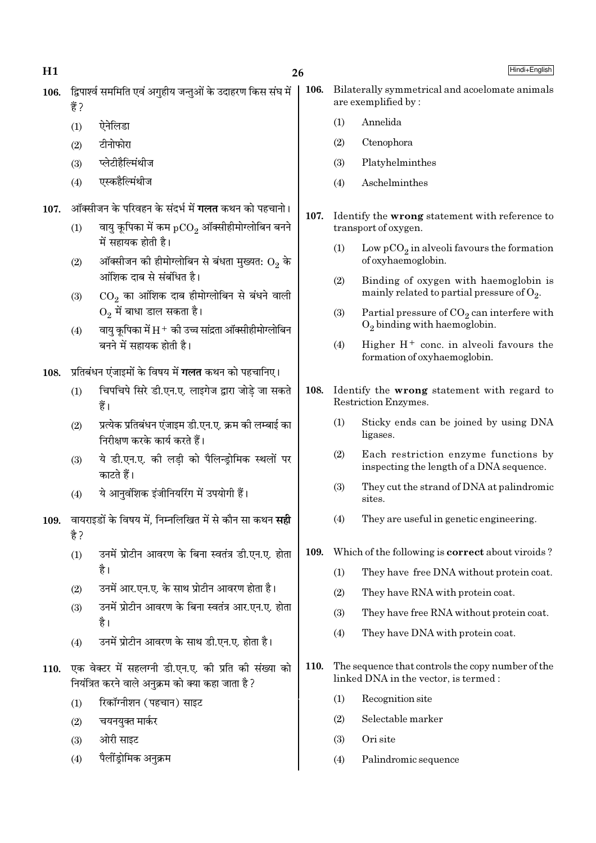Hindi+English

- 106. द्विपार्श्व सममिति एवं अगहीय जन्तओं के उदाहरण किस संघ में 훔?
	- ऐनेलिडा  $(1)$
	- टीनोफोरा  $(2)$
	- प्लेटीहैल्मिंथीज  $(3)$
	- एस्कहैल्मिंथीज  $(4)$
- ऑक्सीजन के परिवहन के संदर्भ में **गलत** कथन को पहचानो।  $107.$ 
	- वायु कूपिका में कम  $pCO_2$  ऑक्सीहीमोग्लोबिन बनने  $(1)$ में सहायक होती है।
	- ऑक्सीजन की हीमोग्लोबिन से बंधता मुख्यत:  $\mathrm{O}_2$  के  $(2)$ आंशिक दाब से संबंधित है।
	- $\mathrm{CO}_2$  का आंशिक दाब हीमोग्लोबिन से बंधने वाली  $(3)$  $\overline{\mathrm{O}_2}$  में बाधा डाल सकता है।
	- वायु कूपिका में  $H^+$  की उच्च सांद्रता ऑक्सीहीमोग्लोबिन  $(4)$ बनने में सहायक होती है।

108. प्रतिबंधन एंजाइमों के विषय में गलत कथन को पहचानिए।

- चिपचिपे सिरे डी.एन.ए. लाइगेज द्वारा जोडे जा सकते  $(1)$ हैं।
- प्रत्येक प्रतिबंधन एंजाइम डी.एन.ए. क्रम की लम्बाई का  $(2)$ निरीक्षण करके कार्य करते हैं।
- ये डी.एन.ए. की लडी को पैलिन्डोमिक स्थलों पर  $(3)$ काटते हैं।
- ये आनुवंशिक इंजीनियरिंग में उपयोगी हैं।  $(4)$
- 109. वायराइडों के विषय में. निम्नलिखित में से कौन सा कथन सद्दी है ?
	- उनमें प्रोटीन आवरण के बिना स्वतंत्र डी.एन.ए. होता  $(1)$ है।
	- उनमें आर.एन.ए. के साथ प्रोटीन आवरण होता है।  $(2)$
	- उनमें प्रोटीन आवरण के बिना स्वतंत्र आर.एन.ए. होता  $(3)$ है।
	- उनमें प्रोटीन आवरण के साथ डी.एन.ए. होता है।  $(4)$
- 110. एक वेक्टर में सहलग्नी डी.एन.ए. की प्रति की संख्या को नियंत्रित करने वाले अनक्रम को क्या कहा जाता है ?
	- रिकॉग्नीशन (पहचान) साइट  $(1)$
	- चयनयुक्त मार्कर  $(2)$
	- ओरी साइट  $(3)$
	- पैलींडोमिक अनुक्रम  $(4)$
- 106. Bilaterally symmetrical and acoelomate animals are exemplified by:
	- Annelida  $(1)$
	- $(2)$ Ctenophora
	- $(3)$ Platyhelminthes
	- $(4)$ Aschelminthes
- $107.$ Identify the wrong statement with reference to transport of oxygen.
	- Low  $pCO<sub>2</sub>$  in alveoli favours the formation  $(1)$ of oxyhaemoglobin.
	- Binding of oxygen with haemoglobin is  $(2)$ mainly related to partial pressure of  $O_2$ .
	- Partial pressure of  $CO<sub>2</sub>$  can interfere with  $(3)$  $O<sub>2</sub>$  binding with haemoglobin.
	- Higher  $H^+$  conc. in alveoli favours the  $(4)$ formation of oxyhaemoglobin.
- 108. Identify the wrong statement with regard to Restriction Enzymes.
	- $(1)$ Sticky ends can be joined by using DNA ligases.
	- $(2)$ Each restriction enzyme functions by inspecting the length of a DNA sequence.
	- They cut the strand of DNA at palindromic  $(3)$ sites.
	- They are useful in genetic engineering.  $(4)$
- 109. Which of the following is **correct** about viroids?
	- They have free DNA without protein coat.  $(1)$
	- $(2)$ They have RNA with protein coat.
	- $(3)$ They have free RNA without protein coat.
	- $(4)$ They have DNA with protein coat.
- $110.$ The sequence that controls the copy number of the linked DNA in the vector, is termed :
	- Recognition site  $(1)$
	- Selectable marker  $(2)$
	- $(3)$ Ori site
	- $(4)$ Palindromic sequence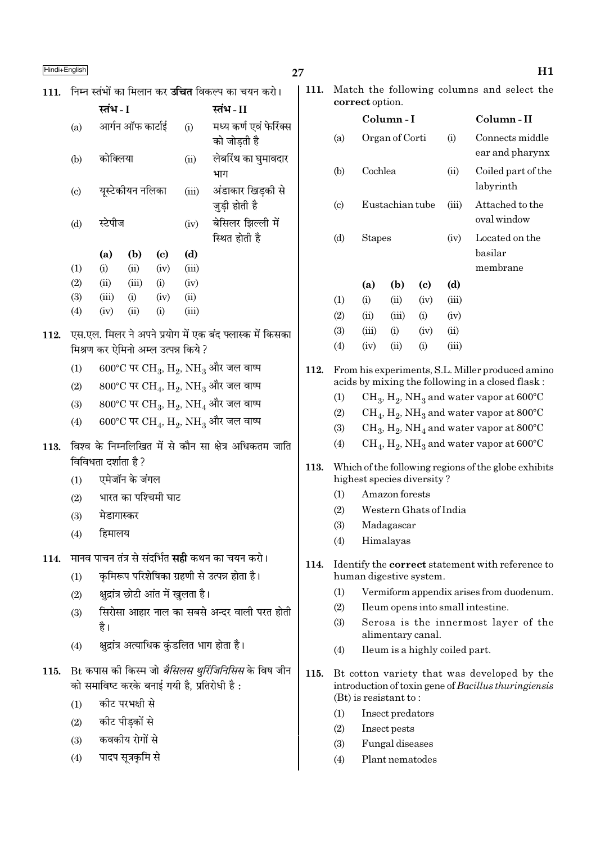# $\frac{\text{Hindi} + \text{English}}{\text{H1}}$

| 111. |                            | निम्न स्तंभों का मिलान कर <b>उचित</b> विकल्प का चयन करो।                          |                  |                                     |                                                                                   |                                                                                   |  |  |
|------|----------------------------|-----------------------------------------------------------------------------------|------------------|-------------------------------------|-----------------------------------------------------------------------------------|-----------------------------------------------------------------------------------|--|--|
|      |                            | स्तंभ - I                                                                         |                  |                                     |                                                                                   | स्तंभ-II                                                                          |  |  |
|      | (a)                        |                                                                                   | आर्गन ऑफ कार्टाई |                                     | (i)                                                                               | मध्य कर्ण एवं फेरिंक्स<br>को जोड़ती है                                            |  |  |
|      | (b)                        | कोक्लिया                                                                          |                  |                                     | (ii)                                                                              | लेबरिंथ का घुमावदार<br>भाग                                                        |  |  |
|      | $\left( \mathrm{c}\right)$ |                                                                                   | यूस्टेकीयन नलिका |                                     | (iii)                                                                             | अंडाकार खिड़की से<br>जुड़ी होती है                                                |  |  |
|      | (d)                        | स्टेपीज                                                                           |                  | (iv)                                | बेसिलर झिल्ली में<br>स्थित होती है                                                |                                                                                   |  |  |
|      |                            | (a)                                                                               | (b)              | (c)                                 | (d)                                                                               |                                                                                   |  |  |
|      | (1)                        | (i)                                                                               | (ii)             | (iv)                                | (iii)                                                                             |                                                                                   |  |  |
|      | (2)                        | (ii)                                                                              | (iii)            | (i)                                 | (iv)                                                                              |                                                                                   |  |  |
|      | (3)                        | (iii)                                                                             | (i)              | (iv)                                | (ii)                                                                              |                                                                                   |  |  |
|      | (4)                        | (iv)                                                                              | (ii)             | (i)                                 | (iii)                                                                             |                                                                                   |  |  |
| 112. |                            |                                                                                   |                  |                                     |                                                                                   | एस.एल. मिलर ने अपने प्रयोग में एक बंद फ्लास्क में किसका                           |  |  |
|      |                            |                                                                                   |                  | मिश्रण कर ऐमिनो अम्ल उत्पन्न किये ? |                                                                                   |                                                                                   |  |  |
|      | (1)                        | $600^{\circ}$ C पर CH <sub>3</sub> , H <sub>2</sub> , NH <sub>3</sub> और जल वाष्प |                  |                                     |                                                                                   |                                                                                   |  |  |
|      | (2)                        |                                                                                   |                  |                                     | $800^{\circ}$ C पर CH <sub>4</sub> , H <sub>2</sub> , NH <sub>3</sub> और जल वाष्प |                                                                                   |  |  |
|      | (3)                        |                                                                                   |                  |                                     |                                                                                   | $800^{\circ}$ C पर CH <sub>3</sub> , H <sub>2</sub> , NH <sub>4</sub> और जल वाष्प |  |  |
|      | (4)                        |                                                                                   |                  |                                     |                                                                                   | 600°C पर CH <sub>4</sub> , H <sub>2</sub> , NH <sub>3</sub> और जल वाष्प           |  |  |
| 113. |                            | विविधता दर्शाता है?                                                               |                  |                                     |                                                                                   | विश्व के निम्नलिखित में से कौन सा क्षेत्र अधिकतम जाति                             |  |  |
|      | (1)                        |                                                                                   | एमेजॉन के जंगल   |                                     |                                                                                   |                                                                                   |  |  |
|      | (2)                        |                                                                                   |                  | भारत का पश्चिमी घाट                 |                                                                                   |                                                                                   |  |  |
|      | (3)                        | मेडागास्कर                                                                        |                  |                                     |                                                                                   |                                                                                   |  |  |
|      | (4)                        | हिमालय                                                                            |                  |                                     |                                                                                   |                                                                                   |  |  |
| 114. |                            |                                                                                   |                  |                                     |                                                                                   | मानव पाचन तंत्र से संदर्भित <b>सही</b> कथन का चयन करो।                            |  |  |
|      | (1)                        |                                                                                   |                  |                                     |                                                                                   | कृमिरूप परिशेषिका ग्रहणी से उत्पन्न होता है।                                      |  |  |
|      | (2)                        |                                                                                   |                  | क्षुद्रांत्र छोटी आंत में खुलता है। |                                                                                   |                                                                                   |  |  |
|      |                            |                                                                                   |                  |                                     |                                                                                   | सिरोसा आहार नाल का सबसे अन्दर वाली परत होती                                       |  |  |
|      | (3)                        | है।                                                                               |                  |                                     |                                                                                   |                                                                                   |  |  |
|      | (4)                        |                                                                                   |                  |                                     |                                                                                   | क्षुद्रांत्र अत्याधिक कुंडलित भाग होता है।                                        |  |  |
| 115. |                            | Bt कपास की किस्म जो <i>बैसिलस थुरिंजिनिसिस</i> के विष जीन                         |                  |                                     |                                                                                   |                                                                                   |  |  |
|      |                            |                                                                                   |                  |                                     |                                                                                   | को समाविष्ट करके बनाई गयी है, प्रतिरोधी है:                                       |  |  |
|      | (1)                        |                                                                                   | कीट परभक्षी से   |                                     |                                                                                   |                                                                                   |  |  |
|      | (2)                        |                                                                                   | कीट पीड़कों से   |                                     |                                                                                   |                                                                                   |  |  |
|      | (3)                        | कवकीय रोगों से                                                                    |                  |                                     |                                                                                   |                                                                                   |  |  |

 $(4)$  पादप सूत्रकृमि से

111. Match the following columns and select the correct option.

|      |                        | $\sim$ 2011 $\sim$ 000 $\sim$ 000 $\sim$ 0.000 $\sim$ |                 |                                |               |                                                                                                                                |
|------|------------------------|-------------------------------------------------------|-----------------|--------------------------------|---------------|--------------------------------------------------------------------------------------------------------------------------------|
|      |                        |                                                       | Column-I        |                                |               | Column - II                                                                                                                    |
|      | (a)                    |                                                       | Organ of Corti  |                                | (i)           | Connects middle                                                                                                                |
|      |                        |                                                       |                 |                                |               | ear and pharynx                                                                                                                |
|      | (b)                    | Cochlea                                               |                 |                                | (ii)          | Coiled part of the                                                                                                             |
|      |                        |                                                       |                 |                                |               | labyrinth                                                                                                                      |
|      | $\left( \circ \right)$ |                                                       | Eustachian tube |                                | (iii)         | Attached to the                                                                                                                |
|      |                        |                                                       |                 |                                |               | oval window                                                                                                                    |
|      | (d)                    | <b>Stapes</b>                                         |                 |                                | (iv)          | Located on the                                                                                                                 |
|      |                        |                                                       |                 |                                |               | basilar                                                                                                                        |
|      |                        |                                                       |                 |                                |               | membrane                                                                                                                       |
|      |                        | (a)                                                   | (b)             | $\left( \mathrm{c}\right)$     | (d)           |                                                                                                                                |
|      | (1)                    | (i)                                                   | (ii)            | (iv)                           | (iii)         |                                                                                                                                |
|      | (2)                    | (ii)<br>(iii)                                         | (iii)           | (i)<br>(iv)                    | (iv)          |                                                                                                                                |
|      | (3)<br>(4)             | (iv)                                                  | (i)<br>(ii)     | (i)                            | (ii)<br>(iii) |                                                                                                                                |
|      |                        |                                                       |                 |                                |               |                                                                                                                                |
| 112. |                        |                                                       |                 |                                |               | From his experiments, S.L. Miller produced amino                                                                               |
|      |                        |                                                       |                 |                                |               | acids by mixing the following in a closed flask:                                                                               |
|      | (1)                    |                                                       |                 |                                |               | $\rm CH_{3}$ , $\rm H_{2}$ , NH <sub>3</sub> and water vapor at 600°C                                                          |
|      | (2)                    |                                                       |                 |                                |               | $\rm CH_{4}$ , $\rm H_{2}$ , NH <sub>3</sub> and water vapor at 800°C                                                          |
|      | (3)<br>(4)             |                                                       |                 |                                |               | $CH_3$ , $H_2$ , NH <sub>4</sub> and water vapor at 800°C<br>$\rm CH_4$ , $\rm H_2$ , NH <sub>3</sub> and water vapor at 600°C |
|      |                        |                                                       |                 |                                |               |                                                                                                                                |
| 113. |                        |                                                       |                 | highest species diversity?     |               | Which of the following regions of the globe exhibits                                                                           |
|      | (1)                    |                                                       | Amazon forests  |                                |               |                                                                                                                                |
|      | (2)                    |                                                       |                 | Western Ghats of India         |               |                                                                                                                                |
|      | (3)                    |                                                       | Madagascar      |                                |               |                                                                                                                                |
|      | (4)                    |                                                       | Himalayas       |                                |               |                                                                                                                                |
| 114. |                        |                                                       |                 |                                |               | Identify the <b>correct</b> statement with reference to                                                                        |
|      |                        |                                                       |                 | human digestive system.        |               |                                                                                                                                |
|      | (1)                    |                                                       |                 |                                |               | Vermiform appendix arises from duodenum.                                                                                       |
|      | (2)                    |                                                       |                 |                                |               | Ileum opens into small intestine.                                                                                              |
|      | (3)                    |                                                       |                 | alimentary canal.              |               | Serosa is the innermost layer of the                                                                                           |
|      | (4)                    |                                                       |                 | Ileum is a highly coiled part. |               |                                                                                                                                |
| 115. |                        | $(Bt)$ is resistant to:                               |                 |                                |               | Bt cotton variety that was developed by the<br>introduction of toxin gene of Bacillus thuringiensis                            |

- (1) Insect predators
- (2) Insect pests
- (3) Fungal diseases
- (4) Plant nematodes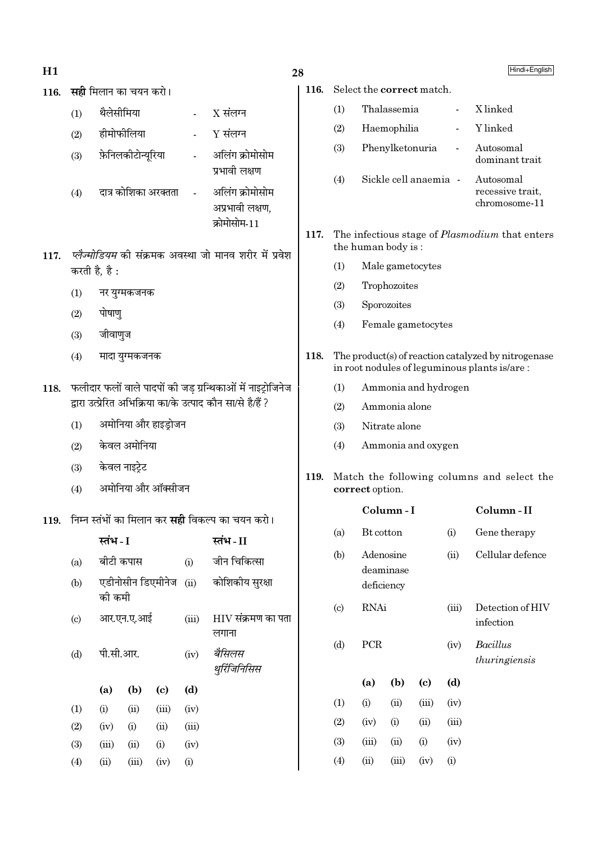- $H1$
- 116. सही मिलान का चयन करो।

| (1) | थैलेसीमिया           | $X$ संलग्न                                         |
|-----|----------------------|----------------------------------------------------|
| (2) | हीमोफीलिया           | Y संलग्न                                           |
| (3) | फ़ेनिलकीटोन्यूरिया   | अलिंग क्रोमोसोम<br>प्रभावी लक्षण                   |
| (4) | दात्र कोशिका अरक्तता | अलिंग क्रोमोसोम<br>अप्रभावी लक्षण.<br>क्रोमोसोम-11 |

- 117. प्लैज्मोडियम की संक्रमक अवस्था जो मानव शरीर में प्रवेश करती है, है:
	- $(1)$ नर युग्मकजनक
	- पोषाण  $(2)$
	- $(3)$ जीवाणुज
	- मादा युग्मकजनक  $(4)$
- 118. फलीदार फलों वाले पादपों की जड़ ग्रन्थिकाओं में नाइट्रोजिनेज द्रारा उत्प्रेरित अभिक्रिया का/के उत्पाद कौन सा/से है/हैं ?
	- अमोनिया और हाइड़ोजन  $(1)$
	- केवल अमोनिया  $(2)$
	- केवल नाइटे़ट  $(3)$
	- अमोनिया और ऑक्सीजन  $(4)$
- 119. निम्न स्तंभों का मिलान कर **सही** विकल्प का चयन करो।

|                           | स्तंभ - I |            |                            |       | स्तंभ - II                  |
|---------------------------|-----------|------------|----------------------------|-------|-----------------------------|
| (a)                       | बीटी कपास |            |                            | (i)   | जीन चिकित्सा                |
| (b)                       | को कमी    |            | एडीनोसीन डिएमीनेज          |       | (ii) कोशिकीय सुरक्षा        |
| $\left( \text{c} \right)$ |           | आर.एन.ए.आई |                            | (iii) | HIV संक्रमण का पता<br>लगाना |
| (d)                       | पी.सी.आर. |            |                            | (iv)  | बैसिलस<br>थुर्रिजिनिसिस     |
|                           | (a)       | (b)        | $\left( \mathrm{c}\right)$ | (d)   |                             |
| (1)                       | (i)       | (ii)       | (iii)                      | (iv)  |                             |
| (2)                       | (iv)      | (i)        | (ii)                       | (iii) |                             |
| (3)                       | (iii)     | (ii)       | (i)                        | (iv)  |                             |
| (4)                       | (ii)      | (iii)      | (iv)                       | (i)   |                             |

# 28

116. Select the correct match.

- $(1)$ Thalassemia X linked  $\overline{a}$  $(2)$ Haemophilia Y linked  $\overline{a}$ Phenylketonuria  $(3)$ Autosomal  $\overline{a}$ dominant trait Sickle cell anaemia -Autosomal  $(4)$ recessive trait. chromosome-11
- $117.$ The infectious stage of *Plasmodium* that enters the human body is:
	- $(1)$ Male gametocytes
	- $(2)$ Trophozoites
	- Sporozoites  $(3)$
	- $(4)$ Female gametocytes
- 118. The product(s) of reaction catalyzed by nitrogenase in root nodules of leguminous plants is/are:
	- $(1)$ Ammonia and hydrogen
	- Ammonia alone  $(2)$
	- $(3)$ Nitrate alone
	- Ammonia and oxygen  $(4)$
- 119. Match the following columns and select the correct option.

|                             |        | Column-I                             |       |       | Column-II                        |
|-----------------------------|--------|--------------------------------------|-------|-------|----------------------------------|
| (a)                         |        | Bt cotton                            |       |       | Gene therapy                     |
| (b)                         |        | Adenosine<br>deaminase<br>deficiency |       | (ii)  | Cellular defence                 |
| $\left( \mathrm{c} \right)$ | RNAi   |                                      |       | (iii) | Detection of HIV<br>infection    |
| (d)                         | PCR    |                                      |       | (iv)  | <b>Bacillus</b><br>thuringiensis |
|                             | (a)    | (b)                                  | (c)   | (d)   |                                  |
| (1)                         | (i)    | (ii)                                 | (iii) | (iv)  |                                  |
| (2)                         | (iv)   | (i)                                  | (ii)  | (iii) |                                  |
| (3)                         | (iii)  | (ii)                                 | (i)   | (iv)  |                                  |
| $\left( 4\right)$           | $\sin$ | (iii)                                | (iv)  | (i)   |                                  |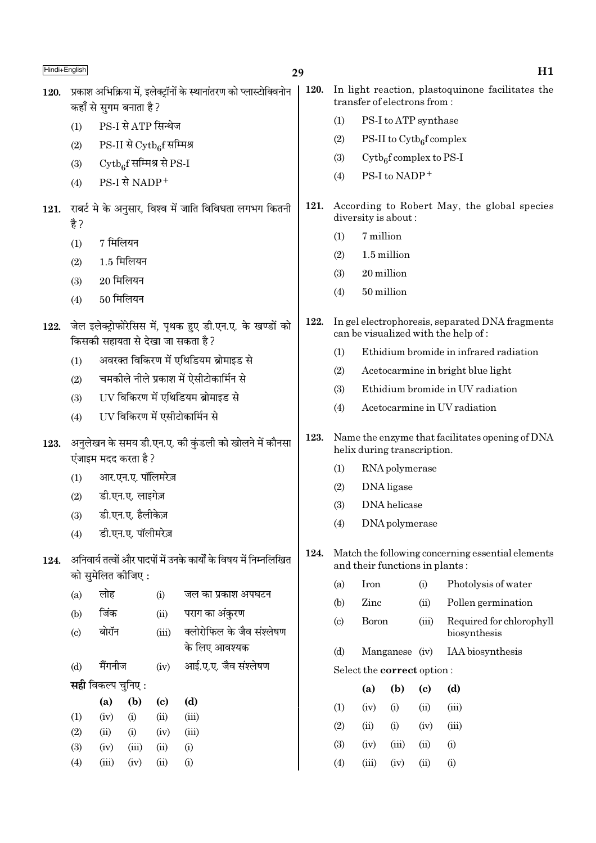| Hindi+English |                                             |                           |                                         |                                     |                                                                                               | 29   |                             |                                                                    |                                      |       | H1                                                                                     |  |
|---------------|---------------------------------------------|---------------------------|-----------------------------------------|-------------------------------------|-----------------------------------------------------------------------------------------------|------|-----------------------------|--------------------------------------------------------------------|--------------------------------------|-------|----------------------------------------------------------------------------------------|--|
| 120.          |                                             | कहाँ से सुगम बनाता है ?   |                                         |                                     | प्रकाश अभिक्रिया में, इलेक्ट्रॉनों के स्थानांतरण को प्लास्टोक्विनोन                           | 120. |                             |                                                                    | transfer of electrons from:          |       | In light reaction, plastoquinone facilitates the                                       |  |
|               | (1)                                         |                           |                                         | PS-I से ATP सिन्थेज                 |                                                                                               |      | (1)                         |                                                                    | PS-I to ATP synthase                 |       |                                                                                        |  |
|               | (2)                                         |                           |                                         | $PS-II$ से $C_y$ t $b_6$ f सम्मिश्र |                                                                                               |      | (2)                         |                                                                    | PS-II to $\mathrm{Cytb}_6$ f complex |       |                                                                                        |  |
|               | Cytb <sub>6</sub> f सम्मिश्र से PS-I<br>(3) |                           |                                         |                                     |                                                                                               | (3)  |                             | $\mathrm{Cytb}_{6}$ f complex to PS-I                              |                                      |       |                                                                                        |  |
|               | (4)                                         | PS-I से NADP+             |                                         |                                     |                                                                                               |      | (4)                         |                                                                    | PS-I to NADP+                        |       |                                                                                        |  |
| 121.          | है ?                                        |                           |                                         |                                     | राबर्ट मे के अनुसार, विश्व में जाति विविधता लगभग कितनी                                        | 121. |                             | According to Robert May, the global species<br>diversity is about: |                                      |       |                                                                                        |  |
|               | (1)                                         | 7 मिलियन                  |                                         |                                     |                                                                                               |      | (1)                         | 7 million                                                          |                                      |       |                                                                                        |  |
|               | (2)                                         |                           | $1.5$ मिलियन                            |                                     |                                                                                               |      | (2)                         |                                                                    | 1.5 million                          |       |                                                                                        |  |
|               | (3)                                         | $20$ मिलियन               |                                         |                                     |                                                                                               |      | (3)                         | 20 million                                                         |                                      |       |                                                                                        |  |
|               | (4)                                         | $50$ मिलियन               |                                         |                                     |                                                                                               |      | (4)                         | 50 million                                                         |                                      |       |                                                                                        |  |
| 122.          |                                             |                           |                                         |                                     | जेल इलेक्ट्रोफोरेसिस में, पृथक हुए डी.एन.ए. के खण्डों को<br>किसकी सहायता से देखा जा सकता है ? | 122. |                             |                                                                    |                                      |       | In gel electrophoresis, separated DNA fragments<br>can be visualized with the help of: |  |
|               | (1)                                         |                           |                                         |                                     | अवरक्त विकिरण में एथिडियम ब्रोमाइड से                                                         |      | (1)                         |                                                                    |                                      |       | Ethidium bromide in infrared radiation                                                 |  |
|               |                                             |                           |                                         |                                     | चमकीले नीले प्रकाश में ऐसीटोकार्मिन से                                                        |      | (2)                         |                                                                    |                                      |       | Acetocarmine in bright blue light                                                      |  |
|               | (2)<br>(3)                                  |                           |                                         |                                     | UV विकिरण में एथिडियम ब्रोमाइड से                                                             |      | (3)                         |                                                                    |                                      |       | Ethidium bromide in UV radiation                                                       |  |
|               | (4)                                         |                           |                                         |                                     | UV विकिरण में एसीटोकार्मिन से                                                                 |      | (4)                         |                                                                    |                                      |       | Acetocarmine in UV radiation                                                           |  |
| 123.          |                                             | एंजाइम मदद करता है ?      |                                         |                                     | अनुलेखन के समय डी.एन.ए. की कुंडली को खोलने में कौनसा                                          | 123. |                             |                                                                    | helix during transcription.          |       | Name the enzyme that facilitates opening of DNA                                        |  |
|               |                                             |                           | आर.एन.ए. पॉलिमरेज़                      |                                     |                                                                                               |      | RNA polymerase<br>(1)       |                                                                    |                                      |       |                                                                                        |  |
|               | (1)                                         |                           | डी.एन.ए. लाइगेज़                        |                                     |                                                                                               |      | DNA ligase<br>(2)           |                                                                    |                                      |       |                                                                                        |  |
|               | (2)                                         |                           |                                         |                                     |                                                                                               |      | (3)                         |                                                                    | DNA helicase                         |       |                                                                                        |  |
|               | (3)                                         |                           | डी.एन.ए. हैलीकेज़<br>डी.एन.ए. पॉलीमरेज़ |                                     |                                                                                               |      | (4)                         | DNA polymerase                                                     |                                      |       |                                                                                        |  |
| 124.          | (4)                                         |                           |                                         |                                     | अनिवार्य तत्वों और पादपों में उनके कार्यों के विषय में निम्नलिखित                             | 124. |                             |                                                                    | and their functions in plants:       |       | Match the following concerning essential elements                                      |  |
|               |                                             | को सुमेलित कीजिए :        |                                         |                                     |                                                                                               |      | (a)                         | Iron                                                               |                                      | (i)   | Photolysis of water                                                                    |  |
|               | (a)                                         | लोह                       |                                         | (i)                                 | जल का प्रकाश अपघटन                                                                            |      | (b)                         | Zinc                                                               |                                      | (ii)  | Pollen germination                                                                     |  |
|               | (b)                                         | जिंक                      |                                         | (ii)                                | पराग का अंकुरण                                                                                |      | $\left( \mathrm{c} \right)$ | <b>Boron</b>                                                       |                                      | (iii) | Required for chlorophyll                                                               |  |
|               | $\left( \mathrm{c}\right)$                  | बोरॉन                     |                                         | (iii)                               | क्लोरोफिल के जैव संश्लेषण<br>के लिए आवश्यक                                                    |      |                             |                                                                    |                                      |       | biosynthesis                                                                           |  |
|               | (d)                                         | मैंगनीज                   |                                         | (iv)                                | आई.ए.ए. जैव संश्लेषण                                                                          |      | (d)                         |                                                                    | Manganese (iv)                       |       | IAA biosynthesis                                                                       |  |
|               |                                             | <b>सही</b> विकल्प चुनिए : |                                         |                                     |                                                                                               |      |                             |                                                                    | Select the correct option:           |       |                                                                                        |  |
|               |                                             | (a)                       | (b)                                     | $\left( \mathbf{c} \right)$         | (d)                                                                                           |      |                             | (a)                                                                | (b)                                  | (c)   | (d)                                                                                    |  |
|               | (1)                                         | (iv)                      | (i)                                     | (ii)                                | (iii)                                                                                         |      | (1)                         | (iv)                                                               | (i)                                  | (ii)  | (iii)                                                                                  |  |
|               | (2)                                         | (ii)                      | (i)                                     | (iv)                                | (iii)                                                                                         |      | (2)                         | (ii)                                                               | (i)                                  | (iv)  | (iii)                                                                                  |  |
|               | (3)                                         | (iv)                      | (iii)                                   | (ii)                                | (i)                                                                                           |      | (3)                         | (iv)                                                               | (iii)                                | (ii)  | (i)                                                                                    |  |
|               | (4)                                         | (iii)                     | (iv)                                    | (ii)                                | (i)                                                                                           |      | (4)                         | (iii)                                                              | (iv)                                 | (ii)  | (i)                                                                                    |  |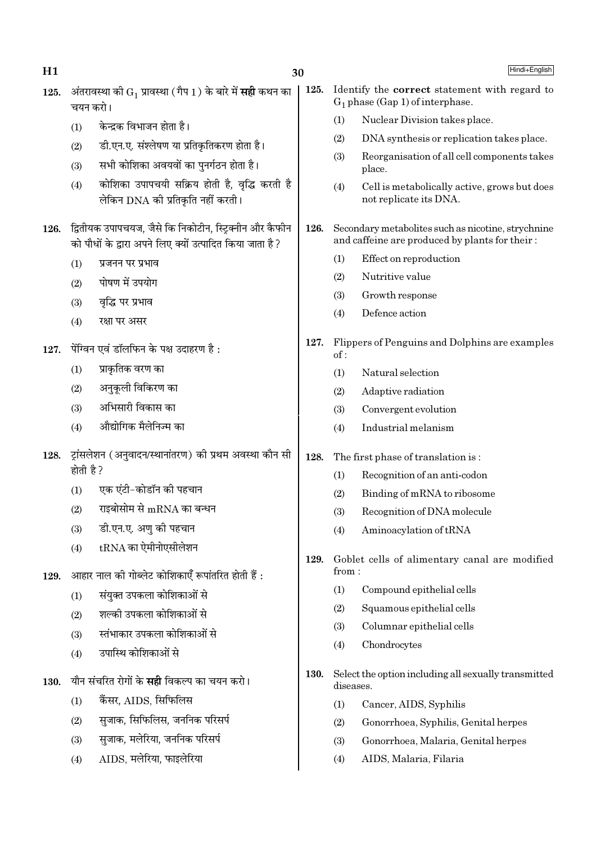| H1   |                                                                                                                      | 30                                                                                 |      |           | Hindi+English                                                                                        |
|------|----------------------------------------------------------------------------------------------------------------------|------------------------------------------------------------------------------------|------|-----------|------------------------------------------------------------------------------------------------------|
| 125. | चयन करो।                                                                                                             | अंतरावस्था को $\mathrm{G}_1$ प्रावस्था (गैप 1) के बारे में <b>सही</b> कथन का       | 125. |           | Identify the <b>correct</b> statement with regard to<br>$G_1$ phase (Gap 1) of interphase.           |
|      | (1)                                                                                                                  | केन्द्रक विभाजन होता है।                                                           |      | (1)       | Nuclear Division takes place.                                                                        |
|      | (2)                                                                                                                  | डी.एन.ए. संश्लेषण या प्रतिकृतिकरण होता है।                                         |      | (2)       | DNA synthesis or replication takes place.                                                            |
|      | (3)                                                                                                                  | सभी कोशिका अवयवों का पुनर्गठन होता है।                                             |      | (3)       | Reorganisation of all cell components takes<br>place.                                                |
|      | (4)                                                                                                                  | कोशिका उपापचयी सक्रिय होती है, वृद्धि करती है<br>लेकिन DNA की प्रतिकृति नहीं करती। |      | (4)       | Cell is metabolically active, grows but does<br>not replicate its DNA.                               |
| 126. | द्वितीयक उपापचयज, जैसे कि निकोटीन, स्ट्रिक्नीन और कैफीन<br>को पौधों के द्वारा अपने लिए क्यों उत्पादित किया जाता है ? |                                                                                    | 126. |           | Secondary metabolites such as nicotine, strychnine<br>and caffeine are produced by plants for their: |
|      | (1)                                                                                                                  | प्रजनन पर प्रभाव                                                                   |      | (1)       | Effect on reproduction                                                                               |
|      | (2)                                                                                                                  | पोषण में उपयोग                                                                     |      | (2)       | Nutritive value                                                                                      |
|      | (3)                                                                                                                  | वृद्धि पर प्रभाव                                                                   |      | (3)       | Growth response                                                                                      |
|      | (4)                                                                                                                  | रक्षा पर असर                                                                       |      | (4)       | Defence action                                                                                       |
| 127. |                                                                                                                      | पेंग्विन एवं डॉलफिन के पक्ष उदाहरण है:                                             | 127. | of:       | Flippers of Penguins and Dolphins are examples                                                       |
|      | (1)                                                                                                                  | प्राकृतिक वरण का                                                                   |      | (1)       | Natural selection                                                                                    |
|      | (2)                                                                                                                  | अनुकूली विकिरण का                                                                  |      | (2)       | Adaptive radiation                                                                                   |
|      | (3)                                                                                                                  | अभिसारी विकास का                                                                   |      | (3)       | Convergent evolution                                                                                 |
|      | (4)                                                                                                                  | औद्योगिक मैलेनिज्म का                                                              |      | (4)       | Industrial melanism                                                                                  |
| 128. | होती है ?                                                                                                            | ट्रांसलेशन (अनुवादन/स्थानांतरण) की प्रथम अवस्था कौन सी                             | 128. |           | The first phase of translation is:                                                                   |
|      |                                                                                                                      | एक एंटी-कोडॉन की पहचान                                                             |      | (1)       | Recognition of an anti-codon                                                                         |
|      | (1)                                                                                                                  |                                                                                    |      | (2)       | Binding of mRNA to ribosome                                                                          |
|      | (2)                                                                                                                  | राइबोसोम से $\rm{mRNA}$ का बन्धन                                                   |      | (3)       | Recognition of DNA molecule                                                                          |
|      | (3)                                                                                                                  | डी.एन.ए. अणु की पहचान                                                              |      | (4)       | Aminoacylation of tRNA                                                                               |
| 129. | (4)                                                                                                                  | $tRNA$ का ऐमीनोएसीलेशन<br>आहार नाल की गोब्लेट कोशिकाएँ रूपांतरित होती हैं :        | 129. | from:     | Goblet cells of alimentary canal are modified                                                        |
|      | (1)                                                                                                                  | संयुक्त उपकला कोशिकाओं से                                                          |      | (1)       | Compound epithelial cells                                                                            |
|      |                                                                                                                      | शल्की उपकला कोशिकाओं से                                                            |      | (2)       | Squamous epithelial cells                                                                            |
|      | (2)                                                                                                                  | स्तंभाकार उपकला कोशिकाओं से                                                        |      | (3)       | Columnar epithelial cells                                                                            |
|      | (3)                                                                                                                  | उपास्थि कोशिकाओं से                                                                |      | (4)       | Chondrocytes                                                                                         |
| 130. | (4)                                                                                                                  | यौन संचरित रोगों के <b>सही</b> विकल्प का चयन करो।                                  | 130. | diseases. | Select the option including all sexually transmitted                                                 |
|      | (1)                                                                                                                  | कैंसर, AIDS, सिफिलिस                                                               |      | (1)       | Cancer, AIDS, Syphilis                                                                               |
|      | (2)                                                                                                                  | सुजाक, सिफिलिस, जननिक परिसर्प                                                      |      | (2)       | Gonorrhoea, Syphilis, Genital herpes                                                                 |
|      | (3)                                                                                                                  | सुजाक, मलेरिया, जननिक परिसर्प                                                      |      | (3)       | Gonorrhoea, Malaria, Genital herpes                                                                  |
|      | (4)                                                                                                                  | AIDS, मलेरिया, फाइलेरिया                                                           |      | (4)       | AIDS, Malaria, Filaria                                                                               |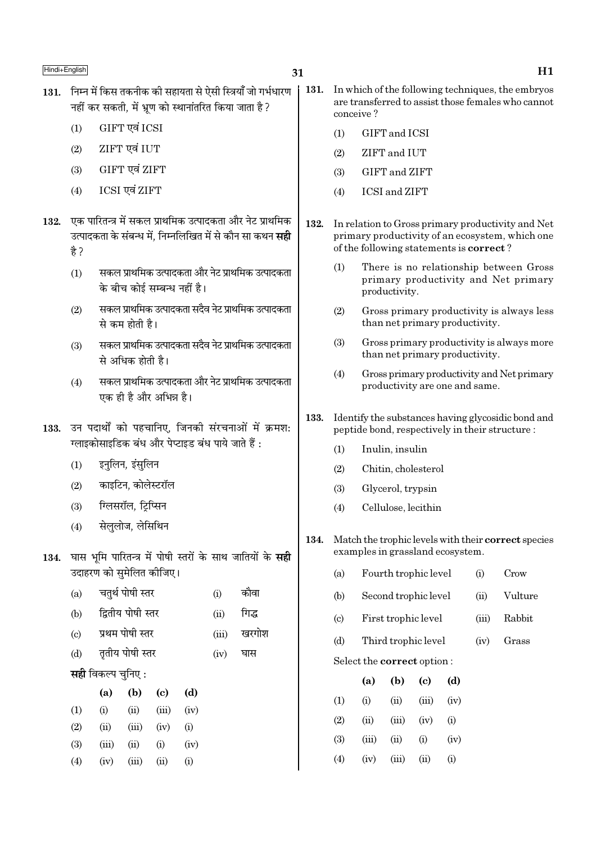- 131. निम्न में किस तकनीक की सहायता से ऐसी स्त्रियाँ जो गर्भधारण नहीं कर सकती. में भ्रण को स्थानांतरित किया जाता है ?
	- GIFT एवं ICSI  $(1)$
	- ZIFT एवं IUT  $(2)$
	- GIFT एवं ZIFT  $(3)$
	- ICSI एवं ZIFT  $(4)$
- 132. एक पारितन्त्र में सकल प्राथमिक उत्पादकता और नेट प्राथमिक उत्पादकता के संबन्ध में. निम्नलिखित में से कौन सा कथन **सद्दी** है ?
	- सकल प्राथमिक उत्पादकता और नेट प्राथमिक उत्पादकता  $(1)$ के बीच कोई सम्बन्ध नहीं है।
	- सकल प्राथमिक उत्पादकता सदैव नेट प्राथमिक उत्पादकता  $(2)$ से कम होती है।
	- सकल प्राथमिक उत्पादकता सदैव नेट प्राथमिक उत्पादकता  $(3)$ से अधिक होती है।
	- सकल प्राथमिक उत्पादकता और नेट प्राथमिक उत्पादकता  $(4)$ एक ही है और अभिन्न है।
- 133. उन पदार्थों को पहचानिए, जिनकी संरचनाओं में क्रमश: ग्लाइकोसाइडिक बंध और पेप्टाइड बंध पाये जाते हैं :
	- इनलिन, इंसुलिन  $(1)$
	- काइटिन, कोलेस्टरॉल  $(2)$
	- ग्लिसरॉल, टिप्सिन  $(3)$
	- सेलुलोज, लेसिथिन  $(4)$

 $(4)$ 

 $(iv)$ 

134. घास भमि पारितन्त्र में पोषी स्तरों के साथ जातियों के सही उदाहरण को समेलित कीजिए।

| (a)                        |       | चतुर्थ पोषी स्तर  |       |      | (i)   | कौवा  |
|----------------------------|-------|-------------------|-------|------|-------|-------|
| (b)                        |       | द्वितीय पोषी स्तर |       |      | (ii)  | गिद्ध |
| $\left( \mathrm{c}\right)$ |       | प्रथम पोषी स्तर   |       |      | (iii) | खरगोश |
| (d)                        |       | तृतीय पोषी स्तर   |       |      | (iv)  | घास   |
| <b>सही</b> विकल्प चुनिए :  |       |                   |       |      |       |       |
|                            | (a)   | (b)               | (c)   | (d)  |       |       |
| (1)                        | (i)   | (ii)              | (iii) | (iv) |       |       |
| (2)                        | (ii)  | (iii)             | (iv)  | (i)  |       |       |
| (3)                        | (iii) | (ii)              | (i)   | (iv) |       |       |

 $(ii)$ 

 $(iii)$ 

 $(i)$ 

- $\vert$  131. In which of the following techniques, the embryos are transferred to assist those females who cannot conceive?
	- GIFT and ICSI  $(1)$
	- ZIFT and IUT  $(2)$
	- GIFT and ZIFT  $(3)$
	- $(4)$ **ICSI** and **ZIFT**
	- 132. In relation to Gross primary productivity and Net primary productivity of an ecosystem, which one of the following statements is **correct**?
		- $(1)$ There is no relationship between Gross primary productivity and Net primary productivity.
		- $(2)$ Gross primary productivity is always less than net primary productivity.
		- $(3)$ Gross primary productivity is always more than net primary productivity.
		- $(4)$ Gross primary productivity and Net primary productivity are one and same.
	- 133. Identify the substances having glycosidic bond and peptide bond, respectively in their structure:
		- Inulin, insulin  $(1)$
		- $(2)$ Chitin, cholesterol
		- $(3)$ Glycerol, trypsin
		- Cellulose, lecithin  $(4)$
	- 134. Match the trophic levels with their correct species examples in grassland ecosystem.
		- $(a)$ Fourth trophic level  $(i)$ Crow
		- $(b)$ Second trophic level  $(ii)$ Vulture
		- First trophic level Rabbit  $\left( \text{c} \right)$  $(iii)$
		- Third trophic level  $(d)$  $(iv)$ Grass

 $\sim$   $\sim$ 

Select the correct option:  $\mathbf{u}$ 

 $\mathcal{L}^{\mathcal{A}}$  .

|                   | (a)       | (b)   | (c)   | (d)  |
|-------------------|-----------|-------|-------|------|
| $\rm(1)$          | $\rm (i)$ | (ii)  | (iii) | (iv) |
| (2)               | (ii)      | (iii) | (iv)  | (i)  |
| $\left( 3\right)$ | (iii)     | (ii)  | (i)   | (iv) |
| $\left( 4\right)$ | (iv)      | (iii) | (ii)  | (i)  |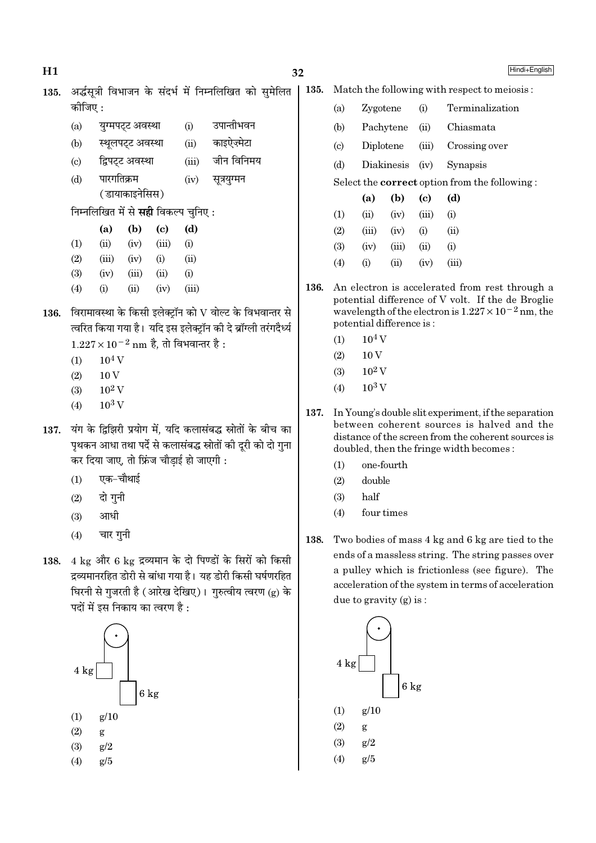Hindi+English

135. अर्द्धसूत्री विभाजन के संदर्भ में निम्नलिखित को सुमेलित  $\vert$  1 कोजिए $\cdot$ 

- युग्मपट्ट अवस्था  $(i)$ उपान्तीभवन  $(a)$
- काइऐज़्मेटा  $(b)$ स्थूलपट्ट अवस्था  $(ii)$
- द्विपटट अवस्था जीन विनिमय  $(c)$  $(iii)$
- पारगतिक्रम सूत्रयुग्मन  $(d)$  $(iv)$ (डायाकाइनेसिस)

निम्नलिखित में से **सही** विकल्प चुनिए :

|                   | (a)   | (b)   | (c)   | (d)   |
|-------------------|-------|-------|-------|-------|
| $\left( 1\right)$ | (ii)  | (iv)  | (iii) | (i)   |
| $\left( 2\right)$ | (iii) | (iv)  | (i)   | (ii)  |
| 3)                | (iv)  | (iii) | (ii)  | (i)   |
| $\left( 4\right)$ | (i)   | (ii)  | (iv)  | (iii) |

- 136. विरामावस्था के किसी इलेक्ट्रॉन को V वोल्ट के विभवान्तर से त्वरित किया गया है। यदि इस इलेक्ट्रॉन की दे ब्रॉग्ली तरंगदैर्ध्य  $1.227 \times 10^{-2}$  nm है, तो विभवान्तर है:
	- $10<sup>4</sup>$  V  $(1)$
	- $(2)$  $10V$
	- $10^2$  V  $(3)$
	- $10^3$  V  $(4)$
- 137. यंग के द्विझिरी प्रयोग में, यदि कलासंबद्ध स्रोतों के बीच का पृथकन आधा तथा पर्दे से कलासंबद्ध स्रोतों की दुरी को दो गुना कर दिया जाए, तो फ्रिंज चौडाई हो जाएगी :
	- एक-चौथाई  $(1)$
	- दो गुनी  $(2)$
	- आधी  $(3)$
	- चार गुनी  $(4)$
- 138. 4 kg और 6 kg द्रव्यमान के दो पिण्डों के सिरों को किसी द्रव्यमानरहित डोरी से बांधा गया है। यह डोरी किसी घर्षणरहित घिरनी से गुजरती है (आरेख देखिए)। गुरुत्वीय त्वरण (g) के पदों में इस निकाय का त्वरण है :



|  | <b>35.</b> Match the following with respect to meiosis: |  |  |
|--|---------------------------------------------------------|--|--|
|--|---------------------------------------------------------|--|--|

| (a) | Zygotene                 |             |       | (i) Terminalization                                  |
|-----|--------------------------|-------------|-------|------------------------------------------------------|
| (b) | Pachytene                |             | (ii)  | Chiasmata                                            |
| (c) |                          |             |       | Diplotene (iii) Crossing over                        |
| (d) | Diakinesis (iv) Synapsis |             |       |                                                      |
|     |                          |             |       | Select the <b>correct</b> option from the following: |
|     | (a)                      | $(b)$ $(c)$ |       | (d)                                                  |
| (1) | (ii)                     | (iv)        | (iii) | (i)                                                  |
| (2) | (iii)                    | (iv)        | (i)   | $\dot{\mathrm{u}}$                                   |
|     |                          |             |       |                                                      |

- $(3)$  $(iv)$  $(iii)$  $(ii)$  $(i)$
- $(4)$  $(i)$  $(ii)$  $(iv)$  $(iii)$
- 136. An electron is accelerated from rest through a potential difference of V volt. If the de Broglie wavelength of the electron is  $1.227 \times 10^{-2}$  nm, the potential difference is:
	- $10<sup>4</sup>$  V  $(1)$
	- $(2)$  $10V$
	- $10^2$  V  $(3)$
	- $10^3$  V  $(4)$
- 137. In Young's double slit experiment, if the separation between coherent sources is halved and the distance of the screen from the coherent sources is doubled, then the fringe width becomes:
	- one-fourth  $(1)$
	- $(2)$ double
	- $(3)$ half
	- $(4)$ four times
- 138. Two bodies of mass 4 kg and 6 kg are tied to the ends of a massless string. The string passes over a pulley which is frictionless (see figure). The acceleration of the system in terms of acceleration due to gravity  $(g)$  is:

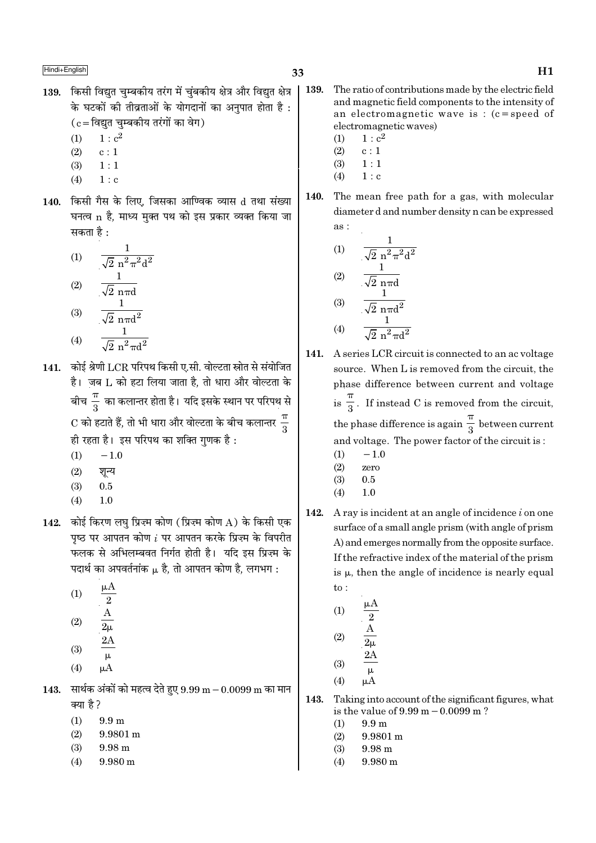- 139. किसी विद्युत चुम्बकीय तरंग में चुंबकीय क्षेत्र और विद्युत क्षेत्र के घटकों की तीव्रताओं के योगदानों का अनपात होता है :  $(c = \lceil \overline{\text{q}} \rceil \overline{\text{q}}$ म्बकीय तरंगों का वेग)
	- $1 : c<sup>2</sup>$  $(1)$
	- $(2)$  $c:1$
	- $1:1$  $(3)$
	- $(4)$  $1: c$
- 140. किसी गैस के लिए, जिसका आण्विक व्यास d तथा संख्या घनत्व n है, माध्य मुक्त पथ को इस प्रकार व्यक्त किया जा सकता है :

(1) 
$$
\frac{1}{\sqrt{2} n^2 \pi^2 d^2}
$$
  
\n(2)  $\frac{1}{\sqrt{2} n \pi d}$   
\n(3)  $\frac{1}{\sqrt{2} n \pi d^2}$   
\n(4)  $\frac{1}{\sqrt{2} n \pi d^2}$ 

- $(4)$  $\sqrt{2}$  n<sup>2</sup> $\pi$ d<sup>2</sup>
- 141. कोई श्रेणी LCR परिपथ किसी ए.सी. वोल्टता स्रोत से संयोजित है। जब L को हटा लिया जाता है. तो धारा और वोल्टता के बीच $\frac{\pi}{3}$  का कलान्तर होता है। यदि इसके स्थान पर परिपथ से C को हटाते हैं, तो भी धारा और वोल्टता के बीच कलान्तर  $\frac{\pi}{2}$ ही रहता है। इस परिपथ का शक्ति गुणक है:
	- $-1.0$  $(1)$
	- $(2)$ शून्य
	- $(3)$  $0.5$
	- $1.0$  $(4)$
- 142. कोई किरण लघ प्रिज़्म कोण (प्रिज़्म कोण A) के किसी एक पृष्ठ पर आपतन कोण  $i$  पर आपतन करके प्रिज़्म के विपरीत फलक से अभिलम्बवत निर्गत होती है। यदि इस प्रिज्म के पदार्थ का अपवर्तनांक µ है. तो आपतन कोण है. लगभग :
	- $\mu A$  $(1)$  $\overline{2}$  $(2)$
	- $(3)$
	- $\mu$  $(4)$
- 143. सार्थक अंकों को महत्व देते हुए  $9.99 \text{ m} 0.0099 \text{ m}$  का मान क्या है ?
	- $(1)$  $9.9 \; \mathrm{m}$
	- $(2)$  $9.9801 \,\mathrm{m}$
	- $(3)$  $9.98<sub>m</sub>$
	- $(4)$  $9.980 \text{ m}$
- 139. The ratio of contributions made by the electric field and magnetic field components to the intensity of an electromagnetic wave is:  $(c = speed of$ electromagnetic waves)
	- $1 : c<sup>2</sup>$  $(1)$
	- $(2)$  $c:1$
	- $(3)$  $1:1$  $(4)$  $1 : c$
- 140. The mean free path for a gas, with molecular diameter d and number density n can be expressed  $\overline{as}$ :

(1)  
\n
$$
\frac{1}{\sqrt{2} n^{2} \pi^{2} d^{2}}
$$
\n(2)  
\n
$$
\frac{1}{\sqrt{2} n \pi d}
$$
\n(3)  
\n
$$
\frac{1}{\sqrt{2} n \pi d^{2}}
$$
\n(4)  
\n
$$
\frac{1}{\sqrt{2} n^{2} \pi d^{2}}
$$

- 141. A series LCR circuit is connected to an ac voltage source. When L is removed from the circuit. the phase difference between current and voltage is  $\frac{\pi}{3}$ . If instead C is removed from the circuit, the phase difference is again  $\frac{\pi}{3}$  between current and voltage. The power factor of the circuit is:
	- $(1)$  $-1.0$
	- $(2)$ zero
	- $(3)$  $0.5$
	- $1.0$  $(4)$
- $142.$ A ray is incident at an angle of incidence  $i$  on one surface of a small angle prism (with angle of prism A) and emerges normally from the opposite surface. If the refractive index of the material of the prism is  $\mu$ , then the angle of incidence is nearly equal  $\overline{\text{to}}$ :
	- $(1)$  $(2)$  $(3)$
	- $(4)$  $\mu A$
- Taking into account of the significant figures, what 143. is the value of  $9.99 \text{ m} - 0.0099 \text{ m}$ ?
	- $9.9<sub>m</sub>$  $(1)$
	- $(2)$ 9.9801 m
	- $(3)$  $9.98<sub>m</sub>$
	- $(4)$  $9.980 m$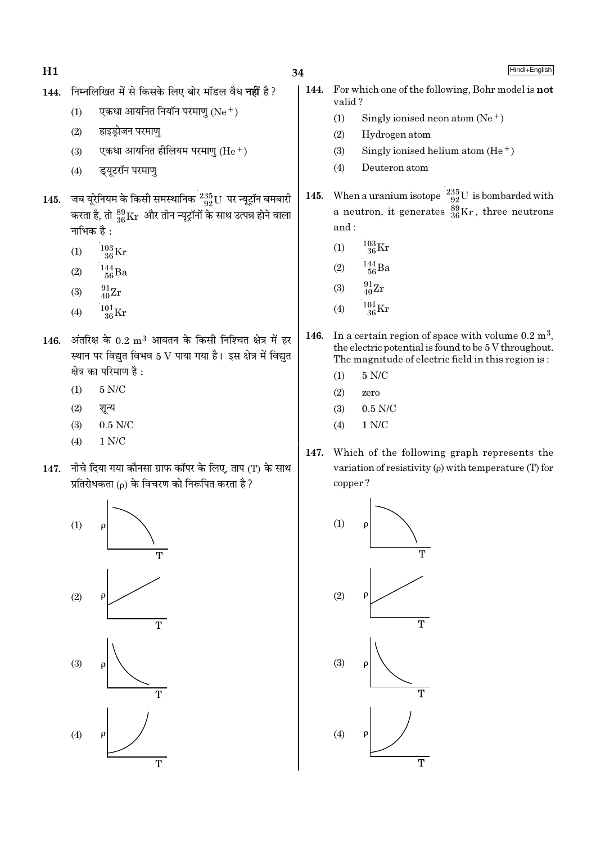- 144. निम्नलिखित में से किसके लिए बोर मॉडल वैध नहीं है ?
	- एकधा आयनित नियॉन परमाणु  $(Ne<sup>+</sup>)$  $(1)$
	- हाइड़ोजन परमाण  $(2)$
	- एकधा आयनित हीलियम परमाण  $(He<sup>+</sup>)$  $(3)$
	- डयटरॉन परमाण  $(4)$
- जब यूरेनियम के किसी समस्थानिक  $\frac{235}{92}$ U पर न्यूट्रॉन बमबारी 145. करता है, तो  ${}^{89}_{36}\mathrm{Kr}$  और तीन न्यूट्रॉनों के साथ उत्पन्न होने वाला नाभिक है :
	- $^{103}_{\,36} \rm{Kr}$  $(1)$
	- $\frac{144}{56}Ba$  $(2)$
	- $^{91}_{40}Zr$  $(3)$
	- $^{101}_{36}$ Kr  $(4)$
- 146. अंतरिक्ष के  $0.2 \text{ m}^3$  आयतन के किसी निश्चित क्षेत्र में हर स्थान पर विद्युत विभव 5 V पाया गया है। इस क्षेत्र में विद्युत क्षेत्र का परिमाण है :
	- $5 N/C$  $(1)$
	- $(2)$ शून्य
	- $0.5$  N/C  $(3)$
	- $(4)$  $1 N/C$
- नीचे दिया गया कौनसा ग्राफ कॉपर के लिए, ताप (T) के साथ 147. प्रतिरोधकता (p) के विचरण को निरूपित करता है ?



144. For which one of the following, Bohr model is **not** valid?

- $(1)$ Singly ionised neon atom  $(Ne^+)$
- $(2)$ Hydrogen atom
- $(3)$ Singly ionised helium atom  $(He<sup>+</sup>)$
- $(4)$ Deuteron atom
- When a uranium isotope  $\frac{235}{92}U$  is bombarded with 145. a neutron, it generates  $^{89}_{36}$ Kr, three neutrons and:
	- $^{103}_{36}$ Kr  $(1)$
	- $^{144}_{\ 56}$ Ba  $(2)$
	- $^{91}_{40} \text{Zr}$  $(3)$
	- $\frac{101}{36}\mathrm{Kr}$  $(4)$
- 146. In a certain region of space with volume  $0.2 \text{ m}^3$ , the electric potential is found to be 5 V throughout. The magnitude of electric field in this region is:
	- $5 N/C$  $(1)$
	- $(2)$ zero
	- $(3)$  $0.5$  N/C
	- $1 N/C$  $(4)$
- 147. Which of the following graph represents the variation of resistivity  $(\rho)$  with temperature (T) for copper?

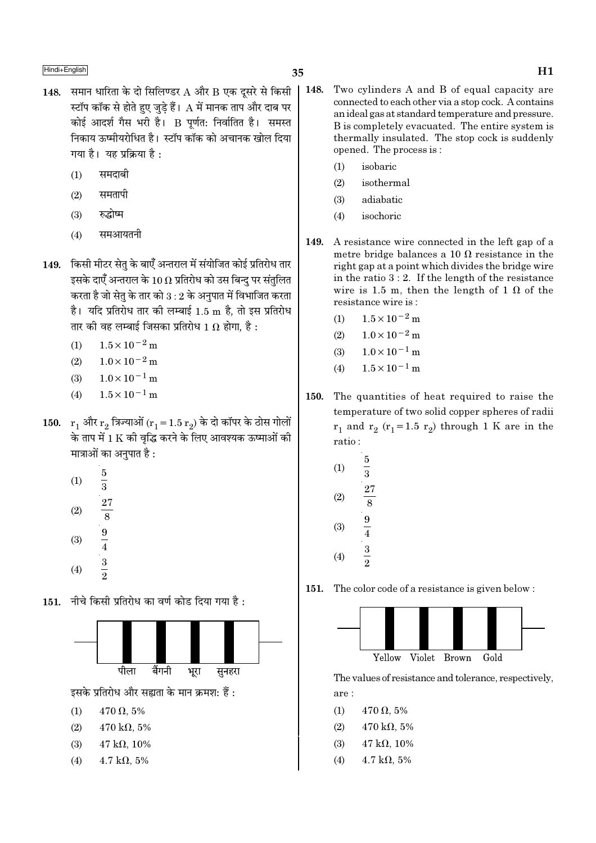- 148. समान धारिता के दो सिलिण्डर  $A$  और  $B$  एक दूसरे से किसी स्टॉप कॉक से होते हुए जुड़े हैं।  ${\rm A}$  में मानक ताप और दाब पर कोई आदर्श गैस भरी है। B पूर्णत: निर्वातित है। समस्त निकाय ऊष्मीयरोधित है। स्टॉप कॉक को अचानक खोल दिया गया है। यह प्रक्रिया है:
	- समदाबी  $(1)$
	- समतापी  $(2)$
	- रुद्धोष्म  $(3)$
	- समआयतनी  $(4)$
- 149. किसी मीटर सेत के बाएँ अन्तराल में संयोजित कोई प्रतिरोध तार इसके दाएँ अन्तराल के  $10\,\Omega$  प्रतिरोध को उस बिन्दु पर संतुलित करता है जो सेतृ के तार को  $3:2$  के अनुपात में विभाजित करता है। यदि प्रतिरोध तार की लम्बाई 1.5 m है, तो इस प्रतिरोध तार की वह लम्बाई जिसका प्रतिरोध 1  $\Omega$  होगा. है :
	- $1.5 \times 10^{-2}$  m  $(1)$
	- $1.0 \times 10^{-2}$  m  $(2)$
	- $1.0 \times 10^{-1}$  m  $(3)$
	- $1.5 \times 10^{-1}$  m  $(4)$
- 150.  $r_1$  और  $r_2$  त्रिज्याओं ( $r_1 = 1.5 r_2$ ) के दो कॉपर के ठोस गोलों के ताप में 1 K की वृद्धि करने के लिए आवश्यक ऊष्माओं की मात्राओं का अनुपात है :
	- $rac{5}{3}$   $rac{27}{8}$   $rac{9}{4}$   $rac{1}{3}$   $rac{1}{2}$  $(1)$  $(2)$  $(3)$  $(4)$
- 151. नीचे किसी प्रतिरोध का वर्ण कोड दिया गया है:



इसके प्रतिरोध और सह्यता के मान क्रमश: हैं:

- $470 \Omega, 5\%$  $(1)$
- $(2)$  $470 \text{ k}\Omega, 5\%$
- $47 \text{ k}\Omega, 10\%$  $(3)$
- $4.7 \text{ k}\Omega, 5\%$  $(4)$
- 148. Two cylinders A and B of equal capacity are connected to each other via a stop cock. A contains an ideal gas at standard temperature and pressure. B is completely evacuated. The entire system is thermally insulated. The stop cock is suddenly opened. The process is:
	- isobaric  $(1)$
	- $(2)$ isothermal
	- adiabatic  $(3)$
	- isochoric  $(4)$
- 149. A resistance wire connected in the left gap of a metre bridge balances a 10  $\Omega$  resistance in the right gap at a point which divides the bridge wire in the ratio  $3:2$ . If the length of the resistance wire is 1.5 m, then the length of 1  $\Omega$  of the resistance wire is:
	- $1.5 \times 10^{-2}$  m  $(1)$
	- $(2)$  $1.0 \times 10^{-2}$  m
	- $1.0 \times 10^{-1}$  m  $(3)$
	- $1.5 \times 10^{-1}$  m  $(4)$
- The quantities of heat required to raise the 150. temperature of two solid copper spheres of radii  $r_1$  and  $r_2$  ( $r_1$ =1.5  $r_2$ ) through 1 K are in the ratio:
	- $\overline{5}$  $(1)$  $\overline{\overline 3}$  $\frac{27}{8}$   $\frac{9}{4}$   $\frac{3}{2}$  $(2)$  $(3)$  $(4)$
- 151. The color code of a resistance is given below:



The values of resistance and tolerance, respectively, are:

- $(1)$  $470 \Omega, 5\%$
- $(2)$  $470 \text{ k}\Omega, 5\%$
- $47 k\Omega, 10\%$  $(3)$
- $(4)$  $4.7 \text{ k}\Omega, 5\%$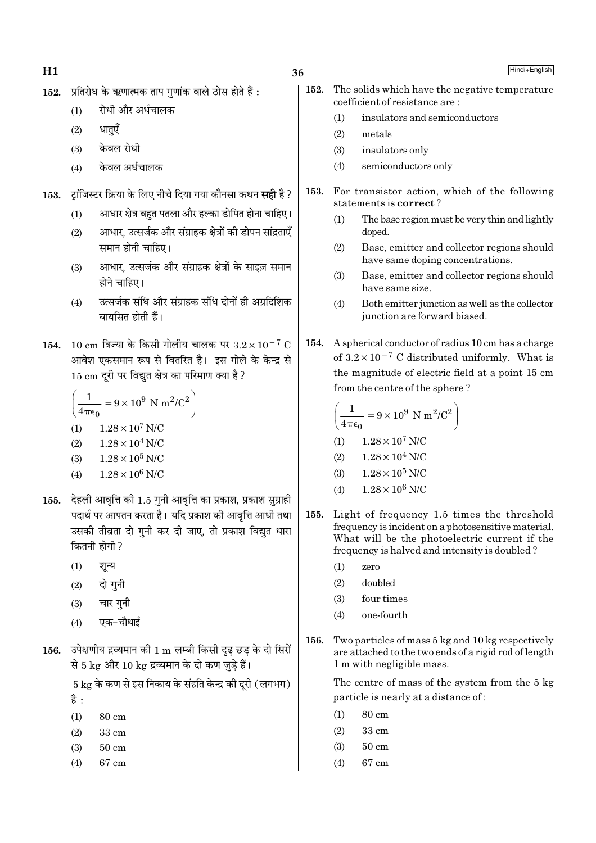- 36
- प्रतिरोध के ऋणात्मक ताप गणांक वाले ठोस होते हैं :  $152.$ 
	- रोधी और अर्धचालक  $(1)$
	- धातएँ  $(2)$
	- केवल रोधी  $(3)$
	- केवल अर्धचालक  $(4)$

ट्रांजिस्टर क्रिया के लिए नीचे दिया गया कौनसा कथन **सही** है ? 153.

- आधार क्षेत्र बहुत पतला और हल्का डोपित होना चाहिए।  $(1)$
- आधार, उत्सर्जक और संग्राहक क्षेत्रों की डोपन सांद्रताएँ  $(2)$ समान होनी चाहिए।
- आधार, उत्सर्जक और संग्राहक क्षेत्रों के साइज़ समान  $(3)$ होने चाहिए।
- उत्सर्जक संधि और संग्राहक संधि दोनों ही अग्रदिशिक  $(4)$ बायसित होती हैं।
- 154. 10 cm त्रिज्या के किसी गोलीय चालक पर  $3.2 \times 10^{-7}$  C आवेश एकसमान रूप से वितरित है। इस गोले के केन्द्र से 15 cm दुरी पर विद्युत क्षेत्र का परिमाण क्या है ?

$$
\left(\frac{1}{4\pi\epsilon_0} = 9 \times 10^9 \text{ N m}^2/\text{C}^2\right)
$$
  
(1) 1.28×10<sup>7</sup> N/C  
(2) 1.28×10<sup>4</sup> N/C  
(3) 1.28×10<sup>5</sup> N/C

- $1.28 \times 10^6$  N/C  $(4)$
- 155. देहली आवृत्ति की 1.5 गुनी आवृत्ति का प्रकाश, प्रकाश सुग्राही पदार्थ पर आपतन करता है। यदि प्रकाश की आवृत्ति आधी तथा उसकी तीव्रता दो गुनी कर दी जाए, तो प्रकाश विद्युत धारा कितनी होगी ?
	- $(1)$ शून्य
	- दो गुनी  $(2)$
	- चार गनी  $(3)$
	- एक-चौथाई  $(4)$
- 156. उपेक्षणीय द्रव्यमान की 1 m लम्बी किसी दृढ़ छड़ के दो सिरों से 5 kg और 10 kg द्रव्यमान के दो कण जुडे हैं।

 $5\,\mathrm{kg}$  के कण से इस निकाय के संहति केन्द्र की दुरी (लगभग) है :

- $(1)$ 80 cm
- $(2)$ 33 cm
- $50 \text{ cm}$  $(3)$
- 67 cm  $(4)$
- Hindi+English
- 152. The solids which have the negative temperature coefficient of resistance are:
	- insulators and semiconductors  $(1)$
	- metals  $(2)$
	- $(3)$ insulators only
	- semiconductors only  $(4)$
- 153. For transistor action, which of the following statements is correct?
	- $(1)$ The base region must be very thin and lightly doped.
	- $(2)$ Base, emitter and collector regions should have same doping concentrations.
	- Base, emitter and collector regions should  $(3)$ have same size.
	- $(4)$ Both emitter junction as well as the collector junction are forward biased.
- A spherical conductor of radius 10 cm has a charge 154. of  $3.2 \times 10^{-7}$  C distributed uniformly. What is the magnitude of electric field at a point 15 cm from the centre of the sphere?

$$
\left(\frac{1}{4\pi\epsilon_0} = 9 \times 10^9 \text{ N m}^2/\text{C}^2\right)
$$
  
(1) 1.28 × 10<sup>7</sup> N/C  
(2) 1.28 × 10<sup>4</sup> N/C  
(3) 1.28 × 10<sup>5</sup> N/C

- $1.28 \times 10^6$  N/C  $(4)$
- 155. Light of frequency 1.5 times the threshold frequency is incident on a photosensitive material. What will be the photoelectric current if the frequency is halved and intensity is doubled?
	- $(1)$ zero
	- $(2)$ doubled
	- four times  $(3)$
	- $(4)$ one-fourth
- 156. Two particles of mass 5 kg and 10 kg respectively are attached to the two ends of a rigid rod of length 1 m with negligible mass.

The centre of mass of the system from the 5 kg particle is nearly at a distance of:

- 80 cm  $(1)$
- $(2)$ 33 cm
- $(3)$  $50 \text{ cm}$
- 67 cm  $(4)$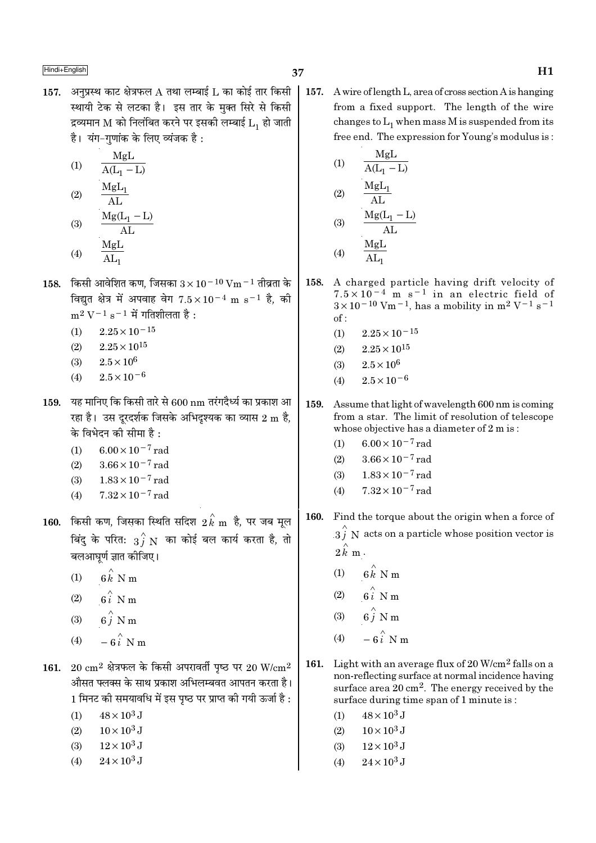157. अनुप्रस्थ काट क्षेत्रफल A तथा लम्बाई L का कोई तार किसी स्थायी टेक से लटका है। इस तार के मुक्त सिरे से किसी द्रव्यमान M को निलंबित करने पर इसकी लम्बाई  $L_1$  हो जाती है। यंग-गणांक के लिए व्यंजक है:

$$
\begin{array}{cc} (1) & \quad \frac{\rm MgL}{\rm A(L_1-L)}\\ (2) & \quad \frac{\rm MgL_1}{\rm AL} \end{array}
$$

- $\frac{Mg(L_1 L)}{AL}$  $(3)$  $(4)$
- 
- 158. किसी आवेशित कण, जिसका  $3 \times 10^{-10}$  Vm  $^{-1}$  तीव्रता के विद्युत क्षेत्र में अपवाह वेग  $7.5 \times 10^{-4}$  m s<sup>-1</sup> है, की  $m^2 V^{-1} s^{-1}$  में गतिशीलता है:
	- $2.25 \times 10^{-15}$  $(1)$
	- $(2)$  $2.25 \times 10^{15}$
	- $2.5 \times 10^6$  $(3)$
	- $2.5 \times 10^{-6}$  $(4)$
- 159. यह मानिए कि किसी तारे से  $600\,\mathrm{nm}$  तरंगदैर्ध्य का प्रकाश आ रहा है। उस दूरदर्शक जिसके अभिदुश्यक का व्यास 2 m है, के विभेदन की सीमा है:
	- $6.00 \times 10^{-7}$  rad  $(1)$
	- $3.66 \times 10^{-7}$  rad  $(2)$
	- $1.83 \times 10^{-7}$  rad  $(3)$
	- $7.32 \times 10^{-7}$  rad  $(4)$
- $\,$  160.  $\,$  किसी कण, जिसका स्थिति सदिश $\,$   $\,2\,\overset{\wedge}{k}\,$   $\,$   $\,$   $\,$   $\,$  है, पर जब मूल बिंदु के परित:  $\frac{1}{3}$   $\stackrel{\wedge}{N}$  का कोई बल कार्य करता है, तो बलआघूर्ण ज्ञात कीजिए।
	- $6\hat{k}$  N m  $(1)$
	- $6i$  N m  $(2)$
	- $6\stackrel{\wedge}{i}$  N m  $(3)$
	- $-6\hat{i}$  N m  $(4)$
- 161. 20  $\rm cm^2$  क्षेत्रफल के किसी अपरावर्ती पृष्ठ पर 20 W/ $\rm cm^2$ औसत फ्लक्स के साथ प्रकाश अभिलम्बवत आपतन करता है। 1 मिनट की समयावधि में इस पृष्ठ पर प्राप्त की गयी ऊर्जा है :
	- $48 \times 10^3$  J  $(1)$
	- $10 \times 10^3$  J  $(2)$
	- $12 \times 10^3$  J  $(3)$
	- $24 \times 10^3$  J  $(4)$

157. A wire of length L, area of cross section A is hanging from a fixed support. The length of the wire changes to  $L_1$  when mass M is suspended from its free end. The expression for Young's modulus is:

(1) 
$$
\frac{MgL}{A(L_1 - L)}
$$
  
(2) 
$$
\frac{MgL_1}{AL}
$$
  
(3) 
$$
\frac{Mg(L_1 - L)}{AL}
$$
  
(4) 
$$
\frac{MgL}{AL}
$$

- 158. A charged particle having drift velocity of  $7.5 \times 10^{-4}$  m s<sup>-1</sup> in an electric field of  $3 \times 10^{-10}$  Vm<sup>-1</sup>, has a mobility in m<sup>2</sup> V<sup>-1</sup> s<sup>-1</sup>  $of:$ 
	- $2.25 \times 10^{-15}$  $(1)$
	- $2.25 \times 10^{15}$  $(2)$
	- $2.5\times10^6$  $(3)$
	- $2.5 \times 10^{-6}$  $(4)$
- 159. Assume that light of wavelength 600 nm is coming from a star. The limit of resolution of telescope whose objective has a diameter of 2 m is:
	- $(1)$  $6.00 \times 10^{-7}$  rad
	- $3.66 \times 10^{-7}$  rad  $(2)$
	- $1.83 \times 10^{-7}$  rad  $(3)$
	- $7.32 \times 10^{-7}$  rad  $(4)$
- Find the torque about the origin when a force of 160.  $3\hat{i}$  N acts on a particle whose position vector is  $2 \hat{k}$  m.
	- $6\hat{k}$  N m  $(1)$
	- $6i$  N m  $(2)$
	- $6\hat{i}$  N m  $(3)$
	- $(4)$
- 161. Light with an average flux of  $20 \text{ W/cm}^2$  falls on a non-reflecting surface at normal incidence having surface area  $20 \text{ cm}^2$ . The energy received by the surface during time span of 1 minute is:
	- $48 \times 10^3$  J  $(1)$
	- $10 \times 10^3$  J  $(2)$
	- $(3)$  $12\times10^3$  J
	- $(4)$  $24 \times 10^3$  J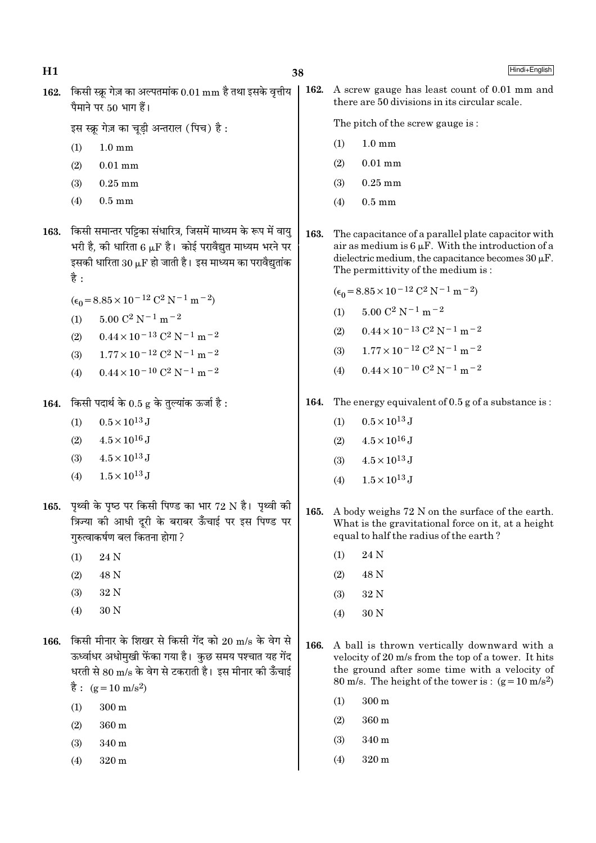162. किसी स्क्रू गेज़ का अल्पतमांक  $0.01 \text{ mm}$  है तथा इसके वृत्तीय पैमाने पर 50 भाग हैं।

इस स्क्र गेज़ का चडी अन्तराल (पिच) है:

- $(1)$  $1.0 \text{ mm}$
- $(2)$  $0.01$  mm
- $(3)$  $0.25$  mm
- $(4)$  $0.5 \text{ mm}$
- 163. किसी समान्तर पट्टिका संधारित्र, जिसमें माध्यम के रूप में वायु भरी है, की धारिता 6  $\mu$ F है। कोई परावैद्युत माध्यम भरने पर इसकी धारिता  $30 \mu$ F हो जाती है। इस माध्यम का परावैद्युतांक है :
	- $(\epsilon_0 = 8.85 \times 10^{-12} \text{ C}^2 \text{ N}^{-1} \text{ m}^{-2})$
	- $5.00 \text{ C}^2 \text{ N}^{-1} \text{ m}^{-2}$  $(1)$
	- $0.44 \times 10^{-13}$  C<sup>2</sup> N<sup>-1</sup> m<sup>-2</sup>  $(2)$
	- $1.77 \times 10^{-12}$  C<sup>2</sup> N<sup>-1</sup> m<sup>-2</sup>  $(3)$
	- $0.44 \times 10^{-10}$  C<sup>2</sup> N<sup>-1</sup> m<sup>-2</sup>  $(4)$

किसी पदार्थ के  $0.5$  g के तुल्यांक ऊर्जा है: 164.

- $0.5 \times 10^{13}$  J  $(1)$
- $4.5 \times 10^{16}$  J  $(2)$
- $4.5 \times 10^{13}$  J  $(3)$
- $(4)$  $1.5 \times 10^{13}$  J
- 165. पृथ्वी के पृष्ठ पर किसी पिण्ड का भार 72 N है। पृथ्वी की त्रिज्या की आधी दूरी के बराबर ऊँचाई पर इस पिण्ड पर गरुत्वाकर्षण बल कितना होगा ?
	- 24 N  $(1)$
	- $(2)$ 48 N
	- $(3)$ 32 N
	- 30 N  $(4)$
- 166. किसी मीनार के शिखर से किसी गेंद को 20 m/s के वेग से ऊर्ध्वाधर अधोमुखी फेंका गया है। कुछ समय पश्चात यह गेंद धरती से 80 m/s के वेग से टकराती है। इस मीनार की ऊँचाई  $\dot{\vec{g}}$ : (g = 10 m/s<sup>2</sup>)
	- $300 \text{ m}$  $(1)$
	- 360 m  $(2)$
	- $(3)$  $340<sub>m</sub>$
	- $320 \text{ m}$  $(4)$

162. A screw gauge has least count of 0.01 mm and there are 50 divisions in its circular scale.

The pitch of the screw gauge is:

- $1.0 \text{ mm}$  $(1)$
- $(2)$  $0.01$  mm
- $0.25$  mm  $(3)$
- $(4)$  $0.5 \text{ mm}$
- 163. The capacitance of a parallel plate capacitor with air as medium is  $6 \mu$ F. With the introduction of a dielectric medium, the capacitance becomes  $30 \mu$ F. The permittivity of the medium is:

 $(\epsilon_0 = 8.85 \times 10^{-12} \text{ C}^2 \text{ N}^{-1} \text{ m}^{-2})$ 

- $5.00 \mathrm{C}^2 \mathrm{N}^{-1} \mathrm{m}^{-2}$  $(1)$
- $0.44 \times 10^{-13}$  C<sup>2</sup> N<sup>-1</sup> m<sup>-2</sup>  $(2)$
- $1.77 \times 10^{-12}$  C<sup>2</sup> N<sup>-1</sup> m<sup>-2</sup>  $(3)$
- $0.44 \times 10^{-10}$  C<sup>2</sup> N<sup>-1</sup> m<sup>-2</sup>  $(4)$
- 164. The energy equivalent of  $0.5$  g of a substance is:
	- $0.5 \times 10^{13}$  J  $(1)$
	- $4.5 \times 10^{16}$  J  $(2)$
	- $4.5 \times 10^{13}$  J  $(3)$
	- $1.5 \times 10^{13}$  J  $(4)$
- 165. A body weighs 72 N on the surface of the earth. What is the gravitational force on it, at a height equal to half the radius of the earth?
	- 24 N  $(1)$
	- $(2)$ 48 N
	- 32 N  $(3)$
	- 30 N  $(4)$
- 166. A ball is thrown vertically downward with a velocity of 20 m/s from the top of a tower. It hits the ground after some time with a velocity of 80 m/s. The height of the tower is:  $(g=10 \text{ m/s}^2)$ 
	- $300 \text{ m}$  $(1)$
	- $(2)$  $360<sub>m</sub>$
	- $(3)$ 340 m
	- $(4)$ 320 m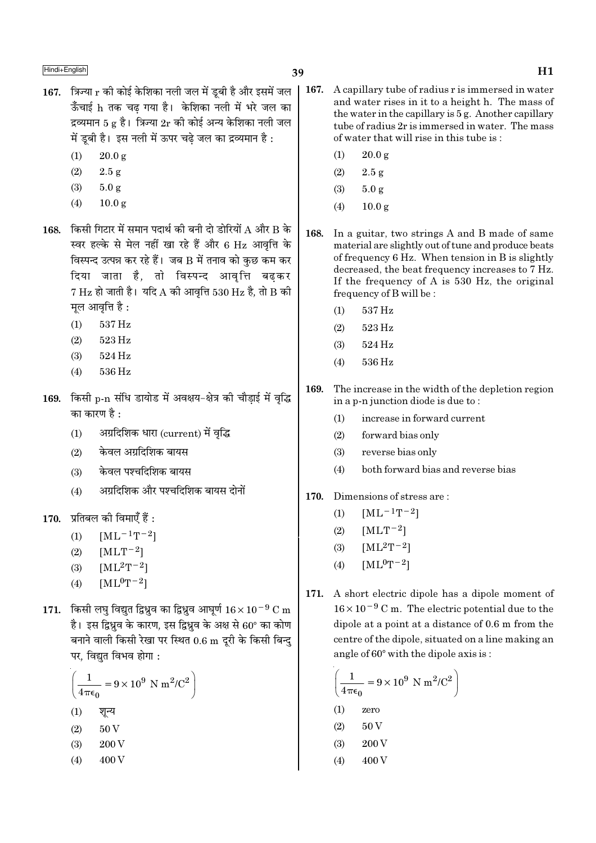- 167. त्रिज्या  $r$  की कोई केशिका नली जल में डबी है और इसमें जल ऊँचाई h तक चढ गया है। केशिका नली में भरे जल का द्रव्यमान 5 g है। त्रिज्या  $2r$  की कोई अन्य केशिका नली जल में ड़बी है। इस नली में ऊपर चढे जल का द्रव्यमान है :
	- $20.0 \text{ g}$  $(1)$
	- $(2)$  $2.5 g$
	- $(3)$  $5.0 g$
	- $(4)$  $10.0 g$
- 168. किसी गिटार में समान पदार्थ की बनी दो डोरियों  $A$  और  $B$  के स्वर हल्के से मेल नहीं खा रहे हैं और 6 Hz आवृत्ति के विस्पन्द उत्पन्न कर रहे हैं। जब B में तनाव को कछ कम कर .<br>दिया जाता है, तो विस्पन्द आवृत्ति बढकर  $7 \text{ Hz}$  हो जाती है। यदि A की आवत्ति 530 Hz है, तो B की मूल आवृत्ति है :
	- 537 Hz  $(1)$
	- $(2)$ 523 Hz
	- 524 Hz  $(3)$
	- 536 Hz  $(4)$
- किसी p-n संधि डायोड में अवक्षय-क्षेत्र की चौड़ाई में वृद्धि 169. का कारण है :
	- अग्रदिशिक धारा (current) में वृद्धि  $(1)$
	- केवल अग्रदिशिक बायस  $(2)$
	- केवल पश्चदिशिक बायस  $(3)$
	- अग्रदिशिक और पश्चदिशिक बायस दोनों  $(4)$
- $170.$  प्रतिबल की विमाएँ हैं :
	- $[ML^{-1}T^{-2}]$  $(1)$
	- $(2)$  $[MLT^{-2}]$
	- $[ML^2T^{-2}]$  $(3)$
	- $[ML^0T^{-2}]$  $(4)$
- 171. किसी लघु विद्युत द्विध्रुव का द्विध्रुव आघुर्ण  $16 \times 10^{-9}$  C m है। इस द्विध्रव के कारण, इस द्विध्रव के अक्ष से 60° का कोण बनाने वाली किसी रेखा पर स्थित 0.6 m दूरी के किसी बिन्दु पर, विद्युत विभव होगा :

$$
\left(\frac{1}{4\pi\epsilon_0} = 9 \times 10^9 \text{ N m}^2/\text{C}^2\right)
$$
  
(1)  $\sqrt[3]{\epsilon_0^2}$   
(2) 50 V

- $(3)$ 200 V
- 400 V  $(4)$
- $|167.$ A capillary tube of radius r is immersed in water and water rises in it to a height h. The mass of the water in the capillary is 5 g. Another capillary tube of radius 2r is immersed in water. The mass of water that will rise in this tube is:
	- $20.0 g$  $(1)$
	- $(2)$  $2.5 g$
	- $(3)$  $5.0 g$
	- $(4)$  $10.0 \text{ g}$
	- 168. In a guitar, two strings A and B made of same material are slightly out of tune and produce beats of frequency 6 Hz. When tension in B is slightly decreased, the beat frequency increases to 7 Hz. If the frequency of A is 530 Hz, the original frequency of B will be:
		- 537 Hz  $(1)$
		- 523 Hz  $(2)$
		- $(3)$  $524\,\mathrm{Hz}$
		- 536 Hz  $(4)$
	- 169. The increase in the width of the depletion region in a p-n junction diode is due to:
		- increase in forward current  $(1)$
		- $(2)$ forward bias only
		- reverse bias only  $(3)$
		- $(4)$ both forward bias and reverse bias
	- 170. Dimensions of stress are:
		- $[ML^{-1}T^{-2}]$  $(1)$
		- $[MLT^{-2}]$  $(2)$
		- $[ML^2T^{-2}]$  $(3)$
		- $[ML^0T^{-2}]$  $(4)$
	- A short electric dipole has a dipole moment of 171.  $16 \times 10^{-9}$  C m. The electric potential due to the dipole at a point at a distance of 0.6 m from the centre of the dipole, situated on a line making an angle of  $60^\circ$  with the dipole axis is:

$$
\left(\frac{1}{4\pi\epsilon_0} = 9 \times 10^9 \text{ N m}^2/\text{C}^2\right)
$$
  
(1) zero  
(2) 50 V  
(3) 200 V  
(4) 400 V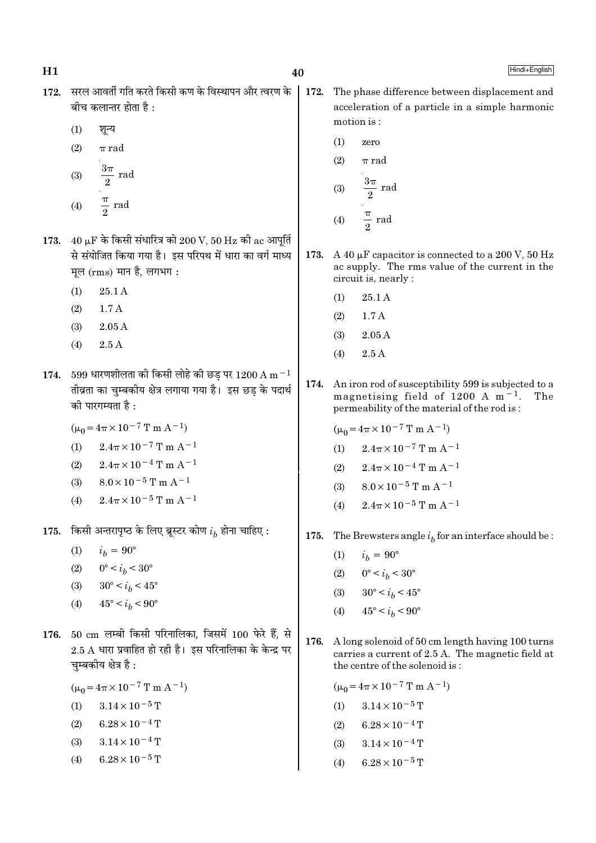- 172. सरल आवर्ती गति करते किसी कण के विस्थापन और त्वरण के बीच कलान्तर होता है $\cdot$ 
	- $(1)$ शून्य
	- $(2)$  $\pi$  rad
	- $\frac{3\pi}{2}$  rad  $(3)$  $rac{\pi}{2}$  rad  $(4)$
- 173.  $40 \mu$ F के किसी संधारित्र को 200 V, 50 Hz की ac आपर्ति से संयोजित किया गया है। इस परिपथ में धारा का वर्ग माध्य मूल (rms) मान है, लगभग:
	- $25.1A$  $(1)$
	- $(2)$  $1.7A$
	- $(3)$  $2.05A$
	- $(4)$  $2.5\,\mathrm{A}$
- 174. 599 धारणशीलता की किसी लोहे की छड़ पर 1200 A m<sup>-1</sup> तीव्रता का चुम्बकीय क्षेत्र लगाया गया है। इस छड के पदार्थ की पारगम्यता है:
	- $(\mu_0 = 4\pi \times 10^{-7} \text{ T m A}^{-1})$
	- $2.4\pi \times 10^{-7}$  T m A<sup>-1</sup>  $(1)$
	- $2.4\pi \times 10^{-4}$  T m A<sup>-1</sup>  $(2)$
	- $8.0 \times 10^{-5}$  T m A<sup>-1</sup>  $(3)$
	- $2.4\pi \times 10^{-5}$  T m A<sup>-1</sup>  $(4)$
- 175. किसी अन्तरापृष्ठ के लिए ब्रूस्टर कोण  $i<sub>k</sub>$  होना चाहिए :
	- $(1)$  $i_h = 90^\circ$
	- (2)  $0^{\circ} < i_h < 30^{\circ}$
	- $30^{\circ} < i_b < 45^{\circ}$  $(3)$
	- $45^{\circ} < i_h < 90^{\circ}$  $(4)$
- 176. 50 cm लम्बी किसी परिनालिका, जिसमें 100 फेरे हैं, से  $2.5$  A धारा प्रवाहित हो रही है। इस परिनालिका के केन्द्र पर चम्बकीय क्षेत्र है:

 $(\mu_0 = 4\pi \times 10^{-7} \text{ T m A}^{-1})$ 

- $(1)$  $3.14 \times 10^{-5}$  T
- $6.28 \times 10^{-4}$  T  $(2)$
- $3.14 \times 10^{-4}$  T  $(3)$
- $6.28 \times 10^{-5}$  T  $(4)$
- 172. The phase difference between displacement and acceleration of a particle in a simple harmonic motion is:
	- $(1)$ zero

$$
(2) \qquad \pi \text{ rad}
$$

(3) 
$$
\frac{3\pi}{2} \text{ rad}
$$
  
(4) 
$$
\frac{\pi}{2} \text{ rad}
$$

- 173. A 40 μF capacitor is connected to a 200 V, 50 Hz ac supply. The rms value of the current in the circuit is, nearly :
	- 25.1 A  $(1)$
	- $1.7A$  $(2)$
	- $2.05A$  $(3)$
	- $2.5A$  $(4)$
- An iron rod of susceptibility 599 is subjected to a 174. magnetising field of 1200 A  $m^{-1}$ . The permeability of the material of the rod is:
	- $(\mu_0 = 4\pi \times 10^{-7} \text{ T m A}^{-1})$
	- $2.4\pi \times 10^{-7}$  T m A<sup>-1</sup>  $(1)$
	- $2.4\pi \times 10^{-4}$  T m A<sup>-1</sup>  $(2)$
	- $8.0 \times 10^{-5}$  T m A<sup>-1</sup>  $(3)$
	- $2.4\pi \times 10^{-5}$  T m A<sup>-1</sup>  $(4)$
- 175. The Brewsters angle  $i_b$  for an interface should be :
	- $(1)$  $i_h = 90^{\circ}$
	- $0^{\circ} < i_b < 30^{\circ}$  $(2)$
	- $30^{\circ} < i_b < 45^{\circ}$  $(3)$
	- $45^{\circ} < i_h < 90^{\circ}$  $(4)$
- 176. A long solenoid of 50 cm length having 100 turns carries a current of 2.5 A. The magnetic field at the centre of the solenoid is:

 $(\mu_0 = 4\pi \times 10^{-7} \text{ T m A}^{-1})$ 

- (1)  $3.14 \times 10^{-5}$  T
- $(2)$  $6.28 \times 10^{-4}$  T
- $3.14 \times 10^{-4}$  T  $(3)$
- $6.28 \times 10^{-5}$  T  $(4)$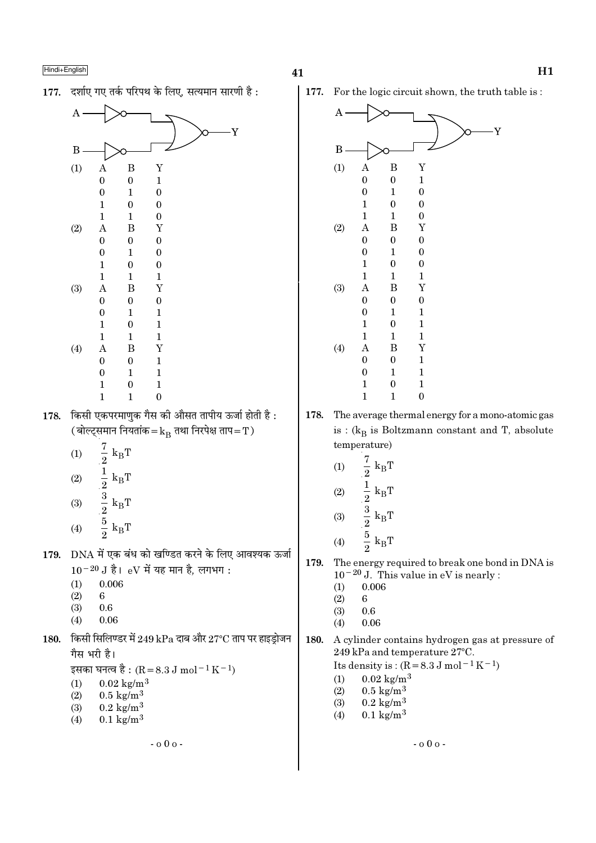177. दर्शाए गए तर्क परिपथ के लिए. सत्यमान सारणी है:



- $(3)$  $0.6$
- $(4)$  $0.06$
- 180. किसी सिलिण्डर में 249 kPa दाब और 27°C ताप पर हाइड्रोजन गैस भरी है।

 $-000 -$ 

इसका घनत्व है : (R = 8.3 J mol<sup>-1</sup> K<sup>-1</sup>)

- $0.02 \text{ kg/m}^3$  $(1)$
- $0.5 \text{ kg/m}^3$  $(2)$
- $0.2 \text{ kg/m}^3$  $(3)$
- $0.1 \text{ kg/m}^3$  $(4)$

Ý

41

177. For the logic circuit shown, the truth table is:



- The average thermal energy for a mono-atomic gas 178. is :  $(k_B$  is Boltzmann constant and T, absolute temperature)
	- $rac{7}{2}$  $(1)$  $k_B T$  $\frac{1}{2}$  k<sub>B</sub>T<br>  $\frac{3}{2}$  k<sub>B</sub>T<br>  $\frac{5}{2}$  k<sub>B</sub>T  $(2)$
	- $(3)$
	- $(4)$
- 179. The energy required to break one bond in DNA is  $10^{-20}$  J. This value in eV is nearly :
	- 0.006  $(1)$
	- $(2)$ 6
	- $(3)$  $0.6$
	- 0.06  $(4)$
- 180. A cylinder contains hydrogen gas at pressure of 249 kPa and temperature 27°C.

Its density is:  $(R = 8.3 J \text{ mol}^{-1} \text{K}^{-1})$ 

- $0.02 \text{ kg/m}^3$  $(1)$
- $(2)$  $0.5 \text{ kg/m}^3$
- $(3)$  $0.2 \text{ kg/m}^3$
- $0.1 \text{ kg/m}^3$  $(4)$

 $- 000 -$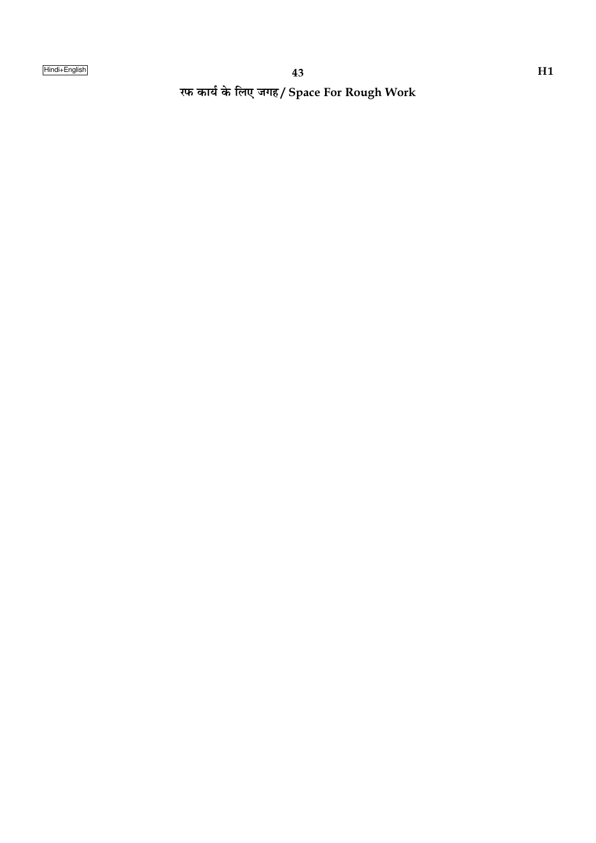रफ कार्य के लिए जगह/ Space For Rough Work